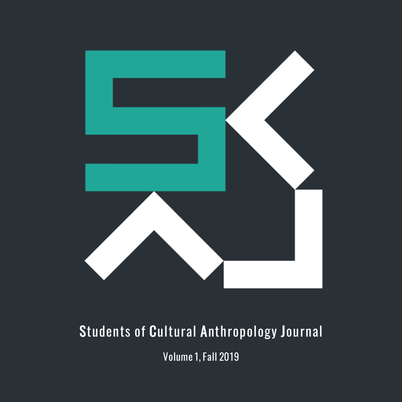

## Students of Cultural Anthropology Journal

Volume 1,Fall 2019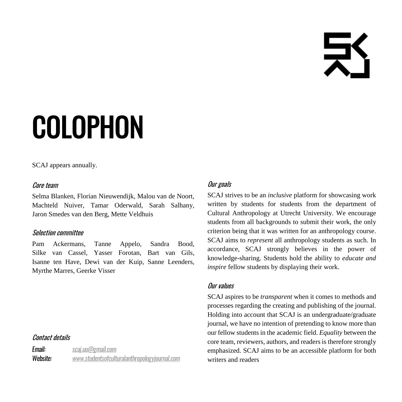탓

# COLOPHON

SCAJ appears annually.

#### Core team

Selma Blanken, Florian Nieuwendijk, Malou van de Noort, Machteld Nuiver, Tamar Oderwald, Sarah Salhany, Jaron Smedes van den Berg, Mette Veldhuis

#### Selection committee

Pam Ackermans, Tanne Appelo, Sandra Bood, Silke van Cassel, Yasser Forotan, Bart van Gils, Isanne ten Have, Dewi van der Kuip, Sanne Leenders, Myrthe Marres, Geerke Visser

#### Contact details

**Email:** scai.uu@gmail.com Website: www.studentsofculturalanthropologyjournal.com

#### Our goals

SCAJ strives to be an *inclusive* platform for showcasing work written by students for students from the department of Cultural Anthropology at Utrecht University. We encourage students from all backgrounds to submit their work, the only criterion being that it was written for an anthropology course. SCAJ aims to *represent* all anthropology students as such. In accordance, SCAJ strongly believes in the power of knowledge-sharing. Students hold the ability to *educate and inspire* fellow students by displaying their work.

#### Our values

SCAJ aspires to be *transparent* when it comes to methods and processes regarding the creating and publishing of the journal. Holding into account that SCAJ is an undergraduate/graduate journal, we have no intention of pretending to know more than our fellow students in the academic field. *Equality* between the core team, reviewers, authors, and readers is therefore strongly emphasized. SCAJ aims to be an accessible platform for both writers and readers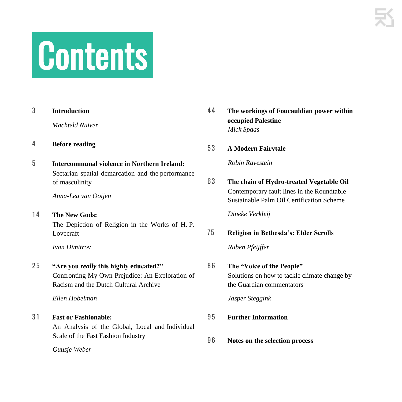# .Contents.

| 4 | <b>Before reading</b> |
|---|-----------------------|
|   | Machteld Nuiver       |
| O | muroqueuon            |

3 **Introduction**

5 **Intercommunal violence in Northern Ireland:** Sectarian spatial demarcation and the performance of masculinity

*Anna-Lea van Ooijen*

14 The New Gods: The Depiction of Religion in the Works of H. P. Lovecraft

*Ivan Dimitrov*

#### 2 5 **"Are you** *really* **this highly educated?"**

Confronting My Own Prejudice: An Exploration of Racism and the Dutch Cultural Archive

*Ellen Hobelman*

3 1 **Fast or Fashionable:** An Analysis of the Global, Local and Individual Scale of the Fast Fashion Industry

*Guusje Weber*

- 4 4 **The workings of Foucauldian power within occupied Palestine** *Mick Spaas*
- 5 3 **A Modern Fairytale**

*Robin Ravestein*

6 3 **The chain of Hydro-treated Vegetable Oil** Contemporary fault lines in the Roundtable Sustainable Palm Oil Certification Scheme

*Dineke Verkleij*

### 7 5 **Religion in Bethesda's: Elder Scrolls** *Ruben Pfeijffer*

## 8 6 **The "Voice of the People"**

Solutions on how to tackle climate change by the Guardian commentators

*Jasper Steggink*

- 9 5 **Further Information**
- 9 6 **Notes on the selection process**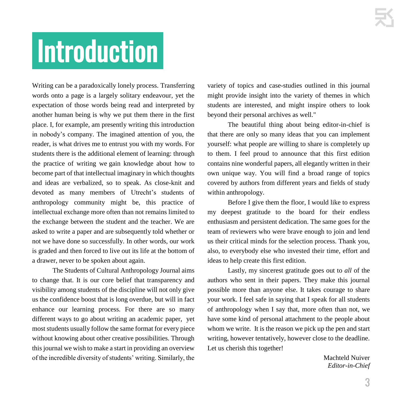# .Introduction.

Writing can be a paradoxically lonely process. Transferring words onto a page is a largely solitary endeavour, yet the expectation of those words being read and interpreted by another human being is why we put them there in the first place. I, for example, am presently writing this introduction in nobody's company. The imagined attention of you, the reader, is what drives me to entrust you with my words. For students there is the additional element of learning: through the practice of writing we gain knowledge about how to become part of that intellectual imaginary in which thoughts and ideas are verbalized, so to speak. As close-knit and devoted as many members of Utrecht's students of anthropology community might be, this practice of intellectual exchange more often than not remains limited to the exchange between the student and the teacher. We are asked to write a paper and are subsequently told whether or not we have done so successfully. In other words, our work is graded and then forced to live out its life at the bottom of a drawer, never to be spoken about again.

The Students of Cultural Anthropology Journal aims to change that. It is our core belief that transparency and visibility among students of the discipline will not only give us the confidence boost that is long overdue, but will in fact enhance our learning process. For there are so many different ways to go about writing an academic paper, yet most students usually follow the same format for every piece without knowing about other creative possibilities. Through this journal we wish to make a start in providing an overview of the incredible diversity of students' writing. Similarly, the

variety of topics and case-studies outlined in this journal might provide insight into the variety of themes in which students are interested, and might inspire others to look beyond their personal archives as well."

The beautiful thing about being editor-in-chief is that there are only so many ideas that you can implement yourself: what people are willing to share is completely up to them. I feel proud to announce that this first edition contains nine wonderful papers, all elegantly written in their own unique way. You will find a broad range of topics covered by authors from different years and fields of study within anthropology.

Before I give them the floor, I would like to express my deepest gratitude to the board for their endless enthusiasm and persistent dedication. The same goes for the team of reviewers who were brave enough to join and lend us their critical minds for the selection process. Thank you, also, to everybody else who invested their time, effort and ideas to help create this first edition.

Lastly, my sincerest gratitude goes out to *all* of the authors who sent in their papers. They make this journal possible more than anyone else. It takes courage to share your work. I feel safe in saying that I speak for all students of anthropology when I say that, more often than not, we have some kind of personal attachment to the people about whom we write. It is the reason we pick up the pen and start writing, however tentatively, however close to the deadline. Let us cherish this together!

> Machteld Nuiver *Editor-in-Chief*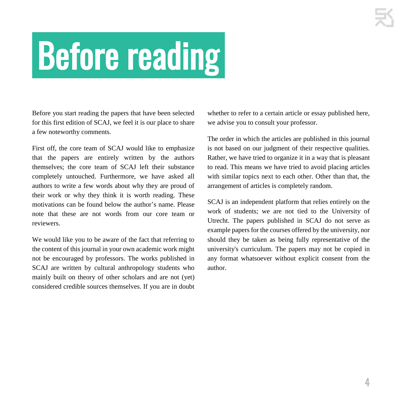# .Before reading.

Before you start reading the papers that have been selected for this first edition of SCAJ, we feel it is our place to share a few noteworthy comments.

First off, the core team of SCAJ would like to emphasize that the papers are entirely written by the authors themselves; the core team of SCAJ left their substance completely untouched. Furthermore, we have asked all authors to write a few words about why they are proud of their work or why they think it is worth reading. These motivations can be found below the author's name. Please note that these are not words from our core team or reviewers.

We would like you to be aware of the fact that referring to the content of this journal in your own academic work might not be encouraged by professors. The works published in SCAJ are written by cultural anthropology students who mainly built on theory of other scholars and are not (yet) considered credible sources themselves. If you are in doubt whether to refer to a certain article or essay published here, we advise you to consult your professor.

The order in which the articles are published in this journal is not based on our judgment of their respective qualities. Rather, we have tried to organize it in a way that is pleasant to read. This means we have tried to avoid placing articles with similar topics next to each other. Other than that, the arrangement of articles is completely random.

SCAJ is an independent platform that relies entirely on the work of students; we are not tied to the University of Utrecht. The papers published in SCAJ do not serve as example papers for the courses offered by the university, nor should they be taken as being fully representative of the university's curriculum. The papers may not be copied in any format whatsoever without explicit consent from the author.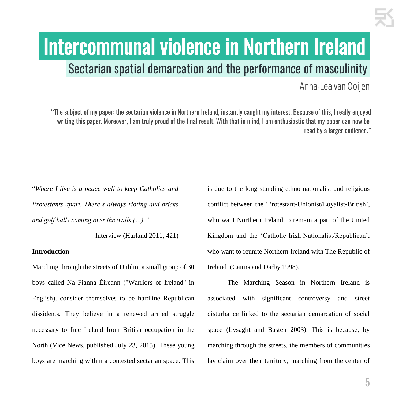# Intercommunal violence in Northern Ireland. Sectarian spatial demarcation and the performance of masculinity.

Anna-Lea van Ooijen

"The subject of my paper: the sectarian violence in Northern Ireland, instantly caught my interest. Because of this, I really enjoyed writing this paper. Moreover, I am truly proud of the final result. With that in mind, I am enthusiastic that my paper can now be read by a larger audience."

"*Where I live is a peace wall to keep Catholics and Protestants apart. There's always rioting and bricks and golf balls coming over the walls (…)."*

- Interview (Harland 2011, 421)

#### **Introduction**

Marching through the streets of Dublin, a small group of 30 boys called Na Fianna Éireann ("Warriors of Ireland" in English), consider themselves to be hardline Republican dissidents. They believe in a renewed armed struggle necessary to free Ireland from British occupation in the North (Vice News, published July 23, 2015). These young boys are marching within a contested sectarian space. This

is due to the long standing ethno-nationalist and religious conflict between the 'Protestant-Unionist/Loyalist-British', who want Northern Ireland to remain a part of the United Kingdom and the 'Catholic-Irish-Nationalist/Republican', who want to reunite Northern Ireland with The Republic of Ireland (Cairns and Darby 1998).

The Marching Season in Northern Ireland is associated with significant controversy and street disturbance linked to the sectarian demarcation of social space (Lysaght and Basten 2003). This is because, by marching through the streets, the members of communities lay claim over their territory; marching from the center of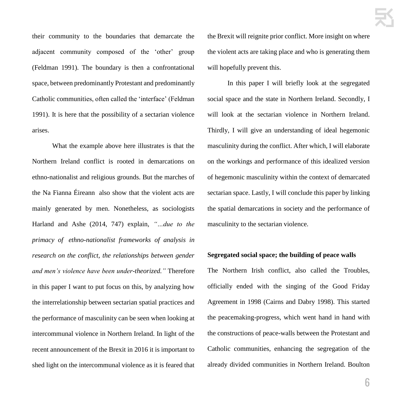their community to the boundaries that demarcate the adjacent community composed of the 'other' group (Feldman 1991). The boundary is then a confrontational space, between predominantly Protestant and predominantly Catholic communities, often called the 'interface' (Feldman 1991). It is here that the possibility of a sectarian violence arises.

What the example above here illustrates is that the Northern Ireland conflict is rooted in demarcations on ethno-nationalist and religious grounds. But the marches of the Na Fianna Éireann also show that the violent acts are mainly generated by men. Nonetheless, as sociologists Harland and Ashe (2014, 747) explain, *"…due to the primacy of ethno-nationalist frameworks of analysis in research on the conflict, the relationships between gender and men's violence have been under-theorized."* Therefore in this paper I want to put focus on this, by analyzing how the interrelationship between sectarian spatial practices and the performance of masculinity can be seen when looking at intercommunal violence in Northern Ireland. In light of the recent announcement of the Brexit in 2016 it is important to shed light on the intercommunal violence as it is feared that the Brexit will reignite prior conflict. More insight on where the violent acts are taking place and who is generating them will hopefully prevent this.

In this paper I will briefly look at the segregated social space and the state in Northern Ireland. Secondly, I will look at the sectarian violence in Northern Ireland. Thirdly, I will give an understanding of ideal hegemonic masculinity during the conflict. After which, I will elaborate on the workings and performance of this idealized version of hegemonic masculinity within the context of demarcated sectarian space. Lastly, I will conclude this paper by linking the spatial demarcations in society and the performance of masculinity to the sectarian violence.

#### **Segregated social space; the building of peace walls**

The Northern Irish conflict, also called the Troubles, officially ended with the singing of the Good Friday Agreement in 1998 (Cairns and Dabry 1998). This started the peacemaking-progress, which went hand in hand with the constructions of peace-walls between the Protestant and Catholic communities, enhancing the segregation of the already divided communities in Northern Ireland. Boulton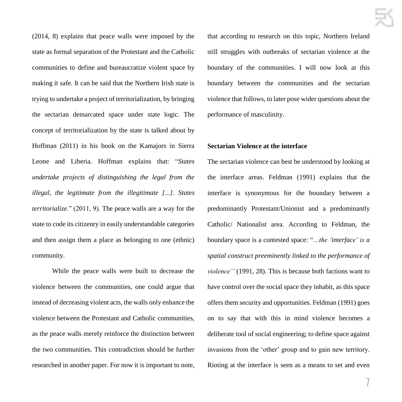(2014, 8) explains that peace walls were imposed by the state as formal separation of the Protestant and the Catholic communities to define and bureaucratize violent space by making it safe. It can be said that the Northern Irish state is trying to undertake a project of territorialization, by bringing the sectarian demarcated space under state logic. The concept of territorialization by the state is talked about by Hoffman (2011) in his book on the Kamajors in Sierra Leone and Liberia. Hoffman explains that: "*States undertake projects of distinguishing the legal from the illegal, the legitimate from the illegitimate [...]. States territorialize*." (2011, 9). The peace walls are a way for the state to code its citizenry in easily understandable categories and then assign them a place as belonging to one (ethnic) community.

While the peace walls were built to decrease the violence between the communities, one could argue that instead of decreasing violent acts, the walls only enhance the violence between the Protestant and Catholic communities, as the peace walls merely reinforce the distinction between the two communities. This contradiction should be further researched in another paper. For now it is important to note, that according to research on this topic, Northern Ireland still struggles with outbreaks of sectarian violence at the boundary of the communities. I will now look at this boundary between the communities and the sectarian violence that follows, to later pose wider questions about the performance of masculinity.

#### **Sectarian Violence at the interface**

The sectarian violence can best be understood by looking at the interface areas. Feldman (1991) explains that the interface is synonymous for the boundary between a predominantly Protestant/Unionist and a predominantly Catholic/ Nationalist area. According to Feldman, the boundary space is a contested space: "*…the 'interface' is a spatial construct preeminently linked to the performance of violence''* (1991, 28). This is because both factions want to have control over the social space they inhabit, as this space offers them security and opportunities. Feldman (1991) goes on to say that with this in mind violence becomes a deliberate tool of social engineering; to define space against invasions from the 'other' group and to gain new territory. Rioting at the interface is seen as a means to set and even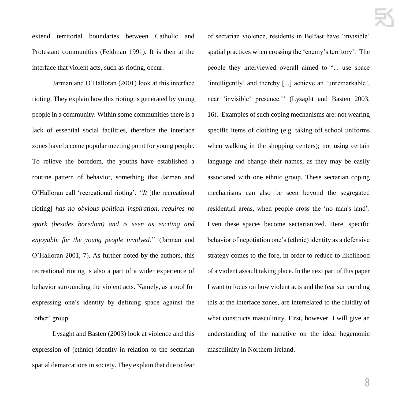extend territorial boundaries between Catholic and Protestant communities (Feldman 1991). It is then at the interface that violent acts, such as rioting, occur.

Jarman and O'Halloran (2001) look at this interface rioting. They explain how this rioting is generated by young people in a community. Within some communities there is a lack of essential social facilities, therefore the interface zones have become popular meeting point for young people. To relieve the boredom, the youths have established a routine pattern of behavior, something that Jarman and O'Halloran call 'recreational rioting'. *"It* [the recreational rioting] *has no obvious political inspiration, requires no spark (besides boredom) and is seen as exciting and enjoyable for the young people involved.*'' (Jarman and O'Halloran 2001, 7). As further noted by the authors, this recreational rioting is also a part of a wider experience of behavior surrounding the violent acts. Namely, as a tool for expressing one's identity by defining space against the 'other' group.

Lysaght and Basten (2003) look at violence and this expression of (ethnic) identity in relation to the sectarian spatial demarcations in society. They explain that due to fear

of sectarian violence, residents in Belfast have 'invisible' spatial practices when crossing the 'enemy's territory'. The people they interviewed overall aimed to "... use space 'intelligently' and thereby [...] achieve an 'unremarkable', near 'invisible' presence.'' (Lysaght and Basten 2003, 16). Examples of such coping mechanisms are: not wearing specific items of clothing (e.g. taking off school uniforms when walking in the shopping centers); not using certain language and change their names, as they may be easily associated with one ethnic group. These sectarian coping mechanisms can also be seen beyond the segregated residential areas, when people cross the 'no man's land'. Even these spaces become sectarianized. Here, specific behavior of negotiation one's (ethnic) identity as a defensive strategy comes to the fore, in order to reduce to likelihood of a violent assault taking place. In the next part of this paper I want to focus on how violent acts and the fear surrounding this at the interface zones, are interrelated to the fluidity of what constructs masculinity. First, however, I will give an understanding of the narrative on the ideal hegemonic masculinity in Northern Ireland.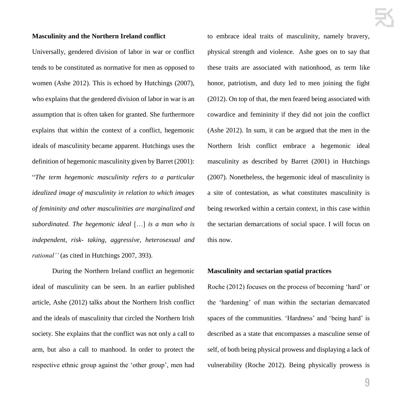#### **Masculinity and the Northern Ireland conflict**

Universally, gendered division of labor in war or conflict tends to be constituted as normative for men as opposed to women (Ashe 2012). This is echoed by Hutchings (2007), who explains that the gendered division of labor in war is an assumption that is often taken for granted. She furthermore explains that within the context of a conflict, hegemonic ideals of masculinity became apparent. Hutchings uses the definition of hegemonic masculinity given by Barret (2001): "*The term hegemonic masculinity refers to a particular idealized image of masculinity in relation to which images of femininity and other masculinities are marginalized and subordinated. The hegemonic ideal* […] *is a man who is independent, risk- taking, aggressive, heterosexual and rational''* (as cited in Hutchings 2007, 393).

During the Northern Ireland conflict an hegemonic ideal of masculinity can be seen. In an earlier published article, Ashe (2012) talks about the Northern Irish conflict and the ideals of masculinity that circled the Northern Irish society. She explains that the conflict was not only a call to arm, but also a call to manhood. In order to protect the respective ethnic group against the 'other group', men had to embrace ideal traits of masculinity, namely bravery, physical strength and violence. Ashe goes on to say that these traits are associated with nationhood, as term like honor, patriotism, and duty led to men joining the fight (2012). On top of that, the men feared being associated with cowardice and femininity if they did not join the conflict (Ashe 2012). In sum, it can be argued that the men in the Northern Irish conflict embrace a hegemonic ideal masculinity as described by Barret (2001) in Hutchings (2007). Nonetheless, the hegemonic ideal of masculinity is a site of contestation, as what constitutes masculinity is being reworked within a certain context, in this case within the sectarian demarcations of social space. I will focus on this now.

#### **Masculinity and sectarian spatial practices**

Roche (2012) focuses on the process of becoming 'hard' or the 'hardening' of man within the sectarian demarcated spaces of the communities. 'Hardness' and 'being hard' is described as a state that encompasses a masculine sense of self, of both being physical prowess and displaying a lack of vulnerability (Roche 2012). Being physically prowess is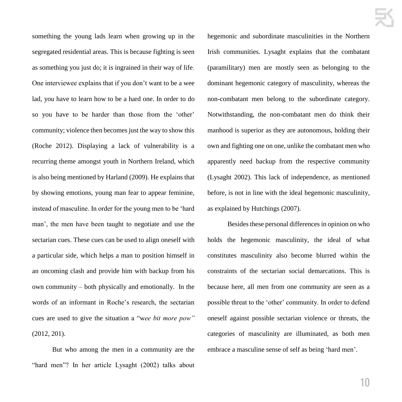something the young lads learn when growing up in the segregated residential areas. This is because fighting is seen as something you just do; it is ingrained in their way of life. One interviewee explains that if you don't want to be a wee lad, you have to learn how to be a hard one. In order to do so you have to be harder than those from the 'other' community; violence then becomes just the way to show this (Roche 2012). Displaying a lack of vulnerability is a recurring theme amongst youth in Northern Ireland, which is also being mentioned by Harland (2009). He explains that by showing emotions, young man fear to appear feminine, instead of masculine. In order for the young men to be 'hard man', the men have been taught to negotiate and use the sectarian cues. These cues can be used to align oneself with a particular side, which helps a man to position himself in an oncoming clash and provide him with backup from his own community – both physically and emotionally. In the words of an informant in Roche's research, the sectarian cues are used to give the situation a "w*ee bit more pow"* (2012, 201).

But who among the men in a community are the "hard men"? In her article Lysaght (2002) talks about hegemonic and subordinate masculinities in the Northern Irish communities. Lysaght explains that the combatant (paramilitary) men are mostly seen as belonging to the dominant hegemonic category of masculinity, whereas the non-combatant men belong to the subordinate category. Notwithstanding, the non-combatant men do think their manhood is superior as they are autonomous, holding their own and fighting one on one, unlike the combatant men who apparently need backup from the respective community (Lysaght 2002). This lack of independence, as mentioned before, is not in line with the ideal hegemonic masculinity, as explained by Hutchings (2007).

Besides these personal differences in opinion on who holds the hegemonic masculinity, the ideal of what constitutes masculinity also become blurred within the constraints of the sectarian social demarcations. This is because here, all men from one community are seen as a possible threat to the 'other' community. In order to defend oneself against possible sectarian violence or threats, the categories of masculinity are illuminated, as both men embrace a masculine sense of self as being 'hard men'.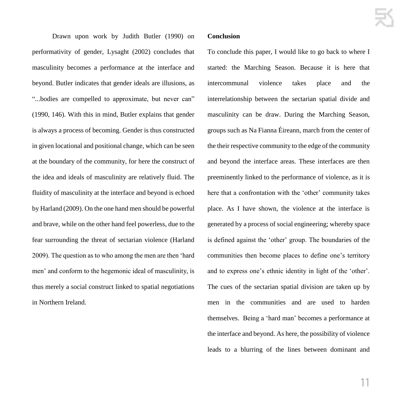Drawn upon work by Judith Butler (1990) on performativity of gender, Lysaght (2002) concludes that masculinity becomes a performance at the interface and beyond. Butler indicates that gender ideals are illusions, as "*..*.bodies are compelled to approximate, but never can" (1990, 146). With this in mind, Butler explains that gender is always a process of becoming. Gender is thus constructed in given locational and positional change, which can be seen at the boundary of the community, for here the construct of the idea and ideals of masculinity are relatively fluid. The fluidity of masculinity at the interface and beyond is echoed by Harland (2009). On the one hand men should be powerful and brave, while on the other hand feel powerless, due to the fear surrounding the threat of sectarian violence (Harland 2009). The question as to who among the men are then 'hard men' and conform to the hegemonic ideal of masculinity, is thus merely a social construct linked to spatial negotiations in Northern Ireland.

#### **Conclusion**

To conclude this paper, I would like to go back to where I started: the Marching Season. Because it is here that intercommunal violence takes place and the interrelationship between the sectarian spatial divide and masculinity can be draw. During the Marching Season, groups such as Na Fianna Éireann, march from the center of the their respective community to the edge of the community and beyond the interface areas. These interfaces are then preeminently linked to the performance of violence, as it is here that a confrontation with the 'other' community takes place. As I have shown, the violence at the interface is generated by a process of social engineering; whereby space is defined against the 'other' group. The boundaries of the communities then become places to define one's territory and to express one's ethnic identity in light of the 'other'. The cues of the sectarian spatial division are taken up by men in the communities and are used to harden themselves. Being a 'hard man' becomes a performance at the interface and beyond. As here, the possibility of violence leads to a blurring of the lines between dominant and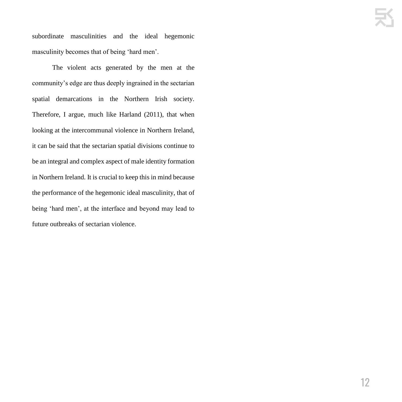subordinate masculinities and the ideal hegemonic masculinity becomes that of being 'hard men'.

The violent acts generated by the men at the community's edge are thus deeply ingrained in the sectarian spatial demarcations in the Northern Irish society. Therefore, I argue, much like Harland (2011), that when looking at the intercommunal violence in Northern Ireland, it can be said that the sectarian spatial divisions continue to be an integral and complex aspect of male identity formation in Northern Ireland. It is crucial to keep this in mind because the performance of the hegemonic ideal masculinity, that of being 'hard men', at the interface and beyond may lead to future outbreaks of sectarian violence.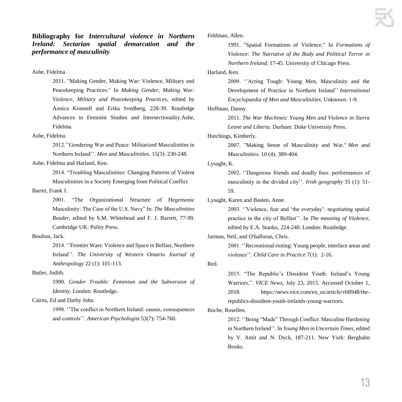**Bibliography for** *Intercultural violence in Northern Ireland: Sectarian spatial demarcation and the performance of masculinity*

#### Ashe, Fidelma.

2011. "Making Gender, Making War: Violence, Military and Peacekeeping Practices." In *Making Gender, Making War: Violence, Military and Peacekeeping Practices*, edited by Annica Kronsell and Erika Svedberg, 228-39. Routledge Advances in Feminist Studies and Intersectionality.Ashe, Fidelma.

#### Ashe, Fidelma.

2012.''Gendering War and Peace: Militarized Masculinities in Northern Ireland''. *Men and Masculinities.* 15(3): 230-248.

#### Ashe, Fidelma and Harland, Ken.

2014. "Troubling Masculinities: Changing Patterns of Violent Masculinities in a Society Emerging from Political Conflict

#### Barret, Frank J.

2001. "The Organizational Structure of Hegemonic Masculinity: The Case of the U.S. Navy" In: *The Masculinities Reader,* edited by S.M. Whitehead and F. J. Barrett, 77-99. Cambridge UK: Polity Press.

#### Boulton, Jack.

2014. ''Frontier Wars: Violence and Space in Belfast, Northern Ireland''. *The University of Western Ontario Journal of Anthropology* 22 (1): 101-113.

#### Butler, Judith.

1990. *Gender Trouble: Feminism and the Subversion of Identity.* London: Routledge.

#### Cairns, Ed and Darby John.

1998. ''The conflict in Northern Ireland: causes, consequences and controls''. *American Psychologist* 53(7): 754-760.

Feldman, Allen.

1991. "Spatial Formations of Violence." In *Formations of Violence: The Narrative of the Body and Political Terror in Northern Ireland*, 17-45. University of Chicago Press.

[Harland,](https://scholar-google-nl.proxy.library.uu.nl/citations?user=_JY50AoAAAAJ&hl=nl&oi=sra) Ken.

2009. ''Acting Tough: Young Men, Masculinity and the Development of Practice in Northern Ireland'' *International Encyclopaedia of Men and Masculinities*. Unknown: 1-9.

Hoffman, Danny.

2011. *The War Machines: Young Men and Violence in Sierra Leone and Liberia.* Durham: Duke University Press.

Hutchings, Kimberly.

2007. "Making Sense of Masculinity and War." *Men and Masculinities.* 10 (4): 389-404.

#### Lysaght, K.

2002. ''Dangerous friends and deadly foes: performances of masculinity in the divided city''. *Irish geography* 35 (1): 51- 59.

Lysaght, Karen and Basten, Anne.

2003. ''Violence, fear and 'the everyday': negotiating spatial practice in the city of Belfast''. In *The meaning of Violence*, edited by E.A. Stanko, 224-240. London: Routledge.

Jarman, Neil, and O'halloran, Chris.

2001. ''Recreational rioting: Young people, interface areas and violence''. *Child Care in Practice* 7(1): 2-16.

Red.

2015. "The Republic's Dissident Youth: Ireland's Young Warriors,". *VICE News*, July 23, 2015. Accessed October 1, 2018. https://news.vice.com/en\_us/article/vb8948/therepublics-dissident-youth-irelands-young-warriors.

Roche, Rosellen.

2012. ''Being "Made" Through Conflict: Masculine Hardening in Northern Ireland''. In *Young Men in Uncertain Times*, edited by V. Amit and N. Dyck, 187-211. New York: Berghahn Books.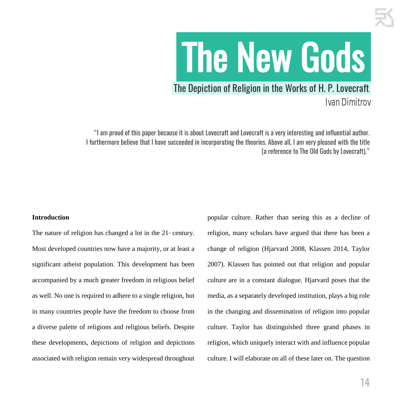# .The New Gods.

### The Depiction of Religion in the Works of H. P. Lovecraft.

Ivan Dimitrov

"I am proud of this paper because it is about Lovecraft and Lovecraft is a very interesting and influential author. I furthermore believe that I have succeeded in incorporating the theories. Above all, I am very pleased with the title (a reference to The Old Gods by Lovecraft)."

#### **Introduction**

The nature of religion has changed a lot in the  $21<sup>s</sup>$  century. Most developed countries now have a majority, or at least a significant atheist population. This development has been accompanied by a much greater freedom in religious belief as well. No one is required to adhere to a single religion, but in many countries people have the freedom to choose from a diverse palette of religions and religious beliefs. Despite these developments, depictions of religion and depictions associated with religion remain very widespread throughout

popular culture. Rather than seeing this as a decline of religion, many scholars have argued that there has been a change of religion (Hjarvard 2008, Klassen 2014, Taylor 2007). Klassen has pointed out that religion and popular culture are in a constant dialogue. Hjarvard poses that the media, as a separately developed institution, plays a big role in the changing and dissemination of religion into popular culture. Taylor has distinguished three grand phases in religion, which uniquely interact with and influence popular culture. I will elaborate on all of these later on. The question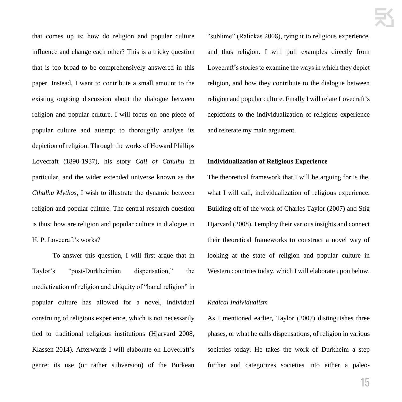that comes up is: how do religion and popular culture influence and change each other? This is a tricky question that is too broad to be comprehensively answered in this paper. Instead, I want to contribute a small amount to the existing ongoing discussion about the dialogue between religion and popular culture. I will focus on one piece of popular culture and attempt to thoroughly analyse its depiction of religion. Through the works of Howard Phillips Lovecraft (1890-1937), his story *Call of Cthulhu* in particular, and the wider extended universe known as the *Cthulhu Mythos*, I wish to illustrate the dynamic between religion and popular culture. The central research question is thus: how are religion and popular culture in dialogue in H. P. Lovecraft's works?

To answer this question, I will first argue that in Taylor's "post-Durkheimian dispensation," the mediatization of religion and ubiquity of "banal religion" in popular culture has allowed for a novel, individual construing of religious experience, which is not necessarily tied to traditional religious institutions (Hjarvard 2008, Klassen 2014). Afterwards I will elaborate on Lovecraft's genre: its use (or rather subversion) of the Burkean

"sublime" (Ralickas 2008), tying it to religious experience, and thus religion. I will pull examples directly from Lovecraft's stories to examine the ways in which they depict religion, and how they contribute to the dialogue between religion and popular culture. Finally I will relate Lovecraft's depictions to the individualization of religious experience and reiterate my main argument.

#### **Individualization of Religious Experience**

The theoretical framework that I will be arguing for is the, what I will call, individualization of religious experience. Building off of the work of Charles Taylor (2007) and Stig Hjarvard (2008), I employ their various insights and connect their theoretical frameworks to construct a novel way of looking at the state of religion and popular culture in Western countries today, which I will elaborate upon below.

#### *Radical Individualism*

As I mentioned earlier, Taylor (2007) distinguishes three phases, or what he calls dispensations, of religion in various societies today. He takes the work of Durkheim a step further and categorizes societies into either a paleo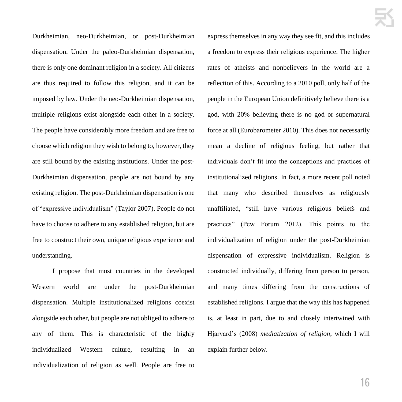Durkheimian, neo-Durkheimian, or post-Durkheimian dispensation. Under the paleo-Durkheimian dispensation, there is only one dominant religion in a society. All citizens are thus required to follow this religion, and it can be imposed by law. Under the neo-Durkheimian dispensation, multiple religions exist alongside each other in a society. The people have considerably more freedom and are free to choose which religion they wish to belong to, however, they are still bound by the existing institutions. Under the post-Durkheimian dispensation, people are not bound by any existing religion. The post-Durkheimian dispensation is one of "expressive individualism" (Taylor 2007). People do not have to choose to adhere to any established religion, but are free to construct their own, unique religious experience and understanding.

I propose that most countries in the developed Western world are under the post-Durkheimian dispensation. Multiple institutionalized religions coexist alongside each other, but people are not obliged to adhere to any of them. This is characteristic of the highly individualized Western culture, resulting in an individualization of religion as well. People are free to

express themselves in any way they see fit, and this includes a freedom to express their religious experience. The higher rates of atheists and nonbelievers in the world are a reflection of this. According to a 2010 poll, only half of the people in the European Union definitively believe there is a god, with 20% believing there is no god or supernatural force at all (Eurobarometer 2010). This does not necessarily mean a decline of religious feeling, but rather that individuals don't fit into the conceptions and practices of institutionalized religions. In fact, a more recent poll noted that many who described themselves as religiously unaffiliated, "still have various religious beliefs and practices" (Pew Forum 2012). This points to the individualization of religion under the post-Durkheimian dispensation of expressive individualism. Religion is constructed individually, differing from person to person, and many times differing from the constructions of established religions. I argue that the way this has happened is, at least in part, due to and closely intertwined with Hjarvard's (2008) *mediatization of religion*, which I will explain further below.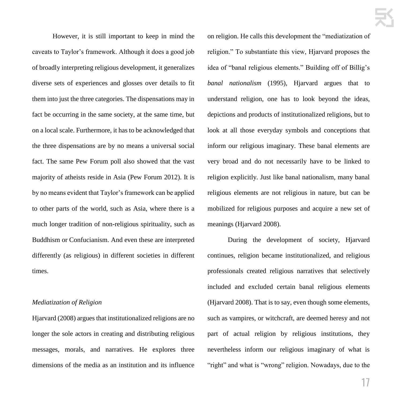However, it is still important to keep in mind the caveats to Taylor's framework. Although it does a good job of broadly interpreting religious development, it generalizes diverse sets of experiences and glosses over details to fit them into just the three categories. The dispensations may in fact be occurring in the same society, at the same time, but on a local scale. Furthermore, it has to be acknowledged that the three dispensations are by no means a universal social fact. The same Pew Forum poll also showed that the vast majority of atheists reside in Asia (Pew Forum 2012). It is by no means evident that Taylor's framework can be applied to other parts of the world, such as Asia, where there is a much longer tradition of non-religious spirituality, such as Buddhism or Confucianism. And even these are interpreted differently (as religious) in different societies in different times.

#### *Mediatization of Religion*

Hjarvard (2008) argues that institutionalized religions are no longer the sole actors in creating and distributing religious messages, morals, and narratives. He explores three dimensions of the media as an institution and its influence

on religion. He calls this development the "mediatization of religion." To substantiate this view, Hjarvard proposes the idea of "banal religious elements." Building off of Billig's *banal nationalism* (1995), Hjarvard argues that to understand religion, one has to look beyond the ideas, depictions and products of institutionalized religions, but to look at all those everyday symbols and conceptions that inform our religious imaginary. These banal elements are very broad and do not necessarily have to be linked to religion explicitly. Just like banal nationalism, many banal religious elements are not religious in nature, but can be mobilized for religious purposes and acquire a new set of meanings (Hjarvard 2008).

During the development of society, Hjarvard continues, religion became institutionalized, and religious professionals created religious narratives that selectively included and excluded certain banal religious elements (Hjarvard 2008). That is to say, even though some elements, such as vampires, or witchcraft, are deemed heresy and not part of actual religion by religious institutions, they nevertheless inform our religious imaginary of what is "right" and what is "wrong" religion. Nowadays, due to the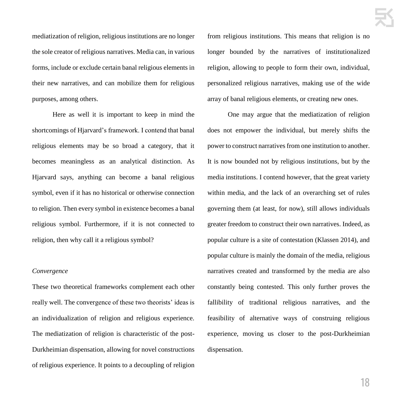mediatization of religion, religious institutions are no longer the sole creator of religious narratives. Media can, in various forms, include or exclude certain banal religious elements in their new narratives, and can mobilize them for religious purposes, among others.

Here as well it is important to keep in mind the shortcomings of Hjarvard's framework. I contend that banal religious elements may be so broad a category, that it becomes meaningless as an analytical distinction. As Hjarvard says, anything can become a banal religious symbol, even if it has no historical or otherwise connection to religion. Then every symbol in existence becomes a banal religious symbol. Furthermore, if it is not connected to religion, then why call it a religious symbol?

#### *Convergence*

These two theoretical frameworks complement each other really well. The convergence of these two theorists' ideas is an individualization of religion and religious experience. The mediatization of religion is characteristic of the post-Durkheimian dispensation, allowing for novel constructions of religious experience. It points to a decoupling of religion from religious institutions. This means that religion is no longer bounded by the narratives of institutionalized religion, allowing to people to form their own, individual, personalized religious narratives, making use of the wide array of banal religious elements, or creating new ones.

One may argue that the mediatization of religion does not empower the individual, but merely shifts the power to construct narratives from one institution to another. It is now bounded not by religious institutions, but by the media institutions. I contend however, that the great variety within media, and the lack of an overarching set of rules governing them (at least, for now), still allows individuals greater freedom to construct their own narratives. Indeed, as popular culture is a site of contestation (Klassen 2014), and popular culture is mainly the domain of the media, religious narratives created and transformed by the media are also constantly being contested. This only further proves the fallibility of traditional religious narratives, and the feasibility of alternative ways of construing religious experience, moving us closer to the post-Durkheimian dispensation.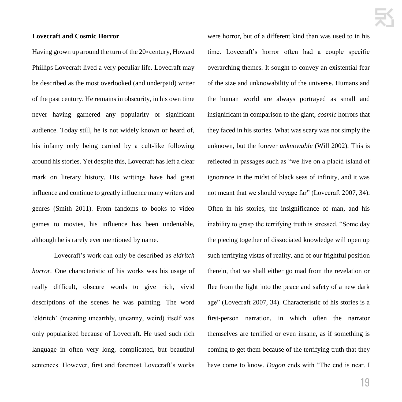#### **Lovecraft and Cosmic Horror**

Having grown up around the turn of the  $20<sup>th</sup>$  century, Howard Phillips Lovecraft lived a very peculiar life. Lovecraft may be described as the most overlooked (and underpaid) writer of the past century. He remains in obscurity, in his own time never having garnered any popularity or significant audience. Today still, he is not widely known or heard of, his infamy only being carried by a cult-like following around his stories. Yet despite this, Lovecraft has left a clear mark on literary history. His writings have had great influence and continue to greatly influence many writers and genres (Smith 2011). From fandoms to books to video games to movies, his influence has been undeniable, although he is rarely ever mentioned by name.

Lovecraft's work can only be described as *eldritch horror.* One characteristic of his works was his usage of really difficult, obscure words to give rich, vivid descriptions of the scenes he was painting. The word 'eldritch' (meaning unearthly, uncanny, weird) itself was only popularized because of Lovecraft. He used such rich language in often very long, complicated, but beautiful sentences. However, first and foremost Lovecraft's works

were horror, but of a different kind than was used to in his time. Lovecraft's horror often had a couple specific overarching themes. It sought to convey an existential fear of the size and unknowability of the universe. Humans and the human world are always portrayed as small and insignificant in comparison to the giant, *cosmic* horrors that they faced in his stories. What was scary was not simply the unknown, but the forever *unknowable* (Will 2002). This is reflected in passages such as "we live on a placid island of ignorance in the midst of black seas of infinity, and it was not meant that we should voyage far" (Lovecraft 2007, 34). Often in his stories, the insignificance of man, and his inability to grasp the terrifying truth is stressed. "Some day the piecing together of dissociated knowledge will open up such terrifying vistas of reality, and of our frightful position therein, that we shall either go mad from the revelation or flee from the light into the peace and safety of a new dark age" (Lovecraft 2007, 34). Characteristic of his stories is a first-person narration, in which often the narrator themselves are terrified or even insane, as if something is coming to get them because of the terrifying truth that they have come to know. *Dagon* ends with "The end is near. I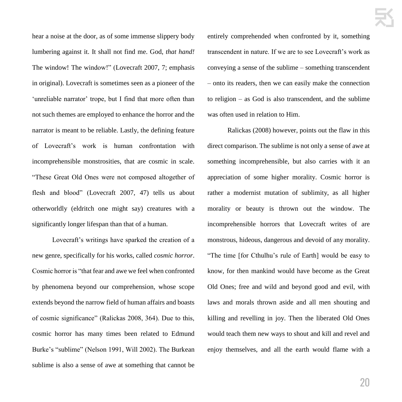hear a noise at the door, as of some immense slippery body lumbering against it. It shall not find me. God, *that hand!*  The window! The window!" (Lovecraft 2007, 7; emphasis in original). Lovecraft is sometimes seen as a pioneer of the 'unreliable narrator' trope, but I find that more often than not such themes are employed to enhance the horror and the narrator is meant to be reliable. Lastly, the defining feature of Lovecraft's work is human confrontation with incomprehensible monstrosities, that are cosmic in scale. "These Great Old Ones were not composed altogether of flesh and blood" (Lovecraft 2007, 47) tells us about otherworldly (eldritch one might say) creatures with a significantly longer lifespan than that of a human.

Lovecraft's writings have sparked the creation of a new genre, specifically for his works, called *cosmic horror*. Cosmic horror is "that fear and awe we feel when confronted by phenomena beyond our comprehension, whose scope extends beyond the narrow field of human affairs and boasts of cosmic significance" (Ralickas 2008, 364). Due to this, cosmic horror has many times been related to Edmund Burke's "sublime" (Nelson 1991, Will 2002). The Burkean sublime is also a sense of awe at something that cannot be entirely comprehended when confronted by it, something transcendent in nature. If we are to see Lovecraft's work as conveying a sense of the sublime – something transcendent – onto its readers, then we can easily make the connection to religion – as God is also transcendent, and the sublime was often used in relation to Him.

Ralickas (2008) however, points out the flaw in this direct comparison. The sublime is not only a sense of awe at something incomprehensible, but also carries with it an appreciation of some higher morality. Cosmic horror is rather a modernist mutation of sublimity, as all higher morality or beauty is thrown out the window. The incomprehensible horrors that Lovecraft writes of are monstrous, hideous, dangerous and devoid of any morality. "The time [for Cthulhu's rule of Earth] would be easy to know, for then mankind would have become as the Great Old Ones; free and wild and beyond good and evil, with laws and morals thrown aside and all men shouting and killing and revelling in joy. Then the liberated Old Ones would teach them new ways to shout and kill and revel and enjoy themselves, and all the earth would flame with a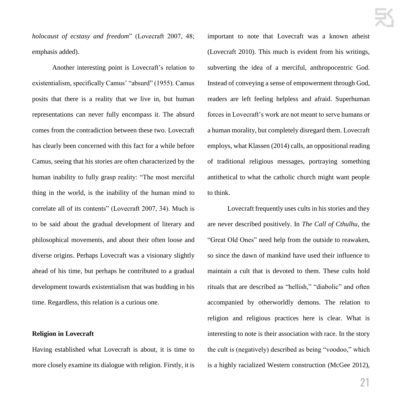*holocaust of ecstasy and freedom*" (Lovecraft 2007, 48; emphasis added).

Another interesting point is Lovecraft's relation to existentialism, specifically Camus' "absurd" (1955). Camus posits that there is a reality that we live in, but human representations can never fully encompass it. The absurd comes from the contradiction between these two. Lovecraft has clearly been concerned with this fact for a while before Camus, seeing that his stories are often characterized by the human inability to fully grasp reality: "The most merciful thing in the world, is the inability of the human mind to correlate all of its contents" (Lovecraft 2007, 34). Much is to be said about the gradual development of literary and philosophical movements, and about their often loose and diverse origins. Perhaps Lovecraft was a visionary slightly ahead of his time, but perhaps he contributed to a gradual development towards existentialism that was budding in his time. Regardless, this relation is a curious one.

#### **Religion in Lovecraft**

Having established what Lovecraft is about, it is time to more closely examine its dialogue with religion. Firstly, it is important to note that Lovecraft was a known atheist (Lovecraft 2010). This much is evident from his writings, subverting the idea of a merciful, anthropocentric God. Instead of conveying a sense of empowerment through God, readers are left feeling helpless and afraid. Superhuman forces in Lovecraft's work are not meant to serve humans or a human morality, but completely disregard them. Lovecraft employs, what Klassen (2014) calls, an oppositional reading of traditional religious messages, portraying something antithetical to what the catholic church might want people to think.

Lovecraft frequently uses cults in his stories and they are never described positively. In *The Call of Cthulhu*, the "Great Old Ones" need help from the outside to reawaken, so since the dawn of mankind have used their influence to maintain a cult that is devoted to them. These cults hold rituals that are described as "hellish," "diabolic" and often accompanied by otherworldly demons. The relation to religion and religious practices here is clear. What is interesting to note is their association with race. In the story the cult is (negatively) described as being "voodoo," which is a highly racialized Western construction (McGee 2012),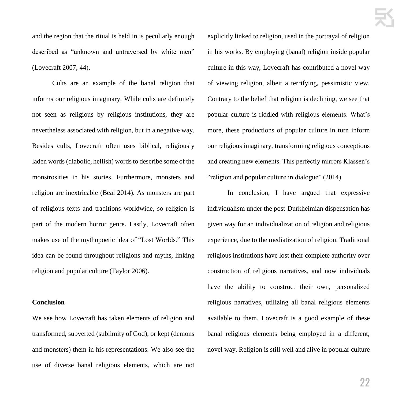and the region that the ritual is held in is peculiarly enough described as "unknown and untraversed by white men" (Lovecraft 2007, 44).

Cults are an example of the banal religion that informs our religious imaginary. While cults are definitely not seen as religious by religious institutions, they are nevertheless associated with religion, but in a negative way. Besides cults, Lovecraft often uses biblical, religiously laden words (diabolic, hellish) words to describe some of the monstrosities in his stories. Furthermore, monsters and religion are inextricable (Beal 2014). As monsters are part of religious texts and traditions worldwide, so religion is part of the modern horror genre. Lastly, Lovecraft often makes use of the mythopoetic idea of "Lost Worlds." This idea can be found throughout religions and myths, linking religion and popular culture (Taylor 2006).

#### **Conclusion**

We see how Lovecraft has taken elements of religion and transformed, subverted (sublimity of God), or kept (demons and monsters) them in his representations. We also see the use of diverse banal religious elements, which are not explicitly linked to religion, used in the portrayal of religion in his works. By employing (banal) religion inside popular culture in this way, Lovecraft has contributed a novel way of viewing religion, albeit a terrifying, pessimistic view. Contrary to the belief that religion is declining, we see that popular culture is riddled with religious elements. What's more, these productions of popular culture in turn inform our religious imaginary, transforming religious conceptions and creating new elements. This perfectly mirrors Klassen's "religion and popular culture in dialogue" (2014).

In conclusion, I have argued that expressive individualism under the post-Durkheimian dispensation has given way for an individualization of religion and religious experience, due to the mediatization of religion. Traditional religious institutions have lost their complete authority over construction of religious narratives, and now individuals have the ability to construct their own, personalized religious narratives, utilizing all banal religious elements available to them. Lovecraft is a good example of these banal religious elements being employed in a different, novel way. Religion is still well and alive in popular culture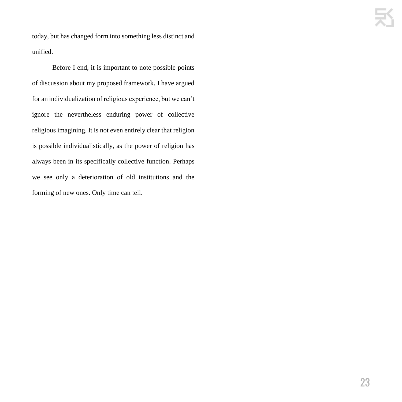today, but has changed form into something less distinct and unified.

Before I end, it is important to note possible points of discussion about my proposed framework. I have argued for an individualization of religious experience, but we can't ignore the nevertheless enduring power of collective religious imagining. It is not even entirely clear that religion is possible individualistically, as the power of religion has always been in its specifically collective function. Perhaps we see only a deterioration of old institutions and the forming of new ones. Only time can tell.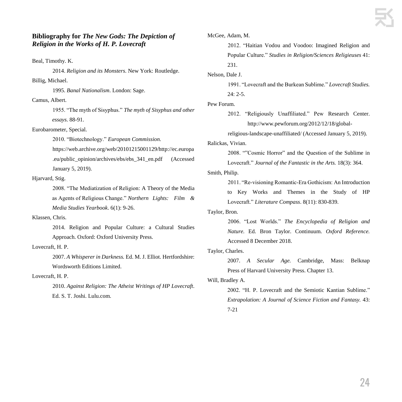#### **Bibliography for** *The New Gods: The Depiction of Religion in the Works of H. P. Lovecraft*

Beal, Timothy. K.

2014. *Religion and its Monsters*. New York: Routledge. Billig, Michael.

1995. *Banal Nationalism*. London: Sage.

Camus, Albert.

1955. "The myth of Sisyphus." *The myth of Sisyphus and other essays*. 88-91.

Eurobarometer, Special.

2010. "Biotechnology." *European Commission.*

https://web.archive.org/web/20101215001129/http://ec.europa .eu/public\_opinion/archives/ebs/ebs\_341\_en.pdf (Accessed January 5, 2019).

#### Hjarvard, Stig.

2008. "The Mediatization of Religion: A Theory of the Media as Agents of Religious Change." *Northern Lights: Film & Media Studies Yearbook*. 6(1): 9-26.

Klassen, Chris.

2014. Religion and Popular Culture: a Cultural Studies Approach. Oxford: Oxford University Press.

#### Lovecraft, H. P.

2007. *A Whisperer in Darkness.* Ed. M. J. Elliot. Hertfordshire: Wordsworth Editions Limited.

#### Lovecraft, H. P.

2010. *Against Religion: The Atheist Writings of HP Lovecraft*. Ed. S. T. Joshi. Lulu.com.

McGee, Adam, M.

2012. "Haitian Vodou and Voodoo: Imagined Religion and Popular Culture." *Studies in Religion/Sciences Religieuses* 41: 231.

Nelson, Dale J.

1991. "Lovecraft and the Burkean Sublime." *Lovecraft Studies.*  24: 2-5.

#### Pew Forum.

2012. "Religiously Unaffiliated." Pew Research Center. http://www.pewforum.org/2012/12/18/global-

religious-landscape-unaffiliated/ (Accessed January 5, 2019).

#### Ralickas, Vivian.

2008. ""Cosmic Horror" and the Question of the Sublime in Lovecraft." *Journal of the Fantastic in the Arts.* 18(3): 364.

Smith, Philip.

2011. "Re‐visioning Romantic‐Era Gothicism: An Introduction to Key Works and Themes in the Study of HP Lovecraft." *Literature Compass*. 8(11): 830-839.

#### Taylor, Bron.

2006. "Lost Worlds." *The Encyclopedia of Religion and Nature.* Ed. Bron Taylor. Continuum. *Oxford Reference.*  Accessed 8 December 2018.

#### Taylor, Charles.

2007. *A Secular Age.* Cambridge, Mass: Belknap Press of Harvard University Press. Chapter 13.

#### Will, Bradley A.

2002. "H. P. Lovecraft and the Semiotic Kantian Sublime." *Extrapolation: A Journal of Science Fiction and Fantasy.* 43: 7-21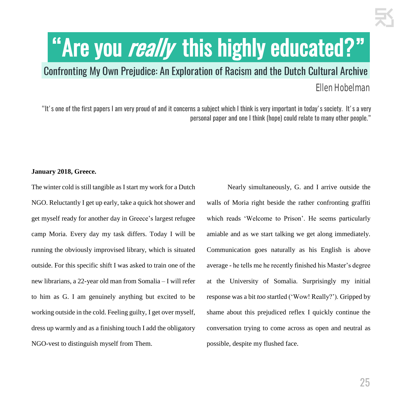# "Are you really this highly educated?"

## .Confronting My Own Prejudice: An Exploration of Racism and the Dutch Cultural Archive. Ellen Hobelman

"It's one of the first papers I am very proud of and it concerns a subject which I think is very important in today's society. It's a very personal paper and one I think (hope) could relate to many other people."

#### **January 2018, Greece.**

The winter cold is still tangible as I start my work for a Dutch NGO. Reluctantly I get up early, take a quick hot shower and get myself ready for another day in Greece's largest refugee camp Moria. Every day my task differs. Today I will be running the obviously improvised library, which is situated outside. For this specific shift I was asked to train one of the new librarians, a 22-year old man from Somalia – I will refer to him as G. I am genuinely anything but excited to be working outside in the cold. Feeling guilty, I get over myself, dress up warmly and as a finishing touch I add the obligatory NGO-vest to distinguish myself from Them.

Nearly simultaneously, G. and I arrive outside the walls of Moria right beside the rather confronting graffiti which reads 'Welcome to Prison'. He seems particularly amiable and as we start talking we get along immediately. Communication goes naturally as his English is above average - he tells me he recently finished his Master's degree at the University of Somalia. Surprisingly my initial response was a bit *too* startled ('Wow! Really?'). Gripped by shame about this prejudiced reflex I quickly continue the conversation trying to come across as open and neutral as possible, despite my flushed face.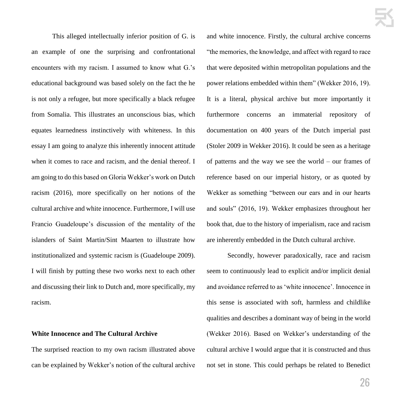This alleged intellectually inferior position of G. is an example of one the surprising and confrontational encounters with my racism. I assumed to know what G.'s educational background was based solely on the fact the he is not only a refugee, but more specifically a black refugee from Somalia. This illustrates an unconscious bias, which equates learnedness instinctively with whiteness. In this essay I am going to analyze this inherently innocent attitude when it comes to race and racism, and the denial thereof. I am going to do this based on Gloria Wekker's work on Dutch racism (2016), more specifically on her notions of the cultural archive and white innocence. Furthermore, I will use Francio Guadeloupe's discussion of the mentality of the islanders of Saint Martin/Sint Maarten to illustrate how institutionalized and systemic racism is (Guadeloupe 2009). I will finish by putting these two works next to each other and discussing their link to Dutch and, more specifically, my racism.

#### **White Innocence and The Cultural Archive**

The surprised reaction to my own racism illustrated above can be explained by Wekker's notion of the cultural archive and white innocence. Firstly, the cultural archive concerns "the memories, the knowledge, and affect with regard to race that were deposited within metropolitan populations and the power relations embedded within them" (Wekker 2016, 19). It is a literal, physical archive but more importantly it furthermore concerns an immaterial repository of documentation on 400 years of the Dutch imperial past (Stoler 2009 in Wekker 2016). It could be seen as a heritage of patterns and the way we see the world – our frames of reference based on our imperial history, or as quoted by Wekker as something "between our ears and in our hearts and souls" (2016, 19). Wekker emphasizes throughout her book that, due to the history of imperialism, race and racism are inherently embedded in the Dutch cultural archive.

Secondly, however paradoxically, race and racism seem to continuously lead to explicit and/or implicit denial and avoidance referred to as 'white innocence'. Innocence in this sense is associated with soft, harmless and childlike qualities and describes a dominant way of being in the world (Wekker 2016). Based on Wekker's understanding of the cultural archive I would argue that it is constructed and thus not set in stone. This could perhaps be related to Benedict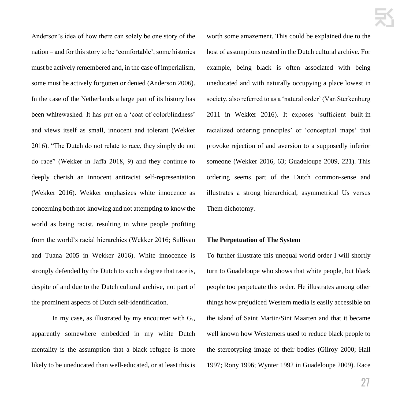Anderson's idea of how there can solely be one story of the nation – and for this story to be 'comfortable', some histories must be actively remembered and, in the case of imperialism, some must be actively forgotten or denied (Anderson 2006). In the case of the Netherlands a large part of its history has been whitewashed. It has put on a 'coat of colorblindness' and views itself as small, innocent and tolerant (Wekker 2016). "The Dutch do not relate to race, they simply do not do race" (Wekker in Jaffa 2018, 9) and they continue to deeply cherish an innocent antiracist self-representation (Wekker 2016). Wekker emphasizes white innocence as concerning both not-knowing and not attempting to know the world as being racist, resulting in white people profiting from the world's racial hierarchies (Wekker 2016; Sullivan and Tuana 2005 in Wekker 2016). White innocence is strongly defended by the Dutch to such a degree that race is, despite of and due to the Dutch cultural archive, not part of the prominent aspects of Dutch self-identification.

In my case, as illustrated by my encounter with G., apparently somewhere embedded in my white Dutch mentality is the assumption that a black refugee is more likely to be uneducated than well-educated, or at least this is worth some amazement. This could be explained due to the host of assumptions nested in the Dutch cultural archive. For example, being black is often associated with being uneducated and with naturally occupying a place lowest in society, also referred to as a 'natural order' (Van Sterkenburg 2011 in Wekker 2016). It exposes 'sufficient built-in racialized ordering principles' or 'conceptual maps' that provoke rejection of and aversion to a supposedly inferior someone (Wekker 2016, 63; Guadeloupe 2009, 221). This ordering seems part of the Dutch common-sense and illustrates a strong hierarchical, asymmetrical Us versus Them dichotomy.

#### **The Perpetuation of The System**

To further illustrate this unequal world order I will shortly turn to Guadeloupe who shows that white people, but black people too perpetuate this order. He illustrates among other things how prejudiced Western media is easily accessible on the island of Saint Martin/Sint Maarten and that it became well known how Westerners used to reduce black people to the stereotyping image of their bodies (Gilroy 2000; Hall 1997; Rony 1996; Wynter 1992 in Guadeloupe 2009). Race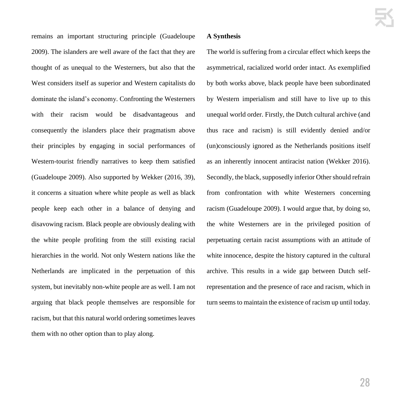remains an important structuring principle (Guadeloupe 2009). The islanders are well aware of the fact that they are thought of as unequal to the Westerners, but also that the West considers itself as superior and Western capitalists do dominate the island's economy. Confronting the Westerners with their racism would be disadvantageous and consequently the islanders place their pragmatism above their principles by engaging in social performances of Western-tourist friendly narratives to keep them satisfied (Guadeloupe 2009). Also supported by Wekker (2016, 39), it concerns a situation where white people as well as black people keep each other in a balance of denying and disavowing racism. Black people are obviously dealing with the white people profiting from the still existing racial hierarchies in the world. Not only Western nations like the Netherlands are implicated in the perpetuation of this system, but inevitably non-white people are as well. I am not arguing that black people themselves are responsible for racism, but that this natural world ordering sometimes leaves them with no other option than to play along.

#### **A Synthesis**

The world is suffering from a circular effect which keeps the asymmetrical, racialized world order intact. As exemplified by both works above, black people have been subordinated by Western imperialism and still have to live up to this unequal world order. Firstly, the Dutch cultural archive (and thus race and racism) is still evidently denied and/or (un)consciously ignored as the Netherlands positions itself as an inherently innocent antiracist nation (Wekker 2016). Secondly, the black, supposedly inferior Other should refrain from confrontation with white Westerners concerning racism (Guadeloupe 2009). I would argue that, by doing so, the white Westerners are in the privileged position of perpetuating certain racist assumptions with an attitude of white innocence, despite the history captured in the cultural archive. This results in a wide gap between Dutch selfrepresentation and the presence of race and racism, which in turn seems to maintain the existence of racism up until today.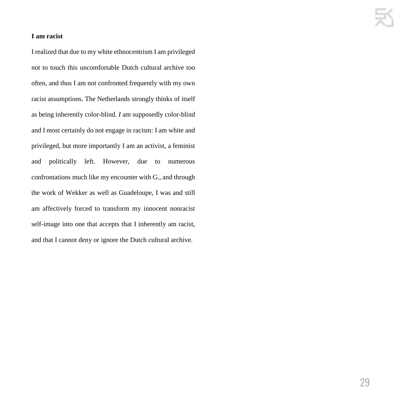#### **I am racist**

I realized that due to my white ethnocentrism I am privileged not to touch this uncomfortable Dutch cultural archive too often, and thus I am not confronted frequently with my own racist assumptions. The Netherlands strongly thinks of itself as being inherently color-blind. *I* am supposedly color-blind and I most certainly do not engage in racism: I am white and privileged, but more importantly I am an activist, a feminist and politically left. However, due to numerous confrontations much like my encounter with G., and through the work of Wekker as well as Guadeloupe, I was and still am affectively forced to transform my innocent nonracist self-image into one that accepts that I inherently am racist, and that I cannot deny or ignore the Dutch cultural archive.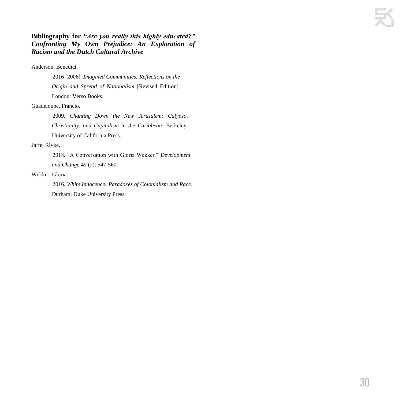#### **Bibliography for** *"Are you really this highly educated?" Confronting My Own Prejudice: An Exploration of Racism and the Dutch Cultural Archive*

#### Anderson, Benedict.

2016 [2006]. *Imagined Communities: Reflections on the Origin and Spread of Nationalism* [Revised Edition]. London: Verso Books.

#### Guadeloupe, Francio.

2009. *Chanting Down the New Jerusalem: Calypso, Christianity, and Capitalism in the Caribbean*. Berkeley: University of California Press.

#### Jaffe, Rivke.

2018. "A Conversation with Gloria Wekker." *Development and Change* 49 (2): 547-560.

#### Wekker, Gloria.

2016. *White Innocence: Paradoxes of Colonialism and Race*. Durham: Duke University Press.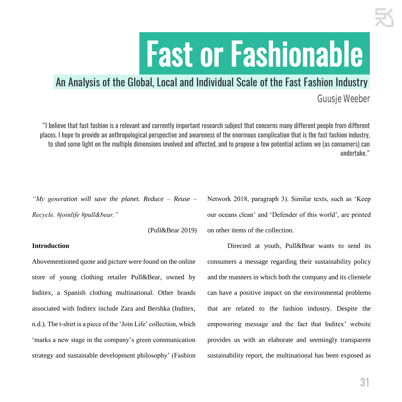# .Fast or Fashionable.

### .An Analysis of the Global, Local and Individual Scale of the Fast Fashion Industry.

### Guusje Weeber

"I believe that fast fashion is a relevant and currently important research subject that concerns many different people from different places. I hope to provide an anthropological perspective and awareness of the enormous complication that is the fast fashion industry, to shed some light on the multiple dimensions involved and affected, and to propose a few potential actions we (as consumers) can undertake."

*"My generation will save the planet. Reduce – Reuse – Recycle. #joinlife #pull&bear."*

(Pull&Bear 2019)

#### **Introduction**

Abovementioned quote and picture were found on the online store of young clothing retailer Pull&Bear, owned by Inditex, a Spanish clothing multinational. Other brands associated with Inditex include Zara and Bershka (Inditex, n.d.). The t-shirt is a piece of the 'Join Life' collection, which 'marks a new stage in the company's green communication strategy and sustainable development philosophy' (Fashion Network 2018, paragraph 3). Similar texts, such as 'Keep our oceans clean' and 'Defender of this world', are printed on other items of the collection.

Directed at youth, Pull&Bear wants to send its consumers a message regarding their sustainability policy and the manners in which both the company and its clientele can have a positive impact on the environmental problems that are related to the fashion industry. Despite the empowering message and the fact that Inditex' website provides us with an elaborate and seemingly transparent sustainability report, the multinational has been exposed as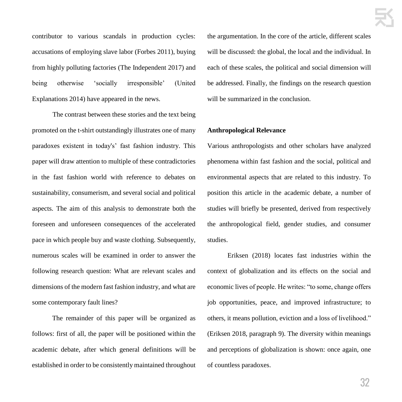contributor to various scandals in production cycles: accusations of employing slave labor (Forbes 2011), buying from highly polluting factories (The Independent 2017) and being otherwise 'socially irresponsible' (United Explanations 2014) have appeared in the news.

The contrast between these stories and the text being promoted on the t-shirt outstandingly illustrates one of many paradoxes existent in today's' fast fashion industry. This paper will draw attention to multiple of these contradictories in the fast fashion world with reference to debates on sustainability, consumerism, and several social and political aspects. The aim of this analysis to demonstrate both the foreseen and unforeseen consequences of the accelerated pace in which people buy and waste clothing. Subsequently, numerous scales will be examined in order to answer the following research question: What are relevant scales and dimensions of the modern fast fashion industry, and what are some contemporary fault lines?

The remainder of this paper will be organized as follows: first of all, the paper will be positioned within the academic debate, after which general definitions will be established in order to be consistently maintained throughout the argumentation. In the core of the article, different scales will be discussed: the global, the local and the individual. In each of these scales, the political and social dimension will be addressed. Finally, the findings on the research question will be summarized in the conclusion.

#### **Anthropological Relevance**

Various anthropologists and other scholars have analyzed phenomena within fast fashion and the social, political and environmental aspects that are related to this industry. To position this article in the academic debate, a number of studies will briefly be presented, derived from respectively the anthropological field, gender studies, and consumer studies.

Eriksen (2018) locates fast industries within the context of globalization and its effects on the social and economic lives of people. He writes: "to some, change offers job opportunities, peace, and improved infrastructure; to others, it means pollution, eviction and a loss of livelihood." (Eriksen 2018, paragraph 9). The diversity within meanings and perceptions of globalization is shown: once again, one of countless paradoxes.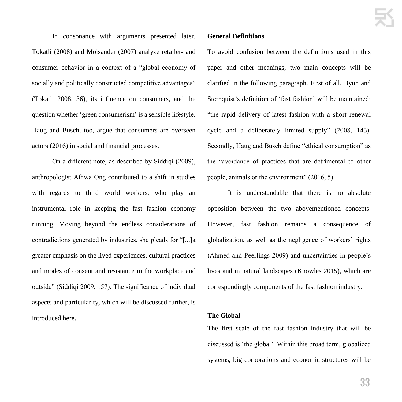In consonance with arguments presented later, Tokatli (2008) and Moisander (2007) analyze retailer- and consumer behavior in a context of a "global economy of socially and politically constructed competitive advantages" (Tokatli 2008, 36), its influence on consumers, and the question whether 'green consumerism' is a sensible lifestyle. Haug and Busch, too, argue that consumers are overseen actors (2016) in social and financial processes.

On a different note, as described by Siddiqi (2009), anthropologist Aihwa Ong contributed to a shift in studies with regards to third world workers, who play an instrumental role in keeping the fast fashion economy running. Moving beyond the endless considerations of contradictions generated by industries, she pleads for "[...]a greater emphasis on the lived experiences, cultural practices and modes of consent and resistance in the workplace and outside" (Siddiqi 2009, 157). The significance of individual aspects and particularity, which will be discussed further, is introduced here.

#### **General Definitions**

To avoid confusion between the definitions used in this paper and other meanings, two main concepts will be clarified in the following paragraph. First of all, Byun and Sternquist's definition of 'fast fashion' will be maintained: "the rapid delivery of latest fashion with a short renewal cycle and a deliberately limited supply" (2008, 145). Secondly, Haug and Busch define "ethical consumption" as the "avoidance of practices that are detrimental to other people, animals or the environment" (2016, 5).

It is understandable that there is no absolute opposition between the two abovementioned concepts. However, fast fashion remains a consequence of globalization, as well as the negligence of workers' rights (Ahmed and Peerlings 2009) and uncertainties in people's lives and in natural landscapes (Knowles 2015), which are correspondingly components of the fast fashion industry.

#### **The Global**

The first scale of the fast fashion industry that will be discussed is 'the global'. Within this broad term, globalized systems, big corporations and economic structures will be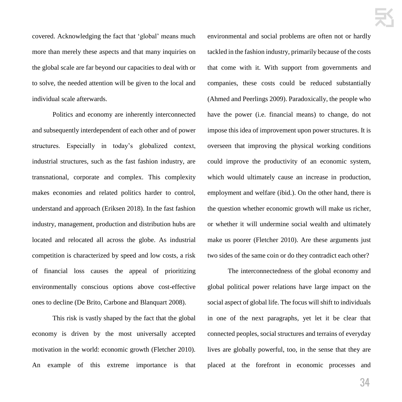covered. Acknowledging the fact that 'global' means much more than merely these aspects and that many inquiries on the global scale are far beyond our capacities to deal with or to solve, the needed attention will be given to the local and individual scale afterwards.

Politics and economy are inherently interconnected and subsequently interdependent of each other and of power structures. Especially in today's globalized context, industrial structures, such as the fast fashion industry, are transnational, corporate and complex. This complexity makes economies and related politics harder to control, understand and approach (Eriksen 2018). In the fast fashion industry, management, production and distribution hubs are located and relocated all across the globe. As industrial competition is characterized by speed and low costs, a risk of financial loss causes the appeal of prioritizing environmentally conscious options above cost-effective ones to decline (De Brito, Carbone and Blanquart 2008).

This risk is vastly shaped by the fact that the global economy is driven by the most universally accepted motivation in the world: economic growth (Fletcher 2010). An example of this extreme importance is that

environmental and social problems are often not or hardly tackled in the fashion industry, primarily because of the costs that come with it. With support from governments and companies, these costs could be reduced substantially (Ahmed and Peerlings 2009). Paradoxically, the people who have the power (i.e. financial means) to change, do not impose this idea of improvement upon power structures. It is overseen that improving the physical working conditions could improve the productivity of an economic system, which would ultimately cause an increase in production, employment and welfare (ibid.). On the other hand, there is the question whether economic growth will make us richer, or whether it will undermine social wealth and ultimately make us poorer (Fletcher 2010). Are these arguments just two sides of the same coin or do they contradict each other?

The interconnectedness of the global economy and global political power relations have large impact on the social aspect of global life. The focus will shift to individuals in one of the next paragraphs, yet let it be clear that connected peoples, social structures and terrains of everyday lives are globally powerful, too, in the sense that they are placed at the forefront in economic processes and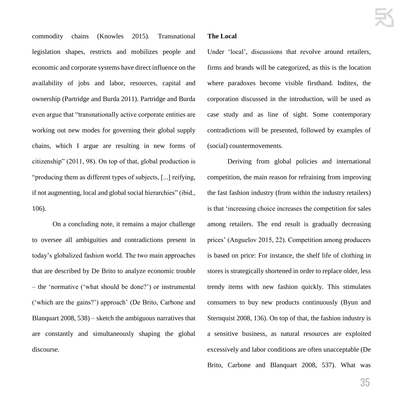commodity chains (Knowles 2015). Transnational legislation shapes, restricts and mobilizes people and economic and corporate systems have direct influence on the availability of jobs and labor, resources, capital and ownership (Partridge and Burda 2011). Partridge and Burda even argue that "transnationally active corporate entities are working out new modes for governing their global supply chains, which I argue are resulting in new forms of citizenship" (2011, 98). On top of that, global production is "producing them as different types of subjects, [...] reifying, if not augmenting, local and global social hierarchies" (ibid., 106).

On a concluding note, it remains a major challenge to oversee all ambiguities and contradictions present in today's globalized fashion world. The two main approaches that are described by De Brito to analyze economic trouble – the 'normative ('what should be done?') or instrumental ('which are the gains?') approach' (De Brito, Carbone and Blanquart 2008, 538) – sketch the ambiguous narratives that are constantly and simultaneously shaping the global discourse.

#### **The Local**

Under 'local', discussions that revolve around retailers, firms and brands will be categorized, as this is the location where paradoxes become visible firsthand. Inditex, the corporation discussed in the introduction, will be used as case study and as line of sight. Some contemporary contradictions will be presented, followed by examples of (social) countermovements.

Deriving from global policies and international competition, the main reason for refraining from improving the fast fashion industry (from within the industry retailers) is that 'increasing choice increases the competition for sales among retailers. The end result is gradually decreasing prices' (Anguelov 2015, 22). Competition among producers is based on price: For instance, the shelf life of clothing in stores is strategically shortened in order to replace older, less trendy items with new fashion quickly. This stimulates consumers to buy new products continuously (Byun and Sternquist 2008, 136). On top of that, the fashion industry is a sensitive business, as natural resources are exploited excessively and labor conditions are often unacceptable (De Brito, Carbone and Blanquart 2008, 537). What was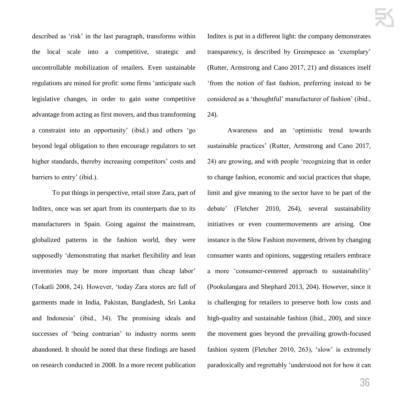described as 'risk' in the last paragraph, transforms within the local scale into a competitive, strategic and uncontrollable mobilization of retailers. Even sustainable regulations are mined for profit: some firms 'anticipate such legislative changes, in order to gain some competitive advantage from acting as first movers, and thus transforming a constraint into an opportunity' (ibid.) and others 'go beyond legal obligation to then encourage regulators to set higher standards, thereby increasing competitors' costs and barriers to entry' (ibid.).

To put things in perspective, retail store Zara, part of Inditex, once was set apart from its counterparts due to its manufacturers in Spain. Going against the mainstream, globalized patterns in the fashion world, they were supposedly 'demonstrating that market flexibility and lean inventories may be more important than cheap labor' (Tokatli 2008, 24). However, 'today Zara stores are full of garments made in India, Pakistan, Bangladesh, Sri Lanka and Indonesia' (ibid., 34). The promising ideals and successes of 'being contrarian' to industry norms seem abandoned. It should be noted that these findings are based on research conducted in 2008. In a more recent publication Inditex is put in a different light: the company demonstrates transparency, is described by Greenpeace as 'exemplary' (Rutter, Armstrong and Cano 2017, 21) and distances itself 'from the notion of fast fashion, preferring instead to be considered as a 'thoughtful' manufacturer of fashion' (ibid., 24).

Awareness and an 'optimistic trend towards sustainable practices' (Rutter, Armstrong and Cano 2017, 24) are growing, and with people 'recognizing that in order to change fashion, economic and social practices that shape, limit and give meaning to the sector have to be part of the debate' (Fletcher 2010, 264), several sustainability initiatives or even countermovements are arising. One instance is the Slow Fashion movement, driven by changing consumer wants and opinions, suggesting retailers embrace a more 'consumer-centered approach to sustainability' (Pookulangara and Shephard 2013, 204). However, since it is challenging for retailers to preserve both low costs and high-quality and sustainable fashion (ibid., 200), and since the movement goes beyond the prevailing growth-focused fashion system (Fletcher 2010, 263), 'slow' is extremely paradoxically and regrettably 'understood not for how it can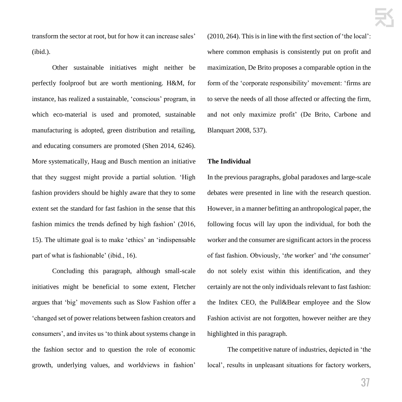transform the sector at root, but for how it can increase sales' (ibid.).

Other sustainable initiatives might neither be perfectly foolproof but are worth mentioning. H&M, for instance, has realized a sustainable, 'conscious' program, in which eco-material is used and promoted, sustainable manufacturing is adopted, green distribution and retailing, and educating consumers are promoted (Shen 2014, 6246). More systematically, Haug and Busch mention an initiative that they suggest might provide a partial solution. 'High fashion providers should be highly aware that they to some extent set the standard for fast fashion in the sense that this fashion mimics the trends defined by high fashion' (2016, 15). The ultimate goal is to make 'ethics' an 'indispensable part of what is fashionable' (ibid., 16).

Concluding this paragraph, although small-scale initiatives might be beneficial to some extent, Fletcher argues that 'big' movements such as Slow Fashion offer a 'changed set of power relations between fashion creators and consumers', and invites us 'to think about systems change in the fashion sector and to question the role of economic growth, underlying values, and worldviews in fashion'

(2010, 264). This is in line with the first section of 'the local': where common emphasis is consistently put on profit and maximization, De Brito proposes a comparable option in the form of the 'corporate responsibility' movement: 'firms are to serve the needs of all those affected or affecting the firm, and not only maximize profit' (De Brito, Carbone and Blanquart 2008, 537).

# **The Individual**

In the previous paragraphs, global paradoxes and large-scale debates were presented in line with the research question. However, in a manner befitting an anthropological paper, the following focus will lay upon the individual, for both the worker and the consumer are significant actors in the process of fast fashion. Obviously, '*the* worker' and '*the* consumer' do not solely exist within this identification, and they certainly are not the only individuals relevant to fast fashion: the Inditex CEO, the Pull&Bear employee and the Slow Fashion activist are not forgotten, however neither are they highlighted in this paragraph.

The competitive nature of industries, depicted in 'the local', results in unpleasant situations for factory workers,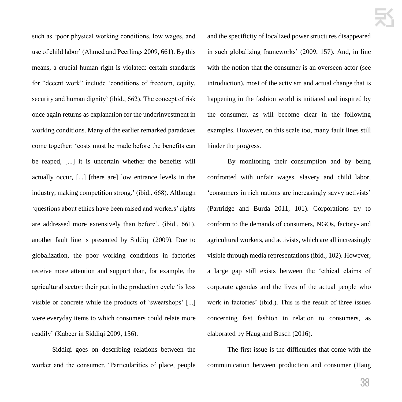such as 'poor physical working conditions, low wages, and use of child labor' (Ahmed and Peerlings 2009, 661). By this means, a crucial human right is violated: certain standards for "decent work" include 'conditions of freedom, equity, security and human dignity' (ibid., 662). The concept of risk once again returns as explanation for the underinvestment in working conditions. Many of the earlier remarked paradoxes come together: 'costs must be made before the benefits can be reaped, [...] it is uncertain whether the benefits will actually occur, [...] [there are] low entrance levels in the industry, making competition strong.' (ibid., 668). Although 'questions about ethics have been raised and workers' rights are addressed more extensively than before', (ibid., 661), another fault line is presented by Siddiqi (2009). Due to globalization, the poor working conditions in factories receive more attention and support than, for example, the agricultural sector: their part in the production cycle 'is less visible or concrete while the products of 'sweatshops' [...] were everyday items to which consumers could relate more readily' (Kabeer in Siddiqi 2009, 156).

Siddiqi goes on describing relations between the worker and the consumer. 'Particularities of place, people and the specificity of localized power structures disappeared in such globalizing frameworks' (2009, 157). And, in line with the notion that the consumer is an overseen actor (see introduction), most of the activism and actual change that is happening in the fashion world is initiated and inspired by the consumer, as will become clear in the following examples. However, on this scale too, many fault lines still hinder the progress.

By monitoring their consumption and by being confronted with unfair wages, slavery and child labor, 'consumers in rich nations are increasingly savvy activists' (Partridge and Burda 2011, 101). Corporations try to conform to the demands of consumers, NGOs, factory- and agricultural workers, and activists, which are all increasingly visible through media representations (ibid., 102). However, a large gap still exists between the 'ethical claims of corporate agendas and the lives of the actual people who work in factories' (ibid.). This is the result of three issues concerning fast fashion in relation to consumers, as elaborated by Haug and Busch (2016).

The first issue is the difficulties that come with the communication between production and consumer (Haug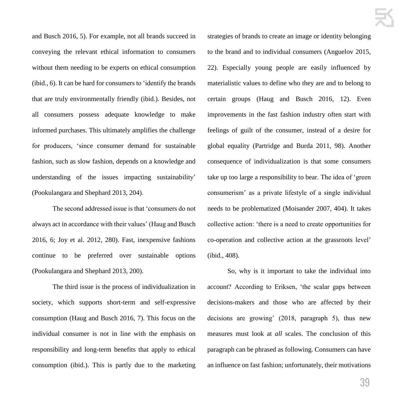and Busch 2016, 5). For example, not all brands succeed in conveying the relevant ethical information to consumers without them needing to be experts on ethical consumption (ibid., 6). It can be hard for consumers to 'identify the brands that are truly environmentally friendly (ibid.). Besides, not all consumers possess adequate knowledge to make informed purchases. This ultimately amplifies the challenge for producers, 'since consumer demand for sustainable fashion, such as slow fashion, depends on a knowledge and understanding of the issues impacting sustainability' (Pookulangara and Shephard 2013, 204).

The second addressed issue is that 'consumers do not always act in accordance with their values' (Haug and Busch 2016, 6; Joy et al. 2012, 280). Fast, inexpensive fashions continue to be preferred over sustainable options (Pookulangara and Shephard 2013, 200).

The third issue is the process of individualization in society, which supports short-term and self-expressive consumption (Haug and Busch 2016, 7). This focus on the individual consumer is not in line with the emphasis on responsibility and long-term benefits that apply to ethical consumption (ibid.). This is partly due to the marketing strategies of brands to create an image or identity belonging to the brand and to individual consumers (Anguelov 2015, 22). Especially young people are easily influenced by materialistic values to define who they are and to belong to certain groups (Haug and Busch 2016, 12). Even improvements in the fast fashion industry often start with feelings of guilt of the consumer, instead of a desire for global equality (Partridge and Burda 2011, 98). Another consequence of individualization is that some consumers take up too large a responsibility to bear. The idea of 'green consumerism' as a private lifestyle of a single individual needs to be problematized (Moisander 2007, 404). It takes collective action: 'there is a need to create opportunities for co-operation and collective action at the grassroots level' (ibid., 408).

So, why is it important to take the individual into account? According to Eriksen, 'the scalar gaps between decisions-makers and those who are affected by their decisions are growing' (2018, paragraph 5), thus new measures must look at *all* scales. The conclusion of this paragraph can be phrased as following. Consumers can have an influence on fast fashion; unfortunately, their motivations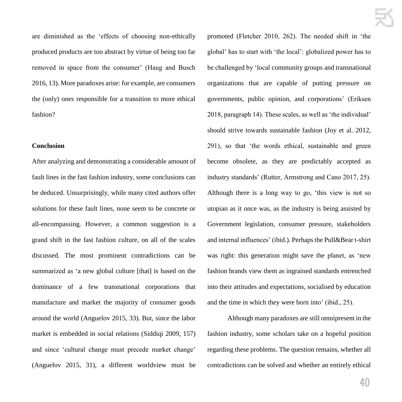are diminished as the 'effects of choosing non-ethically produced products are too abstract by virtue of being too far removed in space from the consumer' (Haug and Busch 2016, 13). More paradoxes arise: for example, are consumers the (only) ones responsible for a transition to more ethical fashion?

# **Conclusion**

After analyzing and demonstrating a considerable amount of fault lines in the fast fashion industry, some conclusions can be deduced. Unsurprisingly, while many cited authors offer solutions for these fault lines, none seem to be concrete or all-encompassing. However, a common suggestion is a grand shift in the fast fashion culture, on all of the scales discussed. The most prominent contradictions can be summarized as 'a new global culture [that] is based on the dominance of a few transnational corporations that manufacture and market the majority of consumer goods around the world (Anguelov 2015, 33). But, since the labor market is embedded in social relations (Siddiqi 2009, 157) and since 'cultural change must precede market change' (Anguelov 2015, 31), a different worldview must be promoted (Fletcher 2010, 262). The needed shift in 'the global' has to start with 'the local': globalized power has to be challenged by 'local community groups and transnational organizations that are capable of putting pressure on governments, public opinion, and corporations' (Eriksen 2018, paragraph 14). These scales, as well as 'the individual' should strive towards sustainable fashion (Joy et al. 2012, 291), so that 'the words ethical, sustainable and green become obsolete, as they are predictably accepted as industry standards' (Rutter, Armstrong and Cano 2017, 25). Although there is a long way to go, 'this view is not so utopian as it once was, as the industry is being assisted by Government legislation, consumer pressure, stakeholders and internal influences' (ibid.). Perhaps the Pull&Bear t-shirt was right: this generation might save the planet, as 'new fashion brands view them as ingrained standards entrenched into their attitudes and expectations, socialised by education and the time in which they were born into' (ibid., 25).

Although many paradoxes are still omnipresent in the fashion industry, some scholars take on a hopeful position regarding these problems. The question remains, whether all contradictions can be solved and whether an entirely ethical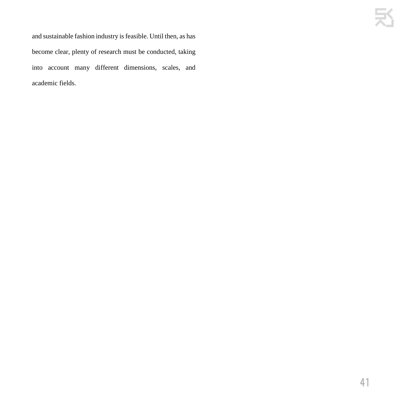and sustainable fashion industry is feasible. Until then, as has become clear, plenty of research must be conducted, taking into account many different dimensions, scales, and academic fields.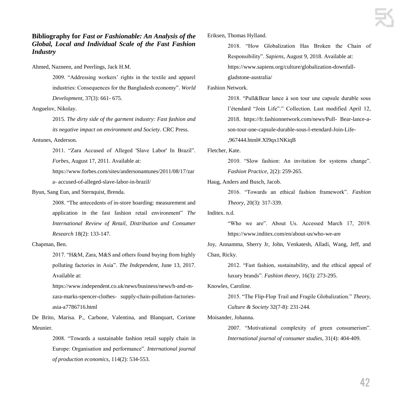# **Bibliography for** *Fast or Fashionable: An Analysis of the Global, Local and Individual Scale of the Fast Fashion Industry*

Ahmed, Nazneen, and Peerlings, Jack H.M.

2009. "Addressing workers' rights in the textile and apparel industries: Consequences for the Bangladesh economy". *World Development*, 37(3): 661- 675.

Anguelov, Nikolay.

2015. *The dirty side of the garment industry: Fast fashion and its negative impact on environment and Society*. CRC Press.

Antunes, Anderson.

2011. "Zara Accused of Alleged 'Slave Labor' In Brazil". *Forbes*, August 17, 2011. Available at:

https://www.forbes.com/sites/andersonantunes/2011/08/17/zar a- accused-of-alleged-slave-labor-in-brazil/

Byun, Sang Eun, and Sternquist, Brenda.

2008. "The antecedents of in-store hoarding: measurement and application in the fast fashion retail environment" *The International Review of Retail, Distribution and Consumer Research* 18(2): 133-147.

# Chapman, Ben.

2017. "H&M, Zara, M&S and others found buying from highly polluting factories in Asia". *The Independent,* June 13, 2017. Available at:

https://www.independent.co.uk/news/business/news/h-and-mzara-marks-spencer-clothes- supply-chain-pollution-factoriesasia-a7786716.html

De Brito, Marisa. P., Carbone, Valentina, and Blanquart, Corinne Meunier.

> 2008. "Towards a sustainable fashion retail supply chain in Europe: Organisation and performance". *International journal of production economics*, 114(2): 534-553.

Eriksen, Thomas Hylland.

2018. "How Globalization Has Broken the Chain of Responsibility". *Sapiens*, August 9, 2018. Available at: https://www.sapiens.org/culture/globalization-downfallgladstone-australia/

Fashion Network.

2018. "Pull&Bear lance à son tour une capsule durable sous l'étendard "Join Life"." Collection. Last modified April 12, 2018. https://fr.fashionnetwork.com/news/Pull- Bear-lance-ason-tour-une-capsule-durable-sous-l-etendard-Join-Life-

,967444.html#.XI9qx1NKiqB

Fletcher, Kate.

2010. "Slow fashion: An invitation for systems change". *Fashion Practice*, 2(2): 259-265.

Haug, Anders and Busch, Jacob.

2016. "Towards an ethical fashion framework". *Fashion Theory*, 20(3): 317-339.

Inditex. n.d.

"Who we are". About Us. Accessed March 17, 2019. https://www.inditex.com/en/about-us/who-we-are

Joy, Annamma, Sherry Jr, John, Venkatesh, Alladi, Wang, Jeff, and Chan, Ricky.

2012. "Fast fashion, sustainability, and the ethical appeal of luxury brands". *Fashion theory*, 16(3): 273-295.

Knowles, Caroline.

2015. "The Flip-Flop Trail and Fragile Globalization." *Theory, Culture & Society* 32(7-8): 231-244.

Moisander, Johanna.

2007. "Motivational complexity of green consumerism". *International journal of consumer studies,* 31(4): 404-409.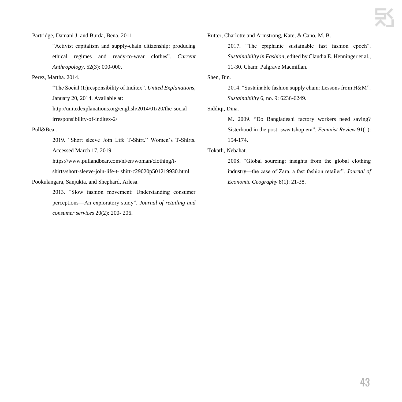Partridge, Damani J, and Burda, Bena. 2011.

"Activist capitalism and supply-chain citizenship: producing ethical regimes and ready-to-wear clothes". *Current Anthropology*, 52(3): 000-000.

# Perez, Martha. 2014.

"The Social (Ir)responsibility of Inditex". *United Explanations,*  January 20, 2014. Available at:

http://unitedexplanations.org/english/2014/01/20/the-socialirresponsibility-of-inditex-2/

## Pull&Bear.

2019. "Short sleeve Join Life T-Shirt." Women's T-Shirts. Accessed March 17, 2019.

https://www.pullandbear.com/nl/en/woman/clothing/t-

shirts/short-sleeve-join-life-t- shirt-c29020p501219930.html

# Pookulangara, Sanjukta, and Shephard, Arlesa.

2013. "Slow fashion movement: Understanding consumer perceptions—An exploratory study". *Journal of retailing and consumer services* 20(2): 200- 206.

Rutter, Charlotte and Armstrong, Kate, & Cano, M. B.

2017. "The epiphanic sustainable fast fashion epoch". *Sustainability in Fashion*, edited by Claudia E. Henninger et al., 11-30. Cham: Palgrave Macmillan.

# Shen, Bin.

2014. "Sustainable fashion supply chain: Lessons from H&M". *Sustainability* 6, no. 9: 6236-6249.

# Siddiqi, Dina.

M. 2009. "Do Bangladeshi factory workers need saving? Sisterhood in the post- sweatshop era". *Feminist Review* 91(1): 154-174.

# Tokatli, Nebahat.

2008. "Global sourcing: insights from the global clothing industry—the case of Zara, a fast fashion retailer". *Journal of Economic Geography* 8(1): 21-38.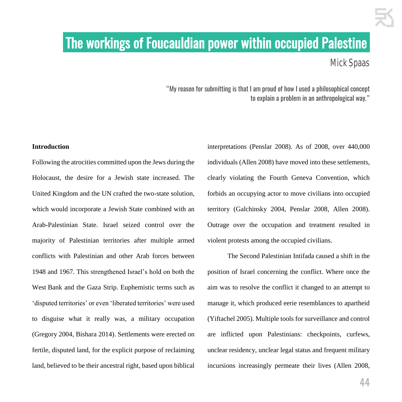# .The workings of Foucauldian power within occupied Palestine.

Mick Spaas

"My reason for submitting is that I am proud of how I used a philosophical concept to explain a problem in an anthropological way."

# **Introduction**

Following the atrocities committed upon the Jews during the Holocaust, the desire for a Jewish state increased. The United Kingdom and the UN crafted the two-state solution, which would incorporate a Jewish State combined with an Arab-Palestinian State. Israel seized control over the majority of Palestinian territories after multiple armed conflicts with Palestinian and other Arab forces between 1948 and 1967. This strengthened Israel's hold on both the West Bank and the Gaza Strip. Euphemistic terms such as 'disputed territories' or even 'liberated territories' were used to disguise what it really was, a military occupation (Gregory 2004, Bishara 2014). Settlements were erected on fertile, disputed land, for the explicit purpose of reclaiming land, believed to be their ancestral right, based upon biblical

interpretations (Penslar 2008). As of 2008, over 440,000 individuals (Allen 2008) have moved into these settlements, clearly violating the Fourth Geneva Convention, which forbids an occupying actor to move civilians into occupied territory (Galchinsky 2004, Penslar 2008, Allen 2008). Outrage over the occupation and treatment resulted in violent protests among the occupied civilians.

The Second Palestinian Intifada caused a shift in the position of Israel concerning the conflict. Where once the aim was to resolve the conflict it changed to an attempt to manage it, which produced eerie resemblances to apartheid (Yiftachel 2005). Multiple tools for surveillance and control are inflicted upon Palestinians: checkpoints, curfews, unclear residency, unclear legal status and frequent military incursions increasingly permeate their lives (Allen 2008,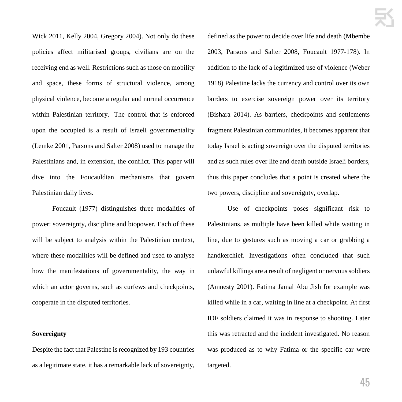Wick 2011, Kelly 2004, Gregory 2004). Not only do these policies affect militarised groups, civilians are on the receiving end as well. Restrictions such as those on mobility and space, these forms of structural violence, among physical violence, become a regular and normal occurrence within Palestinian territory. The control that is enforced upon the occupied is a result of Israeli governmentality (Lemke 2001, Parsons and Salter 2008) used to manage the Palestinians and, in extension, the conflict. This paper will dive into the Foucauldian mechanisms that govern Palestinian daily lives.

Foucault (1977) distinguishes three modalities of power: sovereignty, discipline and biopower. Each of these will be subject to analysis within the Palestinian context, where these modalities will be defined and used to analyse how the manifestations of governmentality, the way in which an actor governs, such as curfews and checkpoints, cooperate in the disputed territories.

# **Sovereignty**

Despite the fact that Palestine is recognized by 193 countries as a legitimate state, it has a remarkable lack of sovereignty,

defined as the power to decide over life and death (Mbembe 2003, Parsons and Salter 2008, Foucault 1977-178). In addition to the lack of a legitimized use of violence (Weber 1918) Palestine lacks the currency and control over its own borders to exercise sovereign power over its territory (Bishara 2014). As barriers, checkpoints and settlements fragment Palestinian communities, it becomes apparent that today Israel is acting sovereign over the disputed territories and as such rules over life and death outside Israeli borders, thus this paper concludes that a point is created where the two powers, discipline and sovereignty, overlap.

Use of checkpoints poses significant risk to Palestinians, as multiple have been killed while waiting in line, due to gestures such as moving a car or grabbing a handkerchief. Investigations often concluded that such unlawful killings are a result of negligent or nervous soldiers (Amnesty 2001). Fatima Jamal Abu Jish for example was killed while in a car, waiting in line at a checkpoint. At first IDF soldiers claimed it was in response to shooting. Later this was retracted and the incident investigated. No reason was produced as to why Fatima or the specific car were targeted.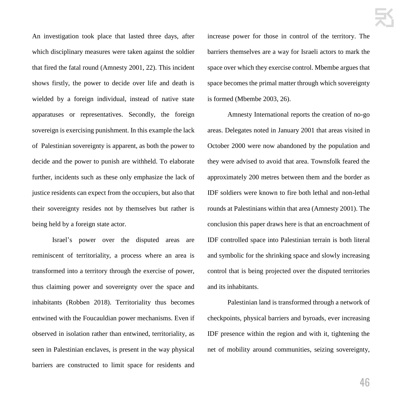An investigation took place that lasted three days, after which disciplinary measures were taken against the soldier that fired the fatal round (Amnesty 2001, 22). This incident shows firstly, the power to decide over life and death is wielded by a foreign individual, instead of native state apparatuses or representatives. Secondly, the foreign sovereign is exercising punishment. In this example the lack of Palestinian sovereignty is apparent, as both the power to decide and the power to punish are withheld. To elaborate further, incidents such as these only emphasize the lack of justice residents can expect from the occupiers, but also that their sovereignty resides not by themselves but rather is being held by a foreign state actor.

Israel's power over the disputed areas are reminiscent of territoriality, a process where an area is transformed into a territory through the exercise of power, thus claiming power and sovereignty over the space and inhabitants (Robben 2018). Territoriality thus becomes entwined with the Foucauldian power mechanisms. Even if observed in isolation rather than entwined, territoriality, as seen in Palestinian enclaves, is present in the way physical barriers are constructed to limit space for residents and increase power for those in control of the territory. The barriers themselves are a way for Israeli actors to mark the space over which they exercise control. Mbembe argues that space becomes the primal matter through which sovereignty is formed (Mbembe 2003, 26).

Amnesty International reports the creation of no-go areas. Delegates noted in January 2001 that areas visited in October 2000 were now abandoned by the population and they were advised to avoid that area. Townsfolk feared the approximately 200 metres between them and the border as IDF soldiers were known to fire both lethal and non-lethal rounds at Palestinians within that area (Amnesty 2001). The conclusion this paper draws here is that an encroachment of IDF controlled space into Palestinian terrain is both literal and symbolic for the shrinking space and slowly increasing control that is being projected over the disputed territories and its inhabitants.

Palestinian land is transformed through a network of checkpoints, physical barriers and byroads, ever increasing IDF presence within the region and with it, tightening the net of mobility around communities, seizing sovereignty,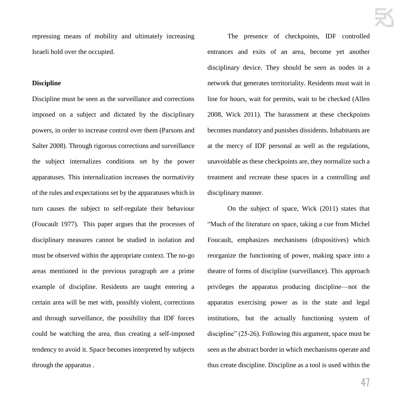repressing means of mobility and ultimately increasing Israeli hold over the occupied.

# **Discipline**

Discipline must be seen as the surveillance and corrections imposed on a subject and dictated by the disciplinary powers, in order to increase control over them (Parsons and Salter 2008). Through rigorous corrections and surveillance the subject internalizes conditions set by the power apparatuses. This internalization increases the normativity of the rules and expectations set by the apparatuses which in turn causes the subject to self-regulate their behaviour (Foucault 1977). This paper argues that the processes of disciplinary measures cannot be studied in isolation and must be observed within the appropriate context. The no-go areas mentioned in the previous paragraph are a prime example of discipline. Residents are taught entering a certain area will be met with, possibly violent, corrections and through surveillance, the possibility that IDF forces could be watching the area, thus creating a self-imposed tendency to avoid it. Space becomes interpreted by subjects through the apparatus .

The presence of checkpoints, IDF controlled entrances and exits of an area, become yet another disciplinary device. They should be seen as nodes in a network that generates territoriality. Residents must wait in line for hours, wait for permits, wait to be checked (Allen 2008, Wick 2011). The harassment at these checkpoints becomes mandatory and punishes dissidents. Inhabitants are at the mercy of IDF personal as well as the regulations, unavoidable as these checkpoints are, they normalize such a treatment and recreate these spaces in a controlling and disciplinary manner.

On the subject of space, Wick (2011) states that "Much of the literature on space, taking a cue from Michel Foucault, emphasizes mechanisms (dispositives) which reorganize the functioning of power, making space into a theatre of forms of discipline (surveillance). This approach privileges the apparatus producing discipline—not the apparatus exercising power as in the state and legal institutions, but the actually functioning system of discipline" (25-26). Following this argument, space must be seen as the abstract border in which mechanisms operate and thus create discipline. Discipline as a tool is used within the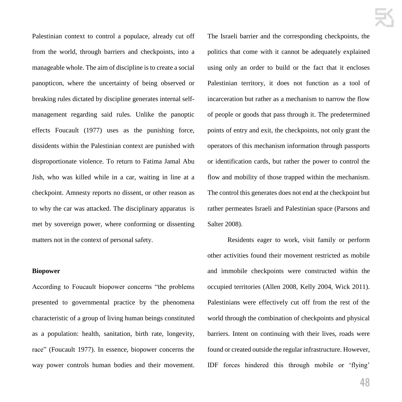Palestinian context to control a populace, already cut off from the world, through barriers and checkpoints, into a manageable whole. The aim of discipline is to create a social panopticon, where the uncertainty of being observed or breaking rules dictated by discipline generates internal selfmanagement regarding said rules. Unlike the panoptic effects Foucault (1977) uses as the punishing force, dissidents within the Palestinian context are punished with disproportionate violence. To return to Fatima Jamal Abu Jish, who was killed while in a car, waiting in line at a checkpoint. Amnesty reports no dissent, or other reason as to why the car was attacked. The disciplinary apparatus is met by sovereign power, where conforming or dissenting matters not in the context of personal safety.

# **Biopower**

According to Foucault biopower concerns "the problems presented to governmental practice by the phenomena characteristic of a group of living human beings constituted as a population: health, sanitation, birth rate, longevity, race" (Foucault 1977). In essence, biopower concerns the way power controls human bodies and their movement. The Israeli barrier and the corresponding checkpoints, the politics that come with it cannot be adequately explained using only an order to build or the fact that it encloses Palestinian territory, it does not function as a tool of incarceration but rather as a mechanism to narrow the flow of people or goods that pass through it. The predetermined points of entry and exit, the checkpoints, not only grant the operators of this mechanism information through passports or identification cards, but rather the power to control the flow and mobility of those trapped within the mechanism. The control this generates does not end at the checkpoint but rather permeates Israeli and Palestinian space (Parsons and Salter 2008).

Residents eager to work, visit family or perform other activities found their movement restricted as mobile and immobile checkpoints were constructed within the occupied territories (Allen 2008, Kelly 2004, Wick 2011). Palestinians were effectively cut off from the rest of the world through the combination of checkpoints and physical barriers. Intent on continuing with their lives, roads were found or created outside the regular infrastructure. However, IDF forces hindered this through mobile or 'flying'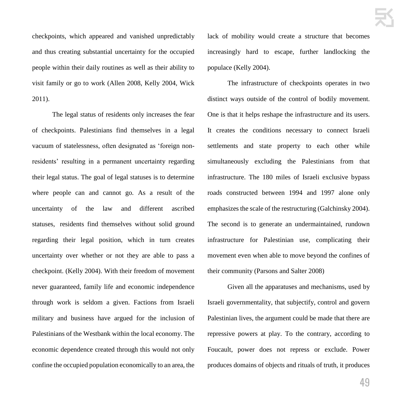checkpoints, which appeared and vanished unpredictably and thus creating substantial uncertainty for the occupied people within their daily routines as well as their ability to visit family or go to work (Allen 2008, Kelly 2004, Wick 2011).

The legal status of residents only increases the fear of checkpoints. Palestinians find themselves in a legal vacuum of statelessness, often designated as 'foreign nonresidents' resulting in a permanent uncertainty regarding their legal status. The goal of legal statuses is to determine where people can and cannot go. As a result of the uncertainty of the law and different ascribed statuses, residents find themselves without solid ground regarding their legal position, which in turn creates uncertainty over whether or not they are able to pass a checkpoint. (Kelly 2004). With their freedom of movement never guaranteed, family life and economic independence through work is seldom a given. Factions from Israeli military and business have argued for the inclusion of Palestinians of the Westbank within the local economy. The economic dependence created through this would not only confine the occupied population economically to an area, the lack of mobility would create a structure that becomes increasingly hard to escape, further landlocking the populace (Kelly 2004).

The infrastructure of checkpoints operates in two distinct ways outside of the control of bodily movement. One is that it helps reshape the infrastructure and its users. It creates the conditions necessary to connect Israeli settlements and state property to each other while simultaneously excluding the Palestinians from that infrastructure. The 180 miles of Israeli exclusive bypass roads constructed between 1994 and 1997 alone only emphasizes the scale of the restructuring (Galchinsky 2004). The second is to generate an undermaintained, rundown infrastructure for Palestinian use, complicating their movement even when able to move beyond the confines of their community (Parsons and Salter 2008)

Given all the apparatuses and mechanisms, used by Israeli governmentality, that subjectify, control and govern Palestinian lives, the argument could be made that there are repressive powers at play. To the contrary, according to Foucault, power does not repress or exclude. Power produces domains of objects and rituals of truth, it produces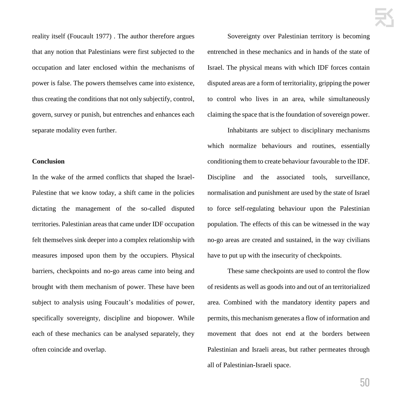reality itself (Foucault 1977) . The author therefore argues that any notion that Palestinians were first subjected to the occupation and later enclosed within the mechanisms of power is false. The powers themselves came into existence, thus creating the conditions that not only subjectify, control, govern, survey or punish, but entrenches and enhances each separate modality even further.

# **Conclusion**

In the wake of the armed conflicts that shaped the Israel-Palestine that we know today, a shift came in the policies dictating the management of the so-called disputed territories. Palestinian areas that came under IDF occupation felt themselves sink deeper into a complex relationship with measures imposed upon them by the occupiers. Physical barriers, checkpoints and no-go areas came into being and brought with them mechanism of power. These have been subject to analysis using Foucault's modalities of power, specifically sovereignty, discipline and biopower. While each of these mechanics can be analysed separately, they often coincide and overlap.

Sovereignty over Palestinian territory is becoming entrenched in these mechanics and in hands of the state of Israel. The physical means with which IDF forces contain disputed areas are a form of territoriality, gripping the power to control who lives in an area, while simultaneously claiming the space that is the foundation of sovereign power.

Inhabitants are subject to disciplinary mechanisms which normalize behaviours and routines, essentially conditioning them to create behaviour favourable to the IDF. Discipline and the associated tools, surveillance, normalisation and punishment are used by the state of Israel to force self-regulating behaviour upon the Palestinian population. The effects of this can be witnessed in the way no-go areas are created and sustained, in the way civilians have to put up with the insecurity of checkpoints.

These same checkpoints are used to control the flow of residents as well as goods into and out of an territorialized area. Combined with the mandatory identity papers and permits, this mechanism generates a flow of information and movement that does not end at the borders between Palestinian and Israeli areas, but rather permeates through all of Palestinian-Israeli space.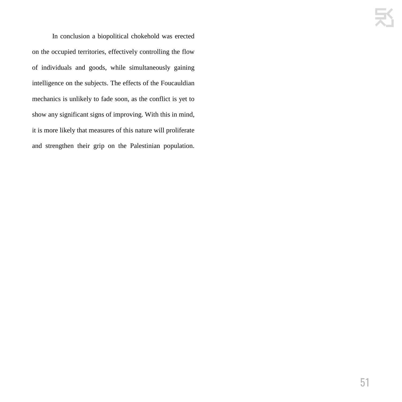In conclusion a biopolitical chokehold was erected on the occupied territories, effectively controlling the flow of individuals and goods, while simultaneously gaining intelligence on the subjects. The effects of the Foucauldian mechanics is unlikely to fade soon, as the conflict is yet to show any significant signs of improving. With this in mind, it is more likely that measures of this nature will proliferate and strengthen their grip on the Palestinian population.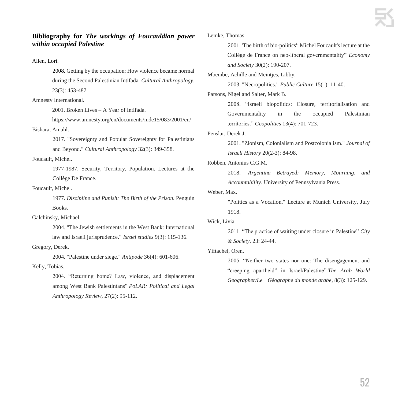# **Bibliography for** *The workings of Foucauldian power within occupied Palestine*

# Allen, Lori.

2008. Getting by the occupation: How violence became normal during the Second Palestinian Intifada. *Cultural Anthropology*, 23(3): 453-487.

# Amnesty International.

2001. Broken Lives – A Year of Intifada.

https://www.amnesty.org/en/documents/mde15/083/2001/en/ Bishara, Amahl.

> 2017. "Sovereignty and Popular Sovereignty for Palestinians and Beyond." *Cultural Anthropology* 32(3): 349-358.

# Foucault, Michel.

1977-1987. Security, Territory, Population. Lectures at the Collège De France.

# Foucault, Michel.

1977. *Discipline and Punish: The Birth of the Prison*. Penguin Books.

Galchinsky, Michael.

2004. "The Jewish settlements in the West Bank: International law and Israeli jurisprudence." *Israel studies* 9(3): 115-136. Gregory, Derek.

2004. "Palestine under siege." *Antipode* 36(4): 601-606. Kelly, Tobias.

> 2004. "Returning home? Law, violence, and displacement among West Bank Palestinians" *PoLAR: Political and Legal Anthropology Review*, 27(2): 95-112.

Lemke, Thomas.

2001. 'The birth of bio-politics': Michel Foucault's lecture at the Collège de France on neo-liberal governmentality" *Economy and Society* 30(2): 190-207.

Mbembe, Achille and Meintjes, Libby.

2003. "Necropolitics." *Public Culture* 15(1): 11-40.

Parsons, Nigel and Salter, Mark B.

2008. "Israeli biopolitics: Closure, territorialisation and Governmentality in the occupied Palestinian territories." *Geopolitics* 13(4): 701-723.

# Penslar, Derek J.

2001. "Zionism, Colonialism and Postcolonialism." *Journal of Israeli History* 20(2-3): 84-98.

# Robben, Antonius C.G.M.

2018. *Argentina Betrayed: Memory, Mourning, and Accountability*. University of Pennsylvania Press.

# Weber, Max.

"Politics as a Vocation." Lecture at Munich University, July 1918.

# Wick, Livia.

2011. "The practice of waiting under closure in Palestine" *City & Society*, 23: 24-44.

# Yiftachel, Oren.

2005. "Neither two states nor one: The disengagement and "creeping apartheid" in Israel/Palestine" *The Arab World Geographer/Le Géographe du monde arabe*, 8(3): 125-129.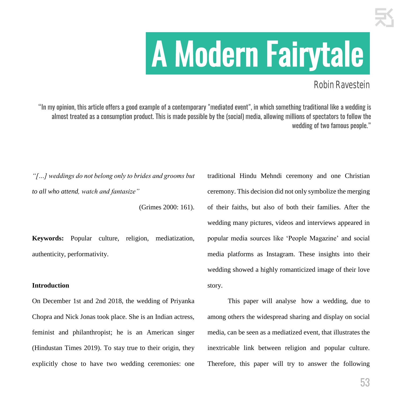# .A Modern Fairytale.

# Robin Ravestein

"In my opinion, this article offers a good example of a contemporary "mediated event", in which something traditional like a wedding is almost treated as a consumption product. This is made possible by the (social) media, allowing millions of spectators to follow the wedding of two famous people."

*"[…] weddings do not belong only to brides and grooms but to all who attend, watch and fantasize"*

(Grimes 2000: 161).

**Keywords:** Popular culture, religion, mediatization, authenticity, performativity.

# **Introduction**

On December 1st and 2nd 2018, the wedding of Priyanka Chopra and Nick Jonas took place. She is an Indian actress, feminist and philanthropist; he is an American singer (Hindustan Times 2019). To stay true to their origin, they explicitly chose to have two wedding ceremonies: one traditional Hindu Mehndi ceremony and one Christian ceremony. This decision did not only symbolize the merging of their faiths, but also of both their families. After the wedding many pictures, videos and interviews appeared in popular media sources like 'People Magazine' and social media platforms as Instagram. These insights into their wedding showed a highly romanticized image of their love story.

This paper will analyse how a wedding, due to among others the widespread sharing and display on social media, can be seen as a mediatized event, that illustrates the inextricable link between religion and popular culture. Therefore, this paper will try to answer the following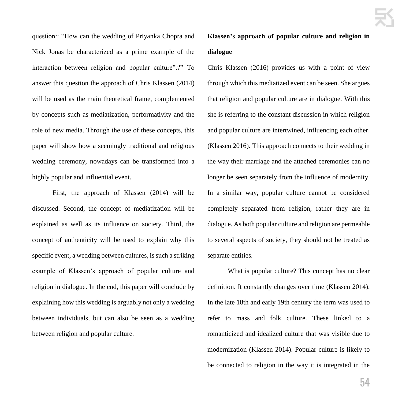question:: "How can the wedding of Priyanka Chopra and Nick Jonas be characterized as a prime example of the interaction between religion and popular culture".?" To answer this question the approach of Chris Klassen (2014) will be used as the main theoretical frame, complemented by concepts such as mediatization, performativity and the role of new media. Through the use of these concepts, this paper will show how a seemingly traditional and religious wedding ceremony, nowadays can be transformed into a highly popular and influential event.

First, the approach of Klassen (2014) will be discussed. Second, the concept of mediatization will be explained as well as its influence on society. Third, the concept of authenticity will be used to explain why this specific event, a wedding between cultures, is such a striking example of Klassen's approach of popular culture and religion in dialogue. In the end, this paper will conclude by explaining how this wedding is arguably not only a wedding between individuals, but can also be seen as a wedding between religion and popular culture.

**Klassen's approach of popular culture and religion in dialogue**

Chris Klassen (2016) provides us with a point of view through which this mediatized event can be seen. She argues that religion and popular culture are in dialogue. With this she is referring to the constant discussion in which religion and popular culture are intertwined, influencing each other. (Klassen 2016). This approach connects to their wedding in the way their marriage and the attached ceremonies can no longer be seen separately from the influence of modernity. In a similar way, popular culture cannot be considered completely separated from religion, rather they are in dialogue. As both popular culture and religion are permeable to several aspects of society, they should not be treated as separate entities.

What is popular culture? This concept has no clear definition. It constantly changes over time (Klassen 2014). In the late 18th and early 19th century the term was used to refer to mass and folk culture. These linked to a romanticized and idealized culture that was visible due to modernization (Klassen 2014). Popular culture is likely to be connected to religion in the way it is integrated in the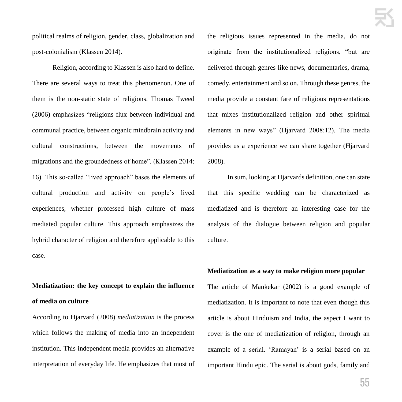political realms of religion, gender, class, globalization and post-colonialism (Klassen 2014).

Religion, according to Klassen is also hard to define. There are several ways to treat this phenomenon. One of them is the non-static state of religions. Thomas Tweed (2006) emphasizes "religions flux between individual and communal practice, between organic mindbrain activity and cultural constructions, between the movements of migrations and the groundedness of home". (Klassen 2014: 16). This so-called "lived approach" bases the elements of cultural production and activity on people's lived experiences, whether professed high culture of mass mediated popular culture. This approach emphasizes the hybrid character of religion and therefore applicable to this case.

# **Mediatization: the key concept to explain the influence of media on culture**

According to Hjarvard (2008) *mediatization* is the process which follows the making of media into an independent institution. This independent media provides an alternative interpretation of everyday life. He emphasizes that most of the religious issues represented in the media, do not originate from the institutionalized religions, "but are delivered through genres like news, documentaries, drama, comedy, entertainment and so on. Through these genres, the media provide a constant fare of religious representations that mixes institutionalized religion and other spiritual elements in new ways" (Hjarvard 2008:12). The media provides us a experience we can share together (Hjarvard 2008).

In sum, looking at Hjarvards definition, one can state that this specific wedding can be characterized as mediatized and is therefore an interesting case for the analysis of the dialogue between religion and popular culture.

# **Mediatization as a way to make religion more popular**

The article of Mankekar (2002) is a good example of mediatization. It is important to note that even though this article is about Hinduism and India, the aspect I want to cover is the one of mediatization of religion, through an example of a serial. 'Ramayan' is a serial based on an important Hindu epic. The serial is about gods, family and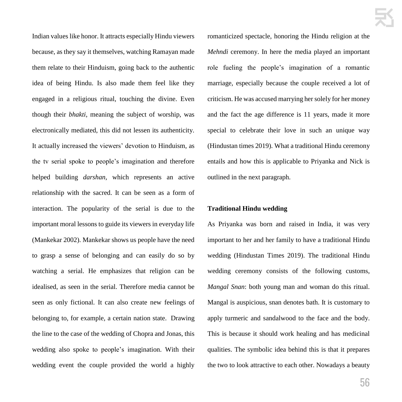Indian values like honor. It attracts especially Hindu viewers because, as they say it themselves, watching Ramayan made them relate to their Hinduism, going back to the authentic idea of being Hindu. Is also made them feel like they engaged in a religious ritual, touching the divine. Even though their *bhakti*, meaning the subject of worship, was electronically mediated, this did not lessen its authenticity. It actually increased the viewers' devotion to Hinduism, as the tv serial spoke to people's imagination and therefore helped building *darshan*, which represents an active relationship with the sacred. It can be seen as a form of interaction. The popularity of the serial is due to the important moral lessons to guide its viewers in everyday life (Mankekar 2002). Mankekar shows us people have the need to grasp a sense of belonging and can easily do so by watching a serial. He emphasizes that religion can be idealised, as seen in the serial. Therefore media cannot be seen as only fictional. It can also create new feelings of belonging to, for example, a certain nation state. Drawing the line to the case of the wedding of Chopra and Jonas, this wedding also spoke to people's imagination. With their wedding event the couple provided the world a highly romanticized spectacle, honoring the Hindu religion at the *Mehndi* ceremony. In here the media played an important role fueling the people's imagination of a romantic marriage, especially because the couple received a lot of criticism. He was accused marrying her solely for her money and the fact the age difference is 11 years, made it more special to celebrate their love in such an unique way (Hindustan times 2019). What a traditional Hindu ceremony entails and how this is applicable to Priyanka and Nick is outlined in the next paragraph.

# **Traditional Hindu wedding**

As Priyanka was born and raised in India, it was very important to her and her family to have a traditional Hindu wedding (Hindustan Times 2019). The traditional Hindu wedding ceremony consists of the following customs, *Mangal Snan*: both young man and woman do this ritual. Mangal is auspicious, snan denotes bath. It is customary to apply turmeric and sandalwood to the face and the body. This is because it should work healing and has medicinal qualities. The symbolic idea behind this is that it prepares the two to look attractive to each other. Nowadays a beauty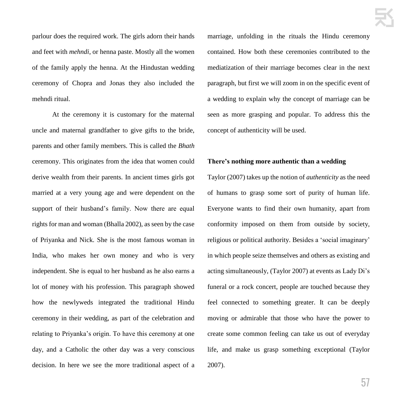parlour does the required work. The girls adorn their hands and feet with *mehndi*, or henna paste. Mostly all the women of the family apply the henna. At the Hindustan wedding ceremony of Chopra and Jonas they also included the mehndi ritual.

At the ceremony it is customary for the maternal uncle and maternal grandfather to give gifts to the bride, parents and other family members. This is called the *Bhath*  ceremony. This originates from the idea that women could derive wealth from their parents. In ancient times girls got married at a very young age and were dependent on the support of their husband's family. Now there are equal rights for man and woman (Bhalla 2002), as seen by the case of Priyanka and Nick. She is the most famous woman in India, who makes her own money and who is very independent. She is equal to her husband as he also earns a lot of money with his profession. This paragraph showed how the newlyweds integrated the traditional Hindu ceremony in their wedding, as part of the celebration and relating to Priyanka's origin. To have this ceremony at one day, and a Catholic the other day was a very conscious decision. In here we see the more traditional aspect of a marriage, unfolding in the rituals the Hindu ceremony contained. How both these ceremonies contributed to the mediatization of their marriage becomes clear in the next paragraph, but first we will zoom in on the specific event of a wedding to explain why the concept of marriage can be seen as more grasping and popular. To address this the concept of authenticity will be used.

# **There's nothing more authentic than a wedding**

Taylor (2007) takes up the notion of *authenticity* as the need of humans to grasp some sort of purity of human life. Everyone wants to find their own humanity, apart from conformity imposed on them from outside by society, religious or political authority. Besides a 'social imaginary' in which people seize themselves and others as existing and acting simultaneously, (Taylor 2007) at events as Lady Di's funeral or a rock concert, people are touched because they feel connected to something greater. It can be deeply moving or admirable that those who have the power to create some common feeling can take us out of everyday life, and make us grasp something exceptional (Taylor 2007).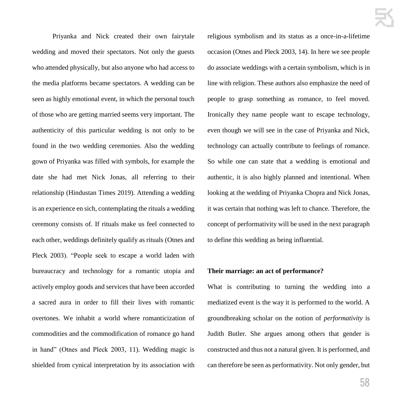Priyanka and Nick created their own fairytale wedding and moved their spectators. Not only the guests who attended physically, but also anyone who had access to the media platforms became spectators. A wedding can be seen as highly emotional event, in which the personal touch of those who are getting married seems very important. The authenticity of this particular wedding is not only to be found in the two wedding ceremonies. Also the wedding gown of Priyanka was filled with symbols, for example the date she had met Nick Jonas, all referring to their relationship (Hindustan Times 2019). Attending a wedding is an experience en sich, contemplating the rituals a wedding ceremony consists of. If rituals make us feel connected to each other, weddings definitely qualify as rituals (Otnes and Pleck 2003). "People seek to escape a world laden with bureaucracy and technology for a romantic utopia and actively employ goods and services that have been accorded a sacred aura in order to fill their lives with romantic overtones. We inhabit a world where romanticization of commodities and the commodification of romance go hand in hand" (Otnes and Pleck 2003, 11). Wedding magic is shielded from cynical interpretation by its association with religious symbolism and its status as a once-in-a-lifetime occasion (Otnes and Pleck 2003, 14). In here we see people do associate weddings with a certain symbolism, which is in line with religion. These authors also emphasize the need of people to grasp something as romance, to feel moved. Ironically they name people want to escape technology, even though we will see in the case of Priyanka and Nick, technology can actually contribute to feelings of romance. So while one can state that a wedding is emotional and authentic, it is also highly planned and intentional. When looking at the wedding of Priyanka Chopra and Nick Jonas, it was certain that nothing was left to chance. Therefore, the concept of performativity will be used in the next paragraph to define this wedding as being influential.

# **Their marriage: an act of performance?**

What is contributing to turning the wedding into a mediatized event is the way it is performed to the world. A groundbreaking scholar on the notion of *performativity* is Judith Butler. She argues among others that gender is constructed and thus not a natural given. It is performed, and can therefore be seen as performativity. Not only gender, but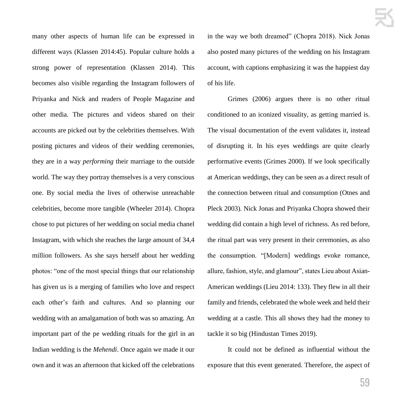many other aspects of human life can be expressed in different ways (Klassen 2014:45). Popular culture holds a strong power of representation (Klassen 2014). This becomes also visible regarding the Instagram followers of Priyanka and Nick and readers of People Magazine and other media. The pictures and videos shared on their accounts are picked out by the celebrities themselves. With posting pictures and videos of their wedding ceremonies, they are in a way *performing* their marriage to the outside world. The way they portray themselves is a very conscious one. By social media the lives of otherwise unreachable celebrities, become more tangible (Wheeler 2014). Chopra chose to put pictures of her wedding on social media chanel Instagram, with which she reaches the large amount of 34,4 million followers. As she says herself about her wedding photos: "one of the most special things that our relationship has given us is a merging of families who love and respect each other's faith and cultures. And so planning our wedding with an amalgamation of both was so amazing. An important part of the pe wedding rituals for the girl in an Indian wedding is the *Mehendi*. Once again we made it our own and it was an afternoon that kicked off the celebrations in the way we both dreamed" (Chopra 2018). Nick Jonas also posted many pictures of the wedding on his Instagram account, with captions emphasizing it was the happiest day of his life.

Grimes (2006) argues there is no other ritual conditioned to an iconized visuality, as getting married is. The visual documentation of the event validates it, instead of disrupting it. In his eyes weddings are quite clearly performative events (Grimes 2000). If we look specifically at American weddings, they can be seen as a direct result of the connection between ritual and consumption (Otnes and Pleck 2003). Nick Jonas and Priyanka Chopra showed their wedding did contain a high level of richness. As red before, the ritual part was very present in their ceremonies, as also the consumption. "[Modern] weddings evoke romance, allure, fashion, style, and glamour", states Lieu about Asian-American weddings (Lieu 2014: 133). They flew in all their family and friends, celebrated the whole week and held their wedding at a castle. This all shows they had the money to tackle it so big (Hindustan Times 2019).

It could not be defined as influential without the exposure that this event generated. Therefore, the aspect of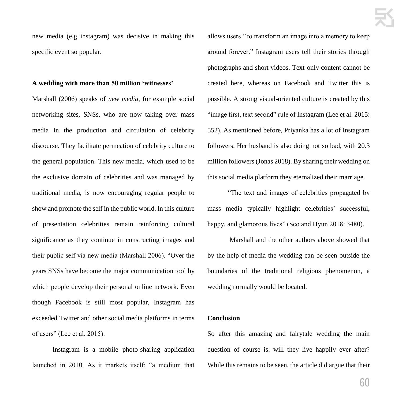new media (e.g instagram) was decisive in making this specific event so popular.

# **A wedding with more than 50 million 'witnesses'**

Marshall (2006) speaks of *new media*, for example social networking sites, SNSs, who are now taking over mass media in the production and circulation of celebrity discourse. They facilitate permeation of celebrity culture to the general population. This new media, which used to be the exclusive domain of celebrities and was managed by traditional media, is now encouraging regular people to show and promote the self in the public world. In this culture of presentation celebrities remain reinforcing cultural significance as they continue in constructing images and their public self via new media (Marshall 2006). "Over the years SNSs have become the major communication tool by which people develop their personal online network. Even though Facebook is still most popular, Instagram has exceeded Twitter and other social media platforms in terms of users" (Lee et al. 2015).

Instagram is a mobile photo-sharing application launched in 2010. As it markets itself: "a medium that

allows users ''to transform an image into a memory to keep around forever." Instagram users tell their stories through photographs and short videos. Text-only content cannot be created here, whereas on Facebook and Twitter this is possible. A strong visual-oriented culture is created by this "image first, text second" rule of Instagram (Lee et al. 2015: 552). As mentioned before, Priyanka has a lot of Instagram followers. Her husband is also doing not so bad, with 20.3 million followers (Jonas 2018). By sharing their wedding on this social media platform they eternalized their marriage.

"The text and images of celebrities propagated by mass media typically highlight celebrities' successful, happy, and glamorous lives" (Seo and Hyun 2018: 3480).

Marshall and the other authors above showed that by the help of media the wedding can be seen outside the boundaries of the traditional religious phenomenon, a wedding normally would be located.

# **Conclusion**

So after this amazing and fairytale wedding the main question of course is: will they live happily ever after? While this remains to be seen, the article did argue that their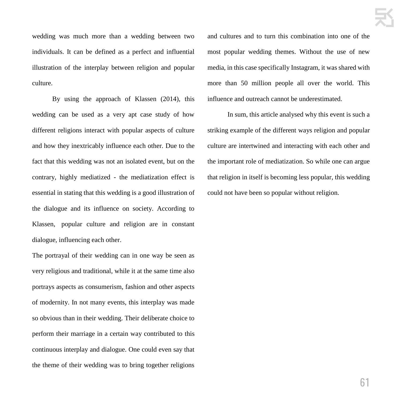wedding was much more than a wedding between two individuals. It can be defined as a perfect and influential illustration of the interplay between religion and popular culture.

By using the approach of Klassen (2014), this wedding can be used as a very apt case study of how different religions interact with popular aspects of culture and how they inextricably influence each other. Due to the fact that this wedding was not an isolated event, but on the contrary, highly mediatized - the mediatization effect is essential in stating that this wedding is a good illustration of the dialogue and its influence on society. According to Klassen, popular culture and religion are in constant dialogue, influencing each other.

The portrayal of their wedding can in one way be seen as very religious and traditional, while it at the same time also portrays aspects as consumerism, fashion and other aspects of modernity. In not many events, this interplay was made so obvious than in their wedding. Their deliberate choice to perform their marriage in a certain way contributed to this continuous interplay and dialogue. One could even say that the theme of their wedding was to bring together religions and cultures and to turn this combination into one of the most popular wedding themes. Without the use of new media, in this case specifically Instagram, it was shared with more than 50 million people all over the world. This influence and outreach cannot be underestimated.

In sum, this article analysed why this event is such a striking example of the different ways religion and popular culture are intertwined and interacting with each other and the important role of mediatization. So while one can argue that religion in itself is becoming less popular, this wedding could not have been so popular without religion.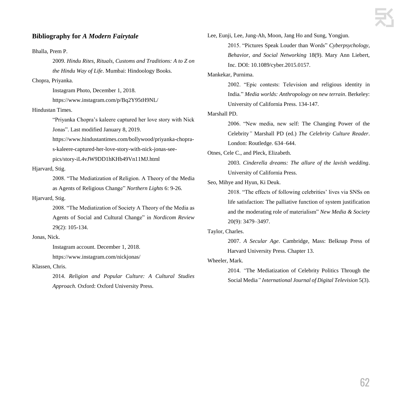# **Bibliography for** *A Modern Fairytale*

Bhalla, Prem P.

2009. *Hindu Rites, Rituals, Customs and Traditions: A to Z on the Hindu Way of Life*. Mumbai: Hindoology Books.

Chopra, Priyanka.

Instagram Photo, December 1, 2018. https://www.instagram.com/p/Bq2Y95tH9NL/

Hindustan Times.

"Priyanka Chopra's kaleere captured her love story with Nick Jonas". Last modified January 8, 2019.

https://www.hindustantimes.com/bollywood/priyanka-chopra-

s-kaleere-captured-her-love-story-with-nick-jonas-see-

pics/story-iL4vJW9DD1hKHb49Vn11MJ.html

Hjarvard, Stig.

2008. "The Mediatization of Religion. A Theory of the Media as Agents of Religious Change" *Northern Lights* 6: 9-26.

# Hjarvard, Stig.

2008. "The Mediatization of Society A Theory of the Media as Agents of Social and Cultural Change" in *Nordicom Review* 29(2): 105-134.

### Jonas, Nick.

Instagram account. December 1, 2018.

https://www.instagram.com/nickjonas/

Klassen, Chris.

2014. *Religion and Popular Culture: A Cultural Studies Approach.* Oxford: Oxford University Press.

Lee, Eunji, Lee, Jung-Ah, Moon, Jang Ho and Sung, Yongjun.

2015. "Pictures Speak Louder than Words" *Cyberpsychology, Behavior, and Social Networking* 18(9). Mary Ann Liebert, Inc. DOI: 10.1089/cyber.2015.0157.

# Mankekar, Purnima.

2002. "Epic contests: Television and religious identity in India*.*" *Media worlds: Anthropology on new terrain*. Berkeley: University of California Press. 134-147.

Marshall PD.

2006. "New media, new self: The Changing Power of the Celebrity*"* Marshall PD (ed.) *The Celebrity Culture Reader*. London: Routledge. 634–644.

Otnes, Cele C., and Pleck, Elizabeth.

2003*. Cinderella dreams: The allure of the lavish wedding*. University of California Press.

# Seo, Mihye and Hyun, Ki Deuk.

2018. "The effects of following celebrities' lives via SNSs on life satisfaction: The palliative function of system justification and the moderating role of materialism" *New Media & Society* 20(9): 3479–3497.

# Taylor, Charles.

2007. *A Secular Age*. Cambridge, Mass: Belknap Press of Harvard University Press. Chapter 13.

# Wheeler, Mark.

2014. *"*The Mediatization of Celebrity Politics Through the Social Media*" International Journal of Digital Television* 5(3).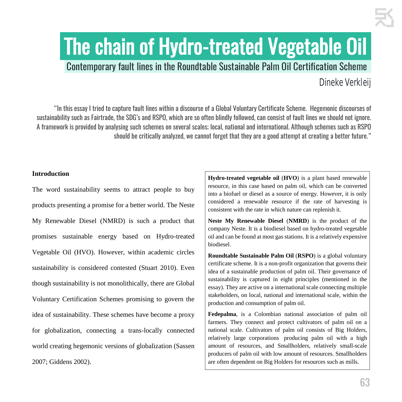# The chain of Hydro-treated Vegetable Oil

Contemporary fault lines in the Roundtable Sustainable Palm Oil Certification Scheme.

# Dineke Verkleij

"In this essay I tried to capture fault lines within a discourse of a Global Voluntary Certificate Scheme. Hegemonic discourses of sustainability such as Fairtrade, the SDG's and RSPO, which are so often blindly followed, can consist of fault lines we should not ignore. A framework is provided by analysing such schemes on several scales; local, national and international. Although schemes such as RSPO should be critically analyzed, we cannot forget that they are a good attempt at creating a better future."

# **Introduction**

The word sustainability seems to attract people to buy products presenting a promise for a better world. The Neste My Renewable Diesel (NMRD) is such a product that promises sustainable energy based on Hydro-treated Vegetable Oil (HVO). However, within academic circles sustainability is considered contested (Stuart 2010). Even though sustainability is not monolithically, there are Global Voluntary Certification Schemes promising to govern the idea of sustainability. These schemes have become a proxy for globalization, connecting a trans-locally connected world creating hegemonic versions of globalization (Sassen 2007; Giddens 2002).

**Hydro-treated vegetable oil** (**HVO**) is a plant based renewable resource, in this case based on palm oil, which can be converted into a biofuel or diesel as a source of energy. However, it is only considered a renewable resource if the rate of harvesting is consistent with the rate in which nature can replenish it.

**Neste My Renewable Diesel** (**NMRD**) is the product of the company Neste. It is a biodiesel based on hydro-treated vegetable oil and can be found at most gas stations. It is a relatively expensive biodiesel.

**Roundtable Sustainable Palm Oil** (**RSPO**) is a global voluntary certificate scheme. It is a non-profit organization that governs their idea of a sustainable production of palm oil. Their governance of sustainability is captured in eight principles (mentioned in the essay). They are active on a international scale connecting multiple stakeholders, on local, national and international scale, within the production and consumption of palm oil.

**Fedepalma**, is a Colombian national association of palm oil farmers. They connect and protect cultivators of palm oil on a national scale. Cultivators of palm oil consists of Big Holders, relatively large corporations producing palm oil with a high amount of resources, and Smallholders, relatively small-scale producers of palm oil with low amount of resources. Smallholders are often dependent on Big Holders for resources such as mills.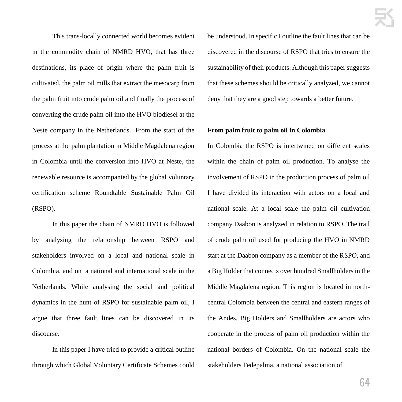This trans-locally connected world becomes evident in the commodity chain of NMRD HVO, that has three destinations, its place of origin where the palm fruit is cultivated, the palm oil mills that extract the mesocarp from the palm fruit into crude palm oil and finally the process of converting the crude palm oil into the HVO biodiesel at the Neste company in the Netherlands. From the start of the process at the palm plantation in Middle Magdalena region in Colombia until the conversion into HVO at Neste, the renewable resource is accompanied by the global voluntary certification scheme Roundtable Sustainable Palm Oil (RSPO).

 In this paper the chain of NMRD HVO is followed by analysing the relationship between RSPO and stakeholders involved on a local and national scale in Colombia, and on a national and international scale in the Netherlands. While analysing the social and political dynamics in the hunt of RSPO for sustainable palm oil, I argue that three fault lines can be discovered in its discourse.

 In this paper I have tried to provide a critical outline through which Global Voluntary Certificate Schemes could be understood. In specific I outline the fault lines that can be discovered in the discourse of RSPO that tries to ensure the sustainability of their products. Although this paper suggests that these schemes should be critically analyzed, we cannot deny that they are a good step towards a better future.

# **From palm fruit to palm oil in Colombia**

In Colombia the RSPO is intertwined on different scales within the chain of palm oil production. To analyse the involvement of RSPO in the production process of palm oil I have divided its interaction with actors on a local and national scale. At a local scale the palm oil cultivation company Daabon is analyzed in relation to RSPO. The trail of crude palm oil used for producing the HVO in NMRD start at the Daabon company as a member of the RSPO, and a Big Holder that connects over hundred Smallholders in the Middle Magdalena region. This region is located in northcentral Colombia between the central and eastern ranges of the Andes. Big Holders and Smallholders are actors who cooperate in the process of palm oil production within the national borders of Colombia. On the national scale the stakeholders Fedepalma, a national association of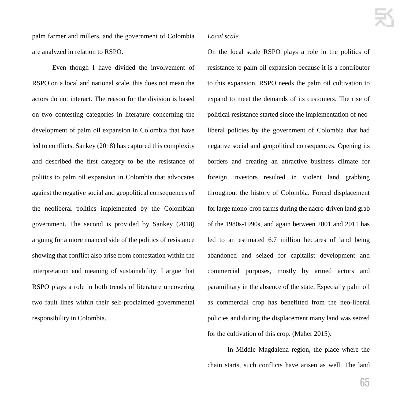palm farmer and millers, and the government of Colombia are analyzed in relation to RSPO.

 Even though I have divided the involvement of RSPO on a local and national scale, this does not mean the actors do not interact. The reason for the division is based on two contesting categories in literature concerning the development of palm oil expansion in Colombia that have led to conflicts. Sankey (2018) has captured this complexity and described the first category to be the resistance of politics to palm oil expansion in Colombia that advocates against the negative social and geopolitical consequences of the neoliberal politics implemented by the Colombian government. The second is provided by Sankey (2018) arguing for a more nuanced side of the politics of resistance showing that conflict also arise from contestation within the interpretation and meaning of sustainability. I argue that RSPO plays a role in both trends of literature uncovering two fault lines within their self-proclaimed governmental responsibility in Colombia.

# *Local scale*

On the local scale RSPO plays a role in the politics of resistance to palm oil expansion because it is a contributor to this expansion. RSPO needs the palm oil cultivation to expand to meet the demands of its customers. The rise of political resistance started since the implementation of neoliberal policies by the government of Colombia that had negative social and geopolitical consequences. Opening its borders and creating an attractive business climate for foreign investors resulted in violent land grabbing throughout the history of Colombia. Forced displacement for large mono-crop farms during the nacro-driven land grab of the 1980s-1990s, and again between 2001 and 2011 has led to an estimated 6.7 million hectares of land being abandoned and seized for capitalist development and commercial purposes, mostly by armed actors and paramilitary in the absence of the state. Especially palm oil as commercial crop has benefitted from the neo-liberal policies and during the displacement many land was seized for the cultivation of this crop. (Maher 2015).

 In Middle Magdalena region, the place where the chain starts, such conflicts have arisen as well. The land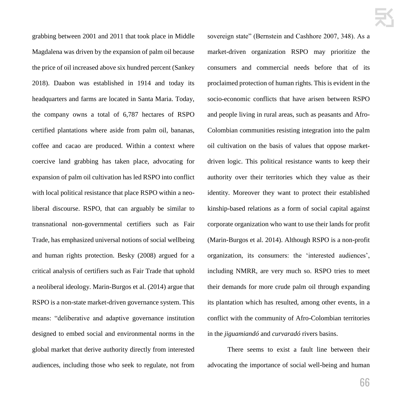grabbing between 2001 and 2011 that took place in Middle Magdalena was driven by the expansion of palm oil because the price of oil increased above six hundred percent (Sankey 2018). Daabon was established in 1914 and today its headquarters and farms are located in Santa Maria. Today, the company owns a total of 6,787 hectares of RSPO certified plantations where aside from palm oil, bananas, coffee and cacao are produced. Within a context where coercive land grabbing has taken place, advocating for expansion of palm oil cultivation has led RSPO into conflict with local political resistance that place RSPO within a neoliberal discourse. RSPO, that can arguably be similar to transnational non-governmental certifiers such as Fair Trade, has emphasized universal notions of social wellbeing and human rights protection. Besky (2008) argued for a critical analysis of certifiers such as Fair Trade that uphold a neoliberal ideology. Marin-Burgos et al. (2014) argue that RSPO is a non-state market-driven governance system. This means: "deliberative and adaptive governance institution designed to embed social and environmental norms in the global market that derive authority directly from interested audiences, including those who seek to regulate, not from sovereign state" (Bernstein and Cashhore 2007, 348). As a market-driven organization RSPO may prioritize the consumers and commercial needs before that of its proclaimed protection of human rights. This is evident in the socio-economic conflicts that have arisen between RSPO and people living in rural areas, such as peasants and Afro-Colombian communities resisting integration into the palm oil cultivation on the basis of values that oppose marketdriven logic. This political resistance wants to keep their authority over their territories which they value as their identity. Moreover they want to protect their established kinship-based relations as a form of social capital against corporate organization who want to use their lands for profit (Marin-Burgos et al. 2014). Although RSPO is a non-profit organization, its consumers: the 'interested audiences', including NMRR, are very much so. RSPO tries to meet their demands for more crude palm oil through expanding its plantation which has resulted, among other events, in a conflict with the community of Afro-Colombian territories in the *jiguamiandó* and *curvaradó* rivers basins.

 There seems to exist a fault line between their advocating the importance of social well-being and human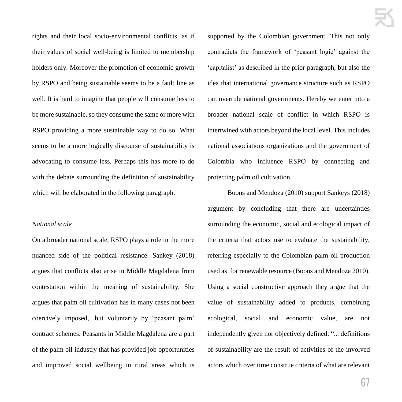rights and their local socio-environmental conflicts, as if their values of social well-being is limited to membership holders only. Moreover the promotion of economic growth by RSPO and being sustainable seems to be a fault line as well. It is hard to imagine that people will consume less to be more sustainable, so they consume the same or more with RSPO providing a more sustainable way to do so. What seems to be a more logically discourse of sustainability is advocating to consume less. Perhaps this has more to do with the debate surrounding the definition of sustainability which will be elaborated in the following paragraph.

# *National scale*

On a broader national scale, RSPO plays a role in the more nuanced side of the political resistance. Sankey (2018) argues that conflicts also arise in Middle Magdalena from contestation within the meaning of sustainability. She argues that palm oil cultivation has in many cases not been coercively imposed, but voluntarily by 'peasant palm' contract schemes. Peasants in Middle Magdalena are a part of the palm oil industry that has provided job opportunities and improved social wellbeing in rural areas which is supported by the Colombian government. This not only contradicts the framework of 'peasant logic' against the 'capitalist' as described in the prior paragraph, but also the idea that international governance structure such as RSPO can overrule national governments. Hereby we enter into a broader national scale of conflict in which RSPO is intertwined with actors beyond the local level. This includes national associations organizations and the government of Colombia who influence RSPO by connecting and protecting palm oil cultivation.

 Boons and Mendoza (2010) support Sankeys (2018) argument by concluding that there are uncertainties surrounding the economic, social and ecological impact of the criteria that actors use to evaluate the sustainability, referring especially to the Colombian palm oil production used as for renewable resource (Boons and Mendoza 2010). Using a social constructive approach they argue that the value of sustainability added to products, combining ecological, social and economic value, are not independently given nor objectively defined: "... definitions of sustainability are the result of activities of the involved actors which over time construe criteria of what are relevant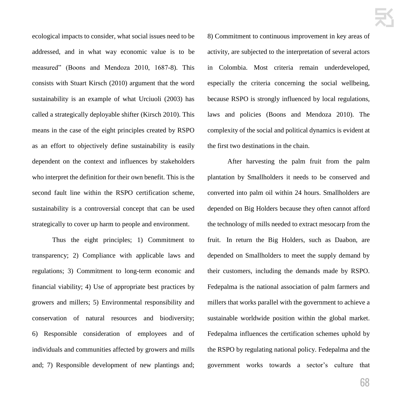ecological impacts to consider, what social issues need to be addressed, and in what way economic value is to be measured" (Boons and Mendoza 2010, 1687-8). This consists with Stuart Kirsch (2010) argument that the word sustainability is an example of what Urciuoli (2003) has called a strategically deployable shifter (Kirsch 2010). This means in the case of the eight principles created by RSPO as an effort to objectively define sustainability is easily dependent on the context and influences by stakeholders who interpret the definition for their own benefit. This is the second fault line within the RSPO certification scheme, sustainability is a controversial concept that can be used strategically to cover up harm to people and environment.

 Thus the eight principles; 1) Commitment to transparency; 2) Compliance with applicable laws and regulations; 3) Commitment to long-term economic and financial viability; 4) Use of appropriate best practices by growers and millers; 5) Environmental responsibility and conservation of natural resources and biodiversity; 6) Responsible consideration of employees and of individuals and communities affected by growers and mills and; 7) Responsible development of new plantings and; 8) Commitment to continuous improvement in key areas of activity, are subjected to the interpretation of several actors in Colombia. Most criteria remain underdeveloped, especially the criteria concerning the social wellbeing, because RSPO is strongly influenced by local regulations, laws and policies (Boons and Mendoza 2010). The complexity of the social and political dynamics is evident at the first two destinations in the chain.

 After harvesting the palm fruit from the palm plantation by Smallholders it needs to be conserved and converted into palm oil within 24 hours. Smallholders are depended on Big Holders because they often cannot afford the technology of mills needed to extract mesocarp from the fruit. In return the Big Holders, such as Daabon, are depended on Smallholders to meet the supply demand by their customers, including the demands made by RSPO. Fedepalma is the national association of palm farmers and millers that works parallel with the government to achieve a sustainable worldwide position within the global market. Fedepalma influences the certification schemes uphold by the RSPO by regulating national policy. Fedepalma and the government works towards a sector's culture that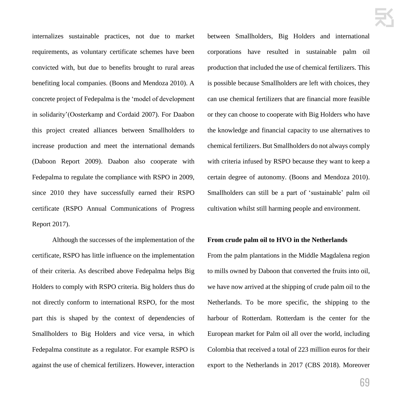internalizes sustainable practices, not due to market requirements, as voluntary certificate schemes have been convicted with, but due to benefits brought to rural areas benefiting local companies. (Boons and Mendoza 2010). A concrete project of Fedepalma is the 'model of development in solidarity'(Oosterkamp and Cordaid 2007). For Daabon this project created alliances between Smallholders to increase production and meet the international demands (Daboon Report 2009). Daabon also cooperate with Fedepalma to regulate the compliance with RSPO in 2009, since 2010 they have successfully earned their RSPO certificate (RSPO Annual Communications of Progress Report 2017).

 Although the successes of the implementation of the certificate, RSPO has little influence on the implementation of their criteria. As described above Fedepalma helps Big Holders to comply with RSPO criteria. Big holders thus do not directly conform to international RSPO, for the most part this is shaped by the context of dependencies of Smallholders to Big Holders and vice versa, in which Fedepalma constitute as a regulator. For example RSPO is against the use of chemical fertilizers. However, interaction between Smallholders, Big Holders and international corporations have resulted in sustainable palm oil production that included the use of chemical fertilizers. This is possible because Smallholders are left with choices, they can use chemical fertilizers that are financial more feasible or they can choose to cooperate with Big Holders who have the knowledge and financial capacity to use alternatives to chemical fertilizers. But Smallholders do not always comply with criteria infused by RSPO because they want to keep a certain degree of autonomy. (Boons and Mendoza 2010). Smallholders can still be a part of 'sustainable' palm oil cultivation whilst still harming people and environment.

# **From crude palm oil to HVO in the Netherlands**

From the palm plantations in the Middle Magdalena region to mills owned by Daboon that converted the fruits into oil, we have now arrived at the shipping of crude palm oil to the Netherlands. To be more specific, the shipping to the harbour of Rotterdam. Rotterdam is the center for the European market for Palm oil all over the world, including Colombia that received a total of 223 million euros for their export to the Netherlands in 2017 (CBS 2018). Moreover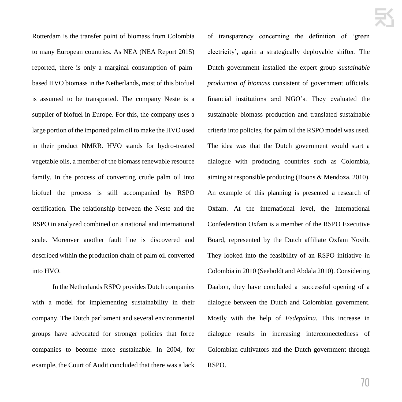Rotterdam is the transfer point of biomass from Colombia to many European countries. As NEA (NEA Report 2015) reported, there is only a marginal consumption of palmbased HVO biomass in the Netherlands, most of this biofuel is assumed to be transported. The company Neste is a supplier of biofuel in Europe. For this, the company uses a large portion of the imported palm oil to make the HVO used in their product NMRR. HVO stands for hydro-treated vegetable oils, a member of the biomass renewable resource family. In the process of converting crude palm oil into biofuel the process is still accompanied by RSPO certification. The relationship between the Neste and the RSPO in analyzed combined on a national and international scale. Moreover another fault line is discovered and described within the production chain of palm oil converted into HVO.

In the Netherlands RSPO provides Dutch companies with a model for implementing sustainability in their company. The Dutch parliament and several environmental groups have advocated for stronger policies that force companies to become more sustainable. In 2004, for example, the Court of Audit concluded that there was a lack of transparency concerning the definition of 'green electricity', again a strategically deployable shifter. The Dutch government installed the expert group *sustainable production of biomass* consistent of government officials, financial institutions and NGO's. They evaluated the sustainable biomass production and translated sustainable criteria into policies, for palm oil the RSPO model was used. The idea was that the Dutch government would start a dialogue with producing countries such as Colombia, aiming at responsible producing (Boons & Mendoza, 2010). An example of this planning is presented a research of Oxfam. At the international level, the International Confederation Oxfam is a member of the RSPO Executive Board, represented by the Dutch affiliate Oxfam Novib. They looked into the feasibility of an RSPO initiative in Colombia in 2010 (Seeboldt and Abdala 2010). Considering Daabon, they have concluded a successful opening of a dialogue between the Dutch and Colombian government. Mostly with the help of *Fedepalma.* This increase in dialogue results in increasing interconnectedness of Colombian cultivators and the Dutch government through RSPO.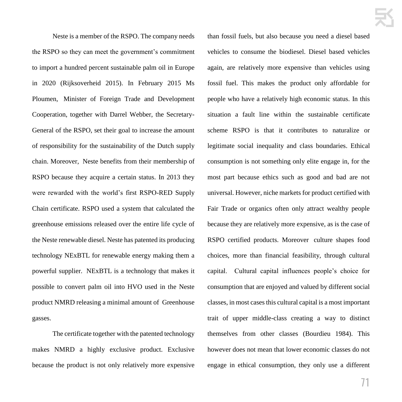Neste is a member of the RSPO. The company needs the RSPO so they can meet the government's commitment to import a hundred percent sustainable palm oil in Europe in 2020 (Rijksoverheid 2015). In February 2015 Ms Ploumen, Minister of Foreign Trade and Development Cooperation, together with Darrel Webber, the Secretary-General of the RSPO, set their goal to increase the amount of responsibility for the sustainability of the Dutch supply chain. Moreover, Neste benefits from their membership of RSPO because they acquire a certain status. In 2013 they were rewarded with the world's first RSPO-RED Supply Chain certificate. RSPO used a system that calculated the greenhouse emissions released over the entire life cycle of the Neste renewable diesel. Neste has patented its producing technology NExBTL for renewable energy making them a powerful supplier. NExBTL is a technology that makes it possible to convert palm oil into HVO used in the Neste product NMRD releasing a minimal amount of Greenhouse gasses.

The certificate together with the patented technology makes NMRD a highly exclusive product. Exclusive because the product is not only relatively more expensive than fossil fuels, but also because you need a diesel based vehicles to consume the biodiesel. Diesel based vehicles again, are relatively more expensive than vehicles using fossil fuel. This makes the product only affordable for people who have a relatively high economic status. In this situation a fault line within the sustainable certificate scheme RSPO is that it contributes to naturalize or legitimate social inequality and class boundaries. Ethical consumption is not something only elite engage in, for the most part because ethics such as good and bad are not universal. However, niche markets for product certified with Fair Trade or organics often only attract wealthy people because they are relatively more expensive, as is the case of RSPO certified products. Moreover culture shapes food choices, more than financial feasibility, through cultural capital. Cultural capital influences people's choice for consumption that are enjoyed and valued by different social classes, in most cases this cultural capital is a most important trait of upper middle-class creating a way to distinct themselves from other classes (Bourdieu 1984). This however does not mean that lower economic classes do not engage in ethical consumption, they only use a different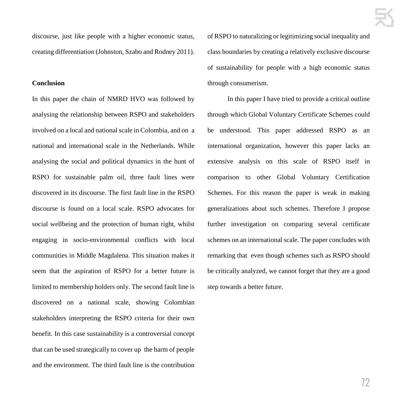discourse, just like people with a higher economic status, creating differentiation (Johnston, Szabo and Rodney 2011).

#### **Conclusion**

In this paper the chain of NMRD HVO was followed by analysing the relationship between RSPO and stakeholders involved on a local and national scale in Colombia, and on a national and international scale in the Netherlands. While analysing the social and political dynamics in the hunt of RSPO for sustainable palm oil, three fault lines were discovered in its discourse. The first fault line in the RSPO discourse is found on a local scale. RSPO advocates for social wellbeing and the protection of human right, whilst engaging in socio-environmental conflicts with local communities in Middle Magdalena. This situation makes it seem that the aspiration of RSPO for a better future is limited to membership holders only. The second fault line is discovered on a national scale, showing Colombian stakeholders interpreting the RSPO criteria for their own benefit. In this case sustainability is a controversial concept that can be used strategically to cover up the harm of people and the environment. The third fault line is the contribution of RSPO to naturalizing or legitimizing social inequality and class boundaries by creating a relatively exclusive discourse of sustainability for people with a high economic status through consumerism.

 In this paper I have tried to provide a critical outline through which Global Voluntary Certificate Schemes could be understood. This paper addressed RSPO as an international organization, however this paper lacks an extensive analysis on this scale of RSPO itself in comparison to other Global Voluntary Certification Schemes. For this reason the paper is weak in making generalizations about such schemes. Therefore I propose further investigation on comparing several certificate schemes on an international scale. The paper concludes with remarking that even though schemes such as RSPO should be critically analyzed, we cannot forget that they are a good step towards a better future.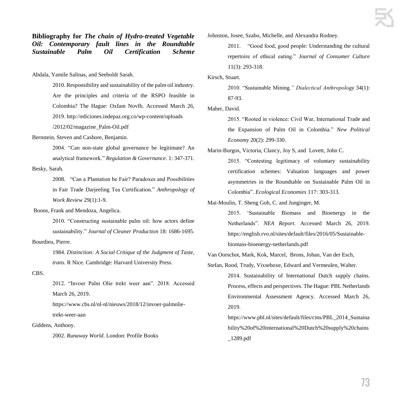**Bibliography for** *The chain of Hydro-treated Vegetable Oil: Contemporary fault lines in the Roundtable Sustainable Palm Oil Certification Scheme*

Abdala, Yamile Salinas, and Seeboldt Sarah.

2010. Responsibility and sustainability of the palm oil industry. Are the principles and criteria of the RSPO feasible in Colombia? The Hague: Oxfam NovIb. Accessed March 26, 2019. http://ediciones.indepaz.org.co/wp-content/uploads

/2012/02/magazine\_Palm-Oil.pdf

Bernstein, Steven and Cashore, Benjamin.

2004. "Can non-state global governance be legitimate? An analytical framework." *Regulation & Governance*. 1: 347-371.

Besky, Sarah.

2008. "Can a Plantation be Fair? Paradoxes and Possibilities in Fair Trade Darjeeling Tea Certification." *Anthropology of Work Review* 29(1):1-9.

Boons, Frank and Mendoza, Angelica.

2010. "Constructing sustainable palm oil: how actors define sustainability." *Journal of Cleaner Production* 18: 1686-1695.

Bourdieu, Pierre.

1984. *Distinction: A Social Critique of the Judgment of Taste, trans.* R Nice. Cambridge: Harvard University Press.

CBS.

2012. "Invoer Palm Olie trekt weer aan". 2018. Accessed March 26, 2019.

https://www.cbs.nl/nl-nl/nieuws/2018/12/invoer-palmolietrekt-weer-aan

Giddens, Anthony.

2002. *Runaway World*. London: Profile Books

Johnston, Josee, Szabo, Michelle, and Alexandra Rodney.

2011. "Good food, good people: Understanding the cultural repertoire of ethical eating." *Journal of Consumer Culture* 11(3): 293-318.

Kirsch, Stuart.

2010. "Sustainable Mining*." Dialectical Anthropology* 34(1): 87-93.

Maher, David.

2015. "Rooted in violence: Civil War, International Trade and the Expansion of Palm Oil in Colombia." *New Political Economy* 20(2): 299-330.

Marin-Burgos, Victoria, Clancy, Joy S, and Lovett, John C.

2015. "Contesting legitimacy of voluntary sustainability certification schemes: Valuation languages and power asymmetries in the Roundtable on Sustainable Palm Oil in Colombia". *Ecological Economies* 117: 303-313.

Mai-Moulin, T. Sheng Goh, C. and Junginger, M.

2015. 'Sustainable Biomass and Bioenergy in the Netherlands". *NEA Report.* Accessed March 26, 2019. https://english.rvo.nl/sites/default/files/2016/05/Sustainablebiomass-bioenergy-netherlands.pdf

Van Oorschot, Mark, Kok, Marcel, Brons, Johan, Van der Esch,

Stefan, Rood, Trudy, Vixseboxe, Edward and Vermeulen, Walter. 2014. Sustainability of International Dutch supply chains. Process, effects and perspectives. The Hague: PBL Netherlands Environmental Assessment Agency. Accessed March 26, 2019.

> https://www.pbl.nl/sites/default/files/cms/PBL\_2014\_Sustaina bility%20of%20international%20Dutch%20supply%20chains \_1289.pdf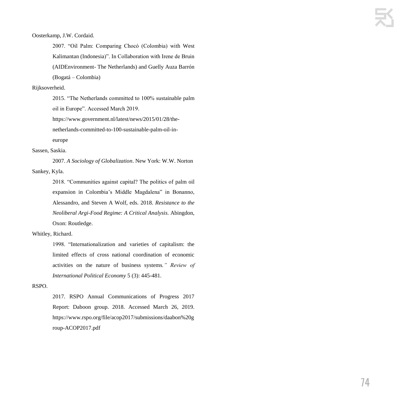Oosterkamp, J.W. Cordaid.

2007. "Oil Palm: Comparing Chocó (Colombia) with West Kalimantan (Indonesia)". In Collaboration with Irene de Bruin (AIDEnvironment- The Netherlands) and Guelly Auza Barrón (Bogatá – Colombia)

#### Rijksoverheid.

2015. "The Netherlands committed to 100% sustainable palm oil in Europe". Accessed March 2019.

https://www.government.nl/latest/news/2015/01/28/thenetherlands-committed-to-100-sustainable-palm-oil-ineurope

#### Sassen, Saskia.

2007. *A Sociology of Globalization*. New York: W.W. Norton Sankey, Kyla.

> 2018. "Communities against capital? The politics of palm oil expansion in Colombia's Middle Magdalena" in Bonanno, Alessandro, and Steven A Wolf, eds. 2018. *Resistance to the Neoliberal Argi-Food Regime: A Critical Analysis*. Abingdon, Oxon: Routledge.

Whitley, Richard.

1998. "Internationalization and varieties of capitalism: the limited effects of cross national coordination of economic activities on the nature of business systems*." Review of International Political Economy* 5 (3): 445-481.

#### RSPO.

2017. RSPO Annual Communications of Progress 2017 Report: Daboon group. 2018. Accessed March 26, 2019[.](https://www.rspo.org/file/acop2017/submissions/daabon%20group-ACOP2017.pdf) https://www.rspo.org/file/acop2017/submissions/daabon%20g roup-ACOP2017.pdf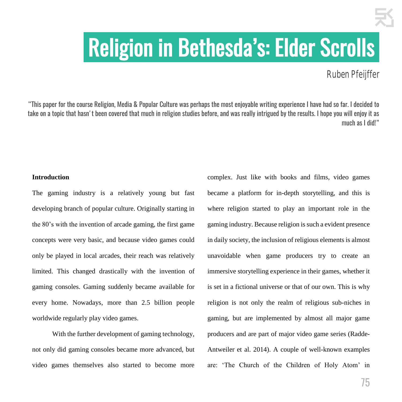## .Religion in Bethesda's: Elder Scrolls.

Ruben Pfeijffer

"This paper for the course Religion, Media & Popular Culture was perhaps the most enjoyable writing experience I have had so far. I decided to take on a topic that hasn't been covered that much in religion studies before, and was really intrigued by the results. I hope you will enjoy it as much as I did!"

#### **Introduction**

The gaming industry is a relatively young but fast developing branch of popular culture. Originally starting in the 80's with the invention of arcade gaming, the first game concepts were very basic, and because video games could only be played in local arcades, their reach was relatively limited. This changed drastically with the invention of gaming consoles. Gaming suddenly became available for every home. Nowadays, more than 2.5 billion people worldwide regularly play video games.

With the further development of gaming technology, not only did gaming consoles became more advanced, but video games themselves also started to become more

complex. Just like with books and films, video games became a platform for in-depth storytelling, and this is where religion started to play an important role in the gaming industry. Because religion is such a evident presence in daily society, the inclusion of religious elements is almost unavoidable when game producers try to create an immersive storytelling experience in their games, whether it is set in a fictional universe or that of our own. This is why religion is not only the realm of religious sub-niches in gaming, but are implemented by almost all major game producers and are part of major video game series (Radde-Antweiler et al. 2014). A couple of well-known examples are: 'The Church of the Children of Holy Atom' in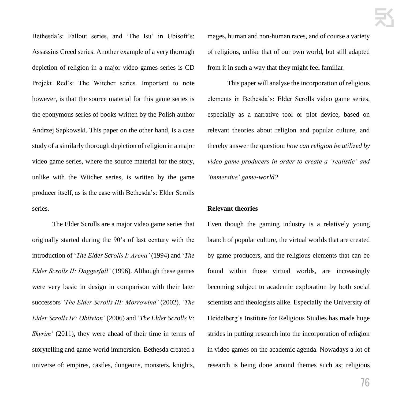Bethesda's: Fallout series, and 'The Isu' in Ubisoft's: Assassins Creed series. Another example of a very thorough depiction of religion in a major video games series is CD Projekt Red's: The Witcher series. Important to note however, is that the source material for this game series is the eponymous series of books written by the Polish author Andrzej Sapkowski. This paper on the other hand, is a case study of a similarly thorough depiction of religion in a major video game series, where the source material for the story, unlike with the Witcher series, is written by the game producer itself, as is the case with Bethesda's: Elder Scrolls series.

The Elder Scrolls are a major video game series that originally started during the 90's of last century with the introduction of '*The Elder Scrolls I: Arena'* (1994) and '*The Elder Scrolls II: Daggerfall'* (1996). Although these games were very basic in design in comparison with their later successors *'The Elder Scrolls III: Morrowind'* (2002)*, 'The Elder Scrolls IV: Oblivion'* (2006) and '*The Elder Scrolls V: Skyrim'* (2011), they were ahead of their time in terms of storytelling and game-world immersion. Bethesda created a universe of: empires, castles, dungeons, monsters, knights, mages, human and non-human races, and of course a variety of religions, unlike that of our own world, but still adapted from it in such a way that they might feel familiar.

This paper will analyse the incorporation of religious elements in Bethesda's: Elder Scrolls video game series, especially as a narrative tool or plot device, based on relevant theories about religion and popular culture, and thereby answer the question: *how can religion be utilized by video game producers in order to create a 'realistic' and 'immersive' game-world?*

#### **Relevant theories**

Even though the gaming industry is a relatively young branch of popular culture, the virtual worlds that are created by game producers, and the religious elements that can be found within those virtual worlds, are increasingly becoming subject to academic exploration by both social scientists and theologists alike. Especially the University of Heidelberg's Institute for Religious Studies has made huge strides in putting research into the incorporation of religion in video games on the academic agenda. Nowadays a lot of research is being done around themes such as; religious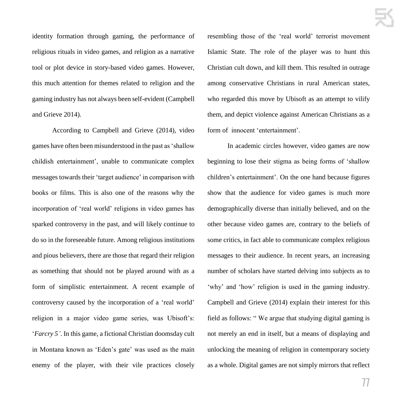identity formation through gaming, the performance of religious rituals in video games, and religion as a narrative tool or plot device in story-based video games. However, this much attention for themes related to religion and the gaming industry has not always been self-evident (Campbell and Grieve 2014).

According to Campbell and Grieve (2014), video games have often been misunderstood in the past as 'shallow childish entertainment', unable to communicate complex messages towards their 'target audience' in comparison with books or films. This is also one of the reasons why the incorporation of 'real world' religions in video games has sparked controversy in the past, and will likely continue to do so in the foreseeable future. Among religious institutions and pious believers, there are those that regard their religion as something that should not be played around with as a form of simplistic entertainment. A recent example of controversy caused by the incorporation of a 'real world' religion in a major video game series, was Ubisoft's: '*Farcry 5'*. In this game, a fictional Christian doomsday cult in Montana known as 'Eden's gate' was used as the main enemy of the player, with their vile practices closely resembling those of the 'real world' terrorist movement Islamic State. The role of the player was to hunt this Christian cult down, and kill them. This resulted in outrage among conservative Christians in rural American states, who regarded this move by Ubisoft as an attempt to vilify them, and depict violence against American Christians as a form of innocent 'entertainment'.

In academic circles however, video games are now beginning to lose their stigma as being forms of 'shallow children's entertainment'. On the one hand because figures show that the audience for video games is much more demographically diverse than initially believed, and on the other because video games are, contrary to the beliefs of some critics, in fact able to communicate complex religious messages to their audience. In recent years, an increasing number of scholars have started delving into subjects as to 'why' and 'how' religion is used in the gaming industry. Campbell and Grieve (2014) explain their interest for this field as follows: " We argue that studying digital gaming is not merely an end in itself, but a means of displaying and unlocking the meaning of religion in contemporary society as a whole. Digital games are not simply mirrors that reflect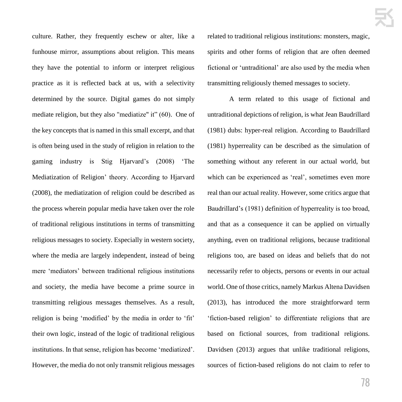culture. Rather, they frequently eschew or alter, like a funhouse mirror, assumptions about religion. This means they have the potential to inform or interpret religious practice as it is reflected back at us, with a selectivity determined by the source. Digital games do not simply mediate religion, but they also "mediatize" it" (60). One of the key concepts that is named in this small excerpt, and that is often being used in the study of religion in relation to the gaming industry is Stig Hjarvard's (2008) 'The Mediatization of Religion' theory. According to Hjarvard (2008), the mediatization of religion could be described as the process wherein popular media have taken over the role of traditional religious institutions in terms of transmitting religious messages to society. Especially in western society, where the media are largely independent, instead of being mere 'mediators' between traditional religious institutions and society, the media have become a prime source in transmitting religious messages themselves. As a result, religion is being 'modified' by the media in order to 'fit' their own logic, instead of the logic of traditional religious institutions. In that sense, religion has become 'mediatized'. However, the media do not only transmit religious messages related to traditional religious institutions: monsters, magic, spirits and other forms of religion that are often deemed fictional or 'untraditional' are also used by the media when transmitting religiously themed messages to society.

A term related to this usage of fictional and untraditional depictions of religion, is what Jean Baudrillard (1981) dubs: hyper-real religion. According to Baudrillard (1981) hyperreality can be described as the simulation of something without any referent in our actual world, but which can be experienced as 'real', sometimes even more real than our actual reality. However, some critics argue that Baudrillard's (1981) definition of hyperreality is too broad, and that as a consequence it can be applied on virtually anything, even on traditional religions, because traditional religions too, are based on ideas and beliefs that do not necessarily refer to objects, persons or events in our actual world. One of those critics, namely Markus Altena Davidsen (2013), has introduced the more straightforward term 'fiction-based religion' to differentiate religions that are based on fictional sources, from traditional religions. Davidsen (2013) argues that unlike traditional religions, sources of fiction-based religions do not claim to refer to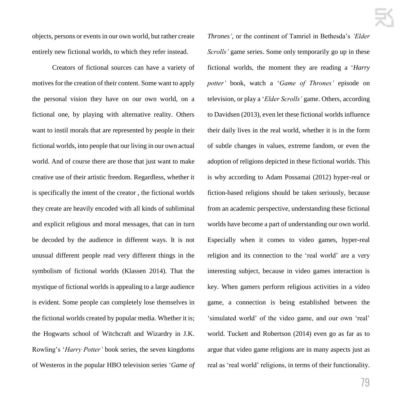objects, persons or events in our own world, but rather create entirely new fictional worlds, to which they refer instead.

Creators of fictional sources can have a variety of motives for the creation of their content. Some want to apply the personal vision they have on our own world, on a fictional one, by playing with alternative reality. Others want to instil morals that are represented by people in their fictional worlds, into people that our living in our own actual world. And of course there are those that just want to make creative use of their artistic freedom. Regardless, whether it is specifically the intent of the creator , the fictional worlds they create are heavily encoded with all kinds of subliminal and explicit religious and moral messages, that can in turn be decoded by the audience in different ways. It is not unusual different people read very different things in the symbolism of fictional worlds (Klassen 2014). That the mystique of fictional worlds is appealing to a large audience is evident. Some people can completely lose themselves in the fictional worlds created by popular media. Whether it is; the Hogwarts school of Witchcraft and Wizardry in J.K. Rowling's '*Harry Potter'* book series, the seven kingdoms of Westeros in the popular HBO television series '*Game of* 

*Thrones'*, or the continent of Tamriel in Bethesda's *'Elder Scrolls'* game series. Some only temporarily go up in these fictional worlds, the moment they are reading a '*Harry potter'* book, watch a '*Game of Thrones'* episode on television, or play a '*Elder Scrolls'* game. Others, according to Davidsen (2013), even let these fictional worlds influence their daily lives in the real world, whether it is in the form of subtle changes in values, extreme fandom, or even the adoption of religions depicted in these fictional worlds. This is why according to Adam Possamai (2012) hyper-real or fiction-based religions should be taken seriously, because from an academic perspective, understanding these fictional worlds have become a part of understanding our own world. Especially when it comes to video games, hyper-real religion and its connection to the 'real world' are a very interesting subject, because in video games interaction is key. When gamers perform religious activities in a video game, a connection is being established between the 'simulated world' of the video game, and our own 'real' world. Tuckett and Robertson (2014) even go as far as to argue that video game religions are in many aspects just as real as 'real world' religions, in terms of their functionality.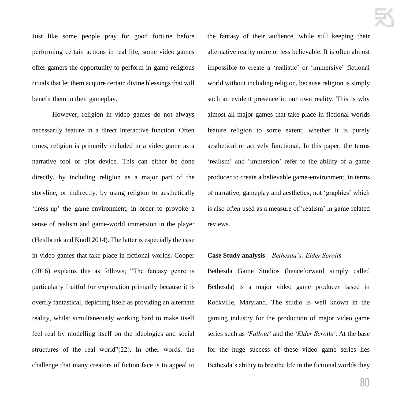Just like some people pray for good fortune before performing certain actions in real life, some video games offer gamers the opportunity to perform in-game religious rituals that let them acquire certain divine blessings that will benefit them in their gameplay.

However, religion in video games do not always necessarily feature in a direct interactive function. Often times, religion is primarily included in a video game as a narrative tool or plot device. This can either be done directly, by including religion as a major part of the storyline, or indirectly, by using religion to aesthetically 'dress-up' the game-environment, in order to provoke a sense of realism and game-world immersion in the player (Heidbrink and Knoll 2014). The latter is especially the case in video games that take place in fictional worlds. Cooper (2016) explains this as follows; "The fantasy genre is particularly fruitful for exploration primarily because it is overtly fantastical, depicting itself as providing an alternate reality, whilst simultaneously working hard to make itself feel real by modelling itself on the ideologies and social structures of the real world"(22). In other words, the challenge that many creators of fiction face is to appeal to the fantasy of their audience, while still keeping their alternative reality more or less believable. It is often almost impossible to create a 'realistic' or 'immersive' fictional world without including religion, because religion is simply such an evident presence in our own reality. This is why almost all major games that take place in fictional worlds feature religion to some extent, whether it is purely aesthetical or actively functional. In this paper, the terms 'realism' and 'immersion' refer to the ability of a game producer to create a believable game-environment, in terms of narrative, gameplay and aesthetics, not 'graphics' which is also often used as a measure of 'realism' in game-related reviews.

#### **Case Study analysis –** *Bethesda's: Elder Scrolls*

Bethesda Game Studios (henceforward simply called Bethesda) is a major video game producer based in Rockville, Maryland. The studio is well known in the gaming industry for the production of major video game series such as *'Fallout'* and the *'Elder Scrolls'*. At the base for the huge success of these video game series lies Bethesda's ability to breathe life in the fictional worlds they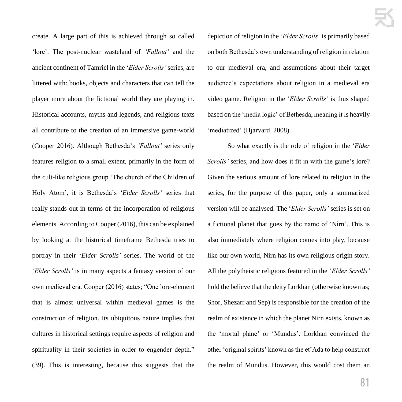create. A large part of this is achieved through so called 'lore'. The post-nuclear wasteland of *'Fallout'* and the ancient continent of Tamriel in the '*Elder Scrolls'* series, are littered with: books, objects and characters that can tell the player more about the fictional world they are playing in. Historical accounts, myths and legends, and religious texts all contribute to the creation of an immersive game-world (Cooper 2016). Although Bethesda's *'Fallout'* series only features religion to a small extent, primarily in the form of the cult-like religious group 'The church of the Children of Holy Atom', it is Bethesda's '*Elder Scrolls'* series that really stands out in terms of the incorporation of religious elements. According to Cooper (2016), this can be explained by looking at the historical timeframe Bethesda tries to portray in their '*Elder Scrolls'* series. The world of the *'Elder Scrolls'* is in many aspects a fantasy version of our own medieval era. Cooper (2016) states; "One lore-element that is almost universal within medieval games is the construction of religion. Its ubiquitous nature implies that cultures in historical settings require aspects of religion and spirituality in their societies in order to engender depth." (39). This is interesting, because this suggests that the

depiction of religion in the '*Elder Scrolls'* is primarily based on both Bethesda's own understanding of religion in relation to our medieval era, and assumptions about their target audience's expectations about religion in a medieval era video game. Religion in the '*Elder Scrolls'* is thus shaped based on the 'media logic' of Bethesda, meaning it is heavily 'mediatized' (Hjarvard 2008).

So what exactly is the role of religion in the '*Elder Scrolls'* series*,* and how does it fit in with the game's lore? Given the serious amount of lore related to religion in the series, for the purpose of this paper, only a summarized version will be analysed. The '*Elder Scrolls'* series is set on a fictional planet that goes by the name of 'Nirn'. This is also immediately where religion comes into play, because like our own world, Nirn has its own religious origin story. All the polytheistic religions featured in the '*Elder Scrolls'* hold the believe that the deity Lorkhan (otherwise known as; Shor, Shezarr and Sep) is responsible for the creation of the realm of existence in which the planet Nirn exists, known as the 'mortal plane' or 'Mundus'. Lorkhan convinced the other 'original spirits' known as the et'Ada to help construct the realm of Mundus. However, this would cost them an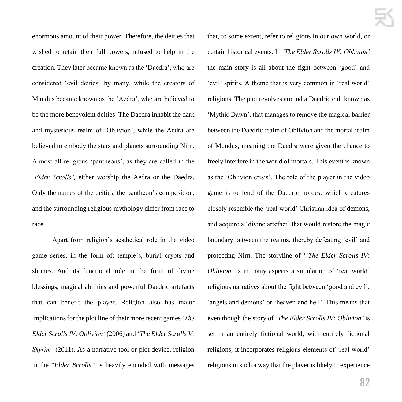enormous amount of their power. Therefore, the deities that wished to retain their full powers, refused to help in the creation. They later became known as the 'Daedra', who are considered 'evil deities' by many, while the creators of Mundus became known as the 'Aedra', who are believed to be the more benevolent deities. The Daedra inhabit the dark and mysterious realm of 'Oblivion', while the Aedra are believed to embody the stars and planets surrounding Nirn. Almost all religious 'pantheons', as they are called in the '*Elder Scrolls',* either worship the Aedra or the Daedra. Only the names of the deities, the pantheon's composition, and the surrounding religious mythology differ from race to race.

Apart from religion's aesthetical role in the video game series, in the form of; temple's, burial crypts and shrines. And its functional role in the form of divine blessings, magical abilities and powerful Daedric artefacts that can benefit the player. Religion also has major implications for the plot line of their more recent games *'The Elder Scrolls IV: Oblivion'* (2006) and '*The Elder Scrolls V: Skyrim'* (2011). As a narrative tool or plot device, religion in the "*Elder Scrolls"* is heavily encoded with messages that, to some extent, refer to religions in our own world, or certain historical events. In *'The Elder Scrolls IV: Oblivion'* the main story is all about the fight between 'good' and 'evil' spirits. A theme that is very common in 'real world' religions. The plot revolves around a Daedric cult known as 'Mythic Dawn', that manages to remove the magical barrier between the Daedric realm of Oblivion and the mortal realm of Mundus, meaning the Daedra were given the chance to freely interfere in the world of mortals. This event is known as the 'Oblivion crisis'. The role of the player in the video game is to fend of the Daedric hordes, which creatures closely resemble the 'real world' Christian idea of demons, and acquire a 'divine artefact' that would restore the magic boundary between the realms, thereby defeating 'evil' and protecting Nirn. The storyline of '*'The Elder Scrolls IV: Oblivion'* is in many aspects a simulation of 'real world' religious narratives about the fight between 'good and evil', 'angels and demons' or 'heaven and hell'. This means that even though the story of '*The Elder Scrolls IV: Oblivion'* is set in an entirely fictional world, with entirely fictional religions, it incorporates religious elements of 'real world' religions in such a way that the player is likely to experience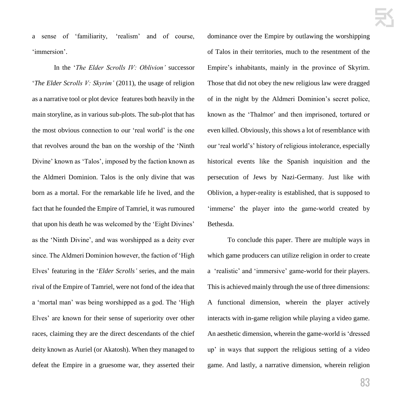a sense of 'familiarity, 'realism' and of course, 'immersion'.

In the '*The Elder Scrolls IV: Oblivion'* successor '*The Elder Scrolls V: Skyrim'* (2011), the usage of religion as a narrative tool or plot device features both heavily in the main storyline, as in various sub-plots. The sub-plot that has the most obvious connection to our 'real world' is the one that revolves around the ban on the worship of the 'Ninth Divine' known as 'Talos', imposed by the faction known as the Aldmeri Dominion. Talos is the only divine that was born as a mortal. For the remarkable life he lived, and the fact that he founded the Empire of Tamriel, it was rumoured that upon his death he was welcomed by the 'Eight Divines' as the 'Ninth Divine', and was worshipped as a deity ever since. The Aldmeri Dominion however, the faction of 'High Elves' featuring in the '*Elder Scrolls'* series, and the main rival of the Empire of Tamriel, were not fond of the idea that a 'mortal man' was being worshipped as a god. The 'High Elves' are known for their sense of superiority over other races, claiming they are the direct descendants of the chief deity known as Auriel (or Akatosh). When they managed to defeat the Empire in a gruesome war, they asserted their

dominance over the Empire by outlawing the worshipping of Talos in their territories, much to the resentment of the Empire's inhabitants, mainly in the province of Skyrim. Those that did not obey the new religious law were dragged of in the night by the Aldmeri Dominion's secret police, known as the 'Thalmor' and then imprisoned, tortured or even killed. Obviously, this shows a lot of resemblance with our 'real world's' history of religious intolerance, especially historical events like the Spanish inquisition and the persecution of Jews by Nazi-Germany. Just like with Oblivion, a hyper-reality is established, that is supposed to 'immerse' the player into the game-world created by Bethesda.

To conclude this paper. There are multiple ways in which game producers can utilize religion in order to create a 'realistic' and 'immersive' game-world for their players. This is achieved mainly through the use of three dimensions: A functional dimension, wherein the player actively interacts with in-game religion while playing a video game. An aesthetic dimension, wherein the game-world is 'dressed up' in ways that support the religious setting of a video game. And lastly, a narrative dimension, wherein religion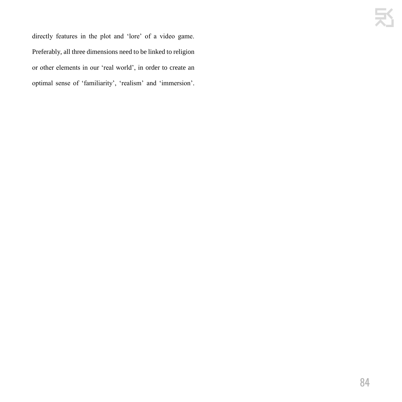directly features in the plot and 'lore' of a video game. Preferably, all three dimensions need to be linked to religion or other elements in our 'real world', in order to create an optimal sense of 'familiarity', 'realism' and 'immersion'.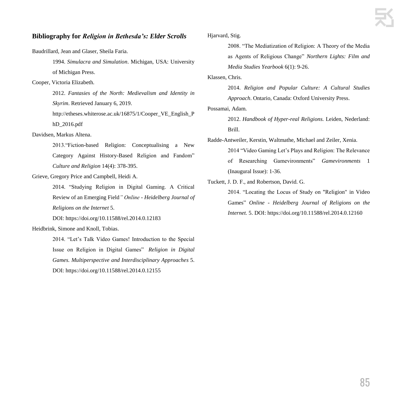#### **Bibliography for** *Religion in Bethesda's: Elder Scrolls*

Baudrillard, Jean and Glaser, Sheila Faria.

1994. *Simulacra and Simulation*. Michigan, USA: University of Michigan Press.

#### Cooper, Victoria Elizabeth.

2012. *Fantasies of the North: Medievalism and Identity in Skyrim*. Retrieved January 6, 2019.

http://etheses.whiterose.ac.uk/16875/1/Cooper\_VE\_English\_P hD\_2016.pdf

Davidsen, Markus Altena.

2013."Fiction-based Religion: Conceptualising a New Category Against History-Based Religion and Fandom" *Culture and Religion* 14(4): 378-395.

Grieve, Gregory Price and Campbell, Heidi A.

2014. "Studying Religion in Digital Gaming. A Critical Review of an Emerging Field*" Online - Heidelberg Journal of Religions on the Internet* 5.

DOI: https://doi.org/10.11588/rel.2014.0.12183

#### Heidbrink, Simone and Knoll, Tobias.

2014. "Let's Talk Video Games! Introduction to the Special Issue on Religion in Digital Games" *Religion in Digital Games. Multiperspective and Interdisciplinary Approaches* 5. DOI: https://doi.org/10.11588/rel.2014.0.12155

#### Hjarvard, Stig.

2008. "The Mediatization of Religion: A Theory of the Media as Agents of Religious Change" *Northern Lights: Film and Media Studies Yearbook* 6(1): 9-26.

Klassen, Chris.

2014. *Religion and Popular Culture: A Cultural Studies Approach*. Ontario, Canada: Oxford University Press.

Possamai, Adam.

2012. *Handbook of Hyper-real Religions.* Leiden, Nederland: Brill.

Radde-Antweiler, Kerstin, Waltmathe, Michael and Zeiler, Xenia.

2014 "Video Gaming Let's Plays and Religion: The Relevance of Researching Gamevironments" *Gamevironments* 1 (Inaugural Issue): 1-36.

Tuckett, J. D. F., and Robertson, David. G.

2014. "Locating the Locus of Study on "Religion" in Video Games" *Online - Heidelberg Journal of Religions on the Internet.* 5. DOI: https://doi.org/10.11588/rel.2014.0.12160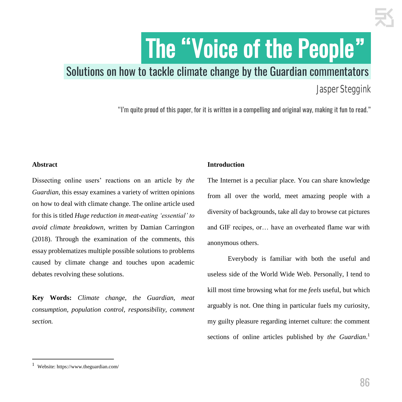# The "Voice of the People"

## Solutions on how to tackle climate change by the Guardian commentators.

## Jasper Steggink

"I'm quite proud of this paper, for it is written in a compelling and original way, making it fun to read."

#### **Abstract**

Dissecting online users' reactions on an article by *the Guardian*, this essay examines a variety of written opinions on how to deal with climate change. The online article used for this is titled *Huge reduction in meat-eating 'essential' to avoid climate breakdown*, written by Damian Carrington (2018). Through the examination of the comments, this essay problematizes multiple possible solutions to problems caused by climate change and touches upon academic debates revolving these solutions.

**Key Words:** *Climate change, the Guardian, meat consumption, population control, responsibility, comment section.*

#### **Introduction**

The Internet is a peculiar place. You can share knowledge from all over the world, meet amazing people with a diversity of backgrounds, take all day to browse cat pictures and GIF recipes, or… have an overheated flame war with anonymous others.

Everybody is familiar with both the useful and useless side of the World Wide Web. Personally, I tend to kill most time browsing what for me *feels* useful, but which arguably is not. One thing in particular fuels my curiosity, my guilty pleasure regarding internet culture: the comment sections of online articles published by *the Guardian*. 1

**.** 

<sup>1</sup> Website: https://www.theguardian.com/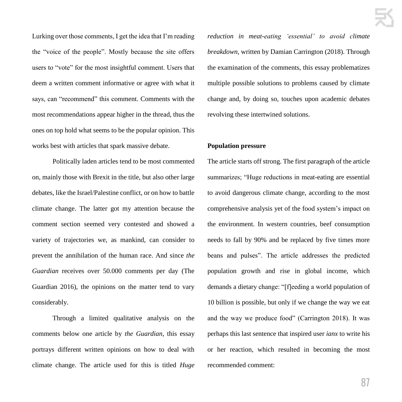Lurking over those comments, I get the idea that I'm reading the "voice of the people". Mostly because the site offers users to "vote" for the most insightful comment. Users that deem a written comment informative or agree with what it says, can "recommend" this comment. Comments with the most recommendations appear higher in the thread, thus the ones on top hold what seems to be the popular opinion. This works best with articles that spark massive debate.

Politically laden articles tend to be most commented on, mainly those with Brexit in the title, but also other large debates, like the Israel/Palestine conflict, or on how to battle climate change. The latter got my attention because the comment section seemed very contested and showed a variety of trajectories we, as mankind, can consider to prevent the annihilation of the human race. And since *the Guardian* receives over 50.000 comments per day (The Guardian 2016), the opinions on the matter tend to vary considerably.

Through a limited qualitative analysis on the comments below one article by *the Guardian*, this essay portrays different written opinions on how to deal with climate change. The article used for this is titled *Huge*  *reduction in meat-eating 'essential' to avoid climate breakdown*, written by Damian Carrington (2018). Through the examination of the comments, this essay problematizes multiple possible solutions to problems caused by climate change and, by doing so, touches upon academic debates revolving these intertwined solutions.

#### **Population pressure**

The article starts off strong. The first paragraph of the article summarizes; "Huge reductions in meat-eating are essential to avoid dangerous climate change, according to the most comprehensive analysis yet of the food system's impact on the environment. In western countries, beef consumption needs to fall by 90% and be replaced by five times more beans and pulses". The article addresses the predicted population growth and rise in global income, which demands a dietary change: "[f]eeding a world population of 10 billion is possible, but only if we change the way we eat and the way we produce food" (Carrington 2018). It was perhaps this last sentence that inspired user *ianx* to write his or her reaction, which resulted in becoming the most recommended comment: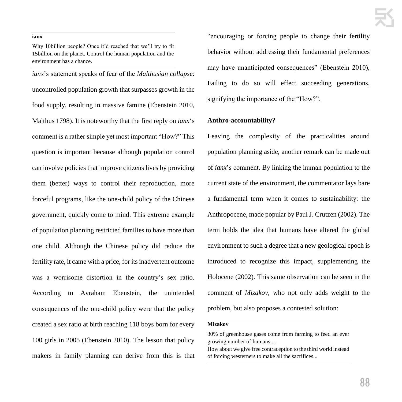#### **ianx**

Why 10billion people? Once it'd reached that we'll try to fit 15billion on the planet. Control the human population and the environment has a chance.

*ianx*'s statement speaks of fear of the *Malthusian collapse*: uncontrolled population growth that surpasses growth in the food supply, resulting in massive famine (Ebenstein 2010, Malthus 1798). It is noteworthy that the first reply on *ianx*'s comment is a rather simple yet most important "How?" This question is important because although population control can involve policies that improve citizens lives by providing them (better) ways to control their reproduction, more forceful programs, like the one-child policy of the Chinese government, quickly come to mind. This extreme example of population planning restricted families to have more than one child. Although the Chinese policy did reduce the fertility rate, it came with a price, for its inadvertent outcome was a worrisome distortion in the country's sex ratio. According to Avraham Ebenstein, the unintended consequences of the one-child policy were that the policy created a sex ratio at birth reaching 118 boys born for every 100 girls in 2005 (Ebenstein 2010). The lesson that policy makers in family planning can derive from this is that

"encouraging or forcing people to change their fertility behavior without addressing their fundamental preferences may have unanticipated consequences" (Ebenstein 2010), Failing to do so will effect succeeding generations, signifying the importance of the "How?".

#### **Anthro-accountability?**

Leaving the complexity of the practicalities around population planning aside, another remark can be made out of *ianx*'s comment. By linking the human population to the current state of the environment, the commentator lays bare a fundamental term when it comes to sustainability: the Anthropocene, made popular by Paul J. Crutzen (2002). The term holds the idea that humans have altered the global environment to such a degree that a new geological epoch is introduced to recognize this impact, supplementing the Holocene (2002). This same observation can be seen in the comment of *Mizakov*, who not only adds weight to the problem, but also proposes a contested solution:

#### **Mizakov**

30% of greenhouse gases come from farming to feed an ever growing number of humans....

How about we give free contraception to the third world instead of forcing westerners to make all the sacrifices...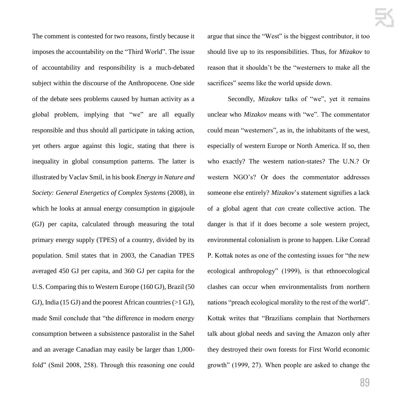The comment is contested for two reasons, firstly because it imposes the accountability on the "Third World". The issue of accountability and responsibility is a much-debated subject within the discourse of the Anthropocene. One side of the debate sees problems caused by human activity as a global problem, implying that "we" are all equally responsible and thus should all participate in taking action, yet others argue against this logic, stating that there is inequality in global consumption patterns. The latter is illustrated by Vaclav Smil, in his book *Energy in Nature and Society: General Energetics of Complex Systems* (2008), in which he looks at annual energy consumption in gigajoule (GJ) per capita, calculated through measuring the total primary energy supply (TPES) of a country, divided by its population. Smil states that in 2003, the Canadian TPES averaged 450 GJ per capita, and 360 GJ per capita for the U.S. Comparing this to Western Europe (160 GJ), Brazil (50 GJ), India (15 GJ) and the poorest African countries (>1 GJ), made Smil conclude that "the difference in modern energy consumption between a subsistence pastoralist in the Sahel and an average Canadian may easily be larger than 1,000 fold" (Smil 2008, 258). Through this reasoning one could

argue that since the "West" is the biggest contributor, it too should live up to its responsibilities. Thus, for *Mizakov* to reason that it shouldn't be the "westerners to make all the sacrifices" seems like the world upside down.

Secondly, *Mizakov* talks of "we", yet it remains unclear who *Mizakov* means with "we". The commentator could mean "westerners", as in, the inhabitants of the west, especially of western Europe or North America. If so, then who exactly? The western nation-states? The U.N.? Or western NGO's? Or does the commentator addresses someone else entirely? *Mizakov*'s statement signifies a lack of a global agent that *can* create collective action. The danger is that if it does become a sole western project, environmental colonialism is prone to happen. Like Conrad P. Kottak notes as one of the contesting issues for "the new ecological anthropology" (1999), is that ethnoecological clashes can occur when environmentalists from northern nations "preach ecological morality to the rest of the world". Kottak writes that "Brazilians complain that Northerners talk about global needs and saving the Amazon only after they destroyed their own forests for First World economic growth" (1999, 27). When people are asked to change the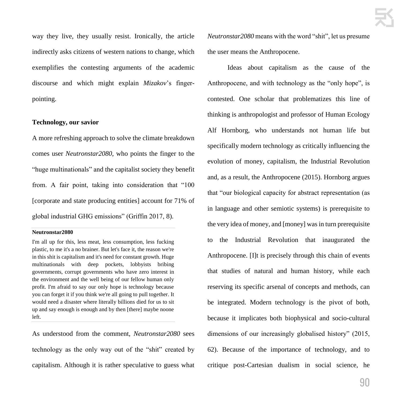way they live, they usually resist. Ironically, the article indirectly asks citizens of western nations to change, which exemplifies the contesting arguments of the academic discourse and which might explain *Mizakov*'s fingerpointing.

#### **Technology, our savior**

A more refreshing approach to solve the climate breakdown comes user *Neutronstar2080*, who points the finger to the "huge multinationals" and the capitalist society they benefit from. A fair point, taking into consideration that "100 [corporate and state producing entities] account for 71% of global industrial GHG emissions" (Griffin 2017, 8).

#### **Neutronstar2080**

I'm all up for this, less meat, less consumption, less fucking plastic, to me it's a no brainer. But let's face it, the reason we're in this shit is capitalism and it's need for constant growth. Huge multinationals with deep pockets, lobbyists bribing governments, corrupt governments who have zero interest in the environment and the well being of our fellow human only profit. I'm afraid to say our only hope is technology because you can forget it if you think we're all going to pull together. It would need a disaster where literally billions died for us to sit up and say enough is enough and by then [there] maybe noone left.

As understood from the comment, *Neutronstar2080* sees technology as the only way out of the "shit" created by capitalism. Although it is rather speculative to guess what *Neutronstar2080* means with the word "shit", let us presume the user means the Anthropocene.

Ideas about capitalism as the cause of the Anthropocene, and with technology as the "only hope", is contested. One scholar that problematizes this line of thinking is anthropologist and professor of Human Ecology Alf Hornborg, who understands not human life but specifically modern technology as critically influencing the evolution of money, capitalism, the Industrial Revolution and, as a result, the Anthropocene (2015). Hornborg argues that "our biological capacity for abstract representation (as in language and other semiotic systems) is prerequisite to the very idea of money, and [money] was in turn prerequisite to the Industrial Revolution that inaugurated the Anthropocene. [I]t is precisely through this chain of events that studies of natural and human history, while each reserving its specific arsenal of concepts and methods, can be integrated. Modern technology is the pivot of both, because it implicates both biophysical and socio-cultural dimensions of our increasingly globalised history" (2015, 62). Because of the importance of technology, and to critique post-Cartesian dualism in social science, he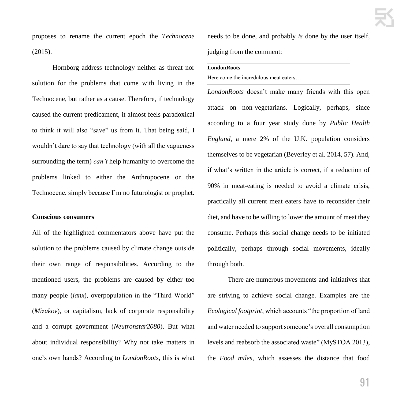proposes to rename the current epoch the *Technocene*  (2015).

Hornborg address technology neither as threat nor solution for the problems that come with living in the Technocene, but rather as a cause. Therefore, if technology caused the current predicament, it almost feels paradoxical to think it will also "save" us from it. That being said, I wouldn't dare to say that technology (with all the vagueness surrounding the term) *can't* help humanity to overcome the problems linked to either the Anthropocene or the Technocene, simply because I'm no futurologist or prophet.

#### **Conscious consumers**

All of the highlighted commentators above have put the solution to the problems caused by climate change outside their own range of responsibilities. According to the mentioned users, the problems are caused by either too many people *(ianx)*, overpopulation in the "Third World" (*Mizakov*), or capitalism, lack of corporate responsibility and a corrupt government (*Neutronstar2080*). But what about individual responsibility? Why not take matters in one's own hands? According to *LondonRoots*, this is what needs to be done, and probably *is* done by the user itself, judging from the comment:

#### **LondonRoots**

Here come the incredulous meat eaters…

*LondonRoots* doesn't make many friends with this open attack on non-vegetarians. Logically, perhaps, since according to a four year study done by *Public Health England*, a mere 2% of the U.K. population considers themselves to be vegetarian (Beverley et al. 2014, 57). And, if what's written in the article is correct, if a reduction of 90% in meat-eating is needed to avoid a climate crisis, practically all current meat eaters have to reconsider their diet, and have to be willing to lower the amount of meat they consume. Perhaps this social change needs to be initiated politically, perhaps through social movements, ideally through both.

There are numerous movements and initiatives that are striving to achieve social change. Examples are the *Ecological footprint*, which accounts "the proportion of land and water needed to support someone's overall consumption levels and reabsorb the associated waste" (MySTOA 2013), the *Food miles*, which assesses the distance that food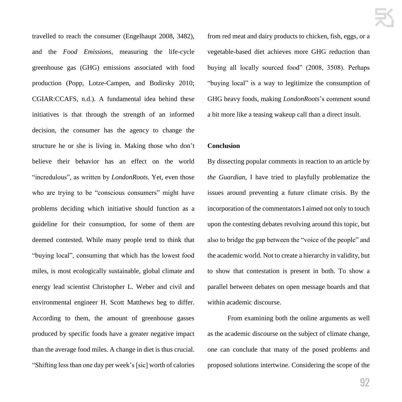travelled to reach the consumer (Engelhaupt 2008, 3482), and the *Food Emissions*, measuring the life-cycle greenhouse gas (GHG) emissions associated with food production (Popp, Lotze-Campen, and Bodirsky 2010; CGIAR:CCAFS, n.d.). A fundamental idea behind these initiatives is that through the strength of an informed decision, the consumer has the agency to change the structure he or she is living in. Making those who don't believe their behavior has an effect on the world "incredulous", as written by *LondonRoots*. Yet, even those who are trying to be "conscious consumers" might have problems deciding which initiative should function as a guideline for their consumption, for some of them are deemed contested. While many people tend to think that "buying local", consuming that which has the lowest food miles, is most ecologically sustainable, global climate and energy lead scientist Christopher L. Weber and civil and environmental engineer H. Scott Matthews beg to differ. According to them, the amount of greenhouse gasses produced by specific foods have a greater negative impact than the average food miles. A change in diet is thus crucial. "Shifting less than one day per week's [sic] worth of calories from red meat and dairy products to chicken, fish, eggs, or a vegetable-based diet achieves more GHG reduction than buying all locally sourced food" (2008, 3508). Perhaps "buying local" is a way to legitimize the consumption of GHG heavy foods, making *LondonRoots*'s comment sound a bit more like a teasing wakeup call than a direct insult.

#### **Conclusion**

By dissecting popular comments in reaction to an article by *the Guardian*, I have tried to playfully problematize the issues around preventing a future climate crisis. By the incorporation of the commentators I aimed not only to touch upon the contesting debates revolving around this topic, but also to bridge the gap between the "voice of the people" and the academic world. Not to create a hierarchy in validity, but to show that contestation is present in both. To show a parallel between debates on open message boards and that within academic discourse.

From examining both the online arguments as well as the academic discourse on the subject of climate change, one can conclude that many of the posed problems and proposed solutions intertwine. Considering the scope of the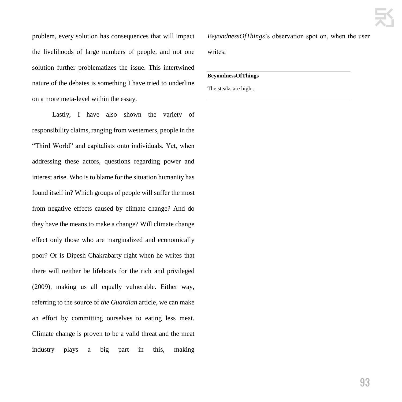problem, every solution has consequences that will impact the livelihoods of large numbers of people, and not one solution further problematizes the issue. This intertwined nature of the debates is something I have tried to underline on a more meta-level within the essay.

Lastly, I have also shown the variety of responsibility claims, ranging from westerners, people in the "Third World" and capitalists onto individuals. Yet, when addressing these actors, questions regarding power and interest arise. Who is to blame for the situation humanity has found itself in? Which groups of people will suffer the most from negative effects caused by climate change? And do they have the means to make a change? Will climate change effect only those who are marginalized and economically poor? Or is Dipesh Chakrabarty right when he writes that there will neither be lifeboats for the rich and privileged (2009), making us all equally vulnerable. Either way, referring to the source of *the Guardian* article, we can make an effort by committing ourselves to eating less meat. Climate change is proven to be a valid threat and the meat industry plays a big part in this, making

*BeyondnessOfThings*'s observation spot on, when the user writes:

#### **BeyondnessOfThings**

The steaks are high...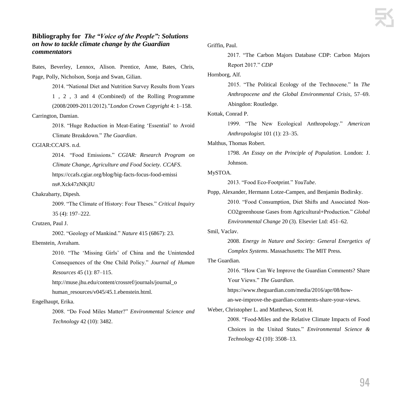#### **Bibliography for** *The "Voice of the People": Solutions on how to tackle climate change by the Guardian commentators*

Bates, Beverley, Lennox, Alison. Prentice, Anne, Bates, Chris, Page, Polly, Nicholson, Sonja and Swan, Gilian.

2014. "National Diet and Nutrition Survey Results from Years 1 , 2 , 3 and 4 (Combined) of the Rolling Programme (2008/2009-2011/2012)."*London Crown Copyright* 4: 1–158. Carrington, Damian.

> 2018. "Huge Reduction in Meat-Eating 'Essential' to Avoid Climate Breakdown." *The Guardian*.

#### CGIAR:CCAFS. n.d.

2014. "Food Emissions." *CGIAR: Research Program on Climate Change, Agriculture and Food Society. CCAFS*. https://ccafs.cgiar.org/blog/big-facts-focus-food-emissi ns#.Xck47zNKjIU

Chakrabarty, Dipesh.

2009. "The Climate of History: Four Theses." *Critical Inquiry* 35 (4): 197–222.

#### Crutzen, Paul J.

2002. "Geology of Mankind." *Nature* 415 (6867): 23.

#### Ebenstein, Avraham.

2010. "The 'Missing Girls' of China and the Unintended Consequences of the One Child Policy." *Journal of Human Resources* 45 (1): 87–115.

http://muse.jhu.edu/content/crossref/journals/journal\_o human\_resources/v045/45.1.ebenstein.html.

#### Engelhaupt, Erika.

2008. "Do Food Miles Matter?" *Environmental Science and Technology* 42 (10): 3482.

Griffin, Paul.

2017. "The Carbon Majors Database CDP: Carbon Majors Report 2017." *CDP*

#### Hornborg, Alf.

2015. "The Political Ecology of the Technocene." In *The Anthropocene and the Global Environmental Crisis*, 57–69. Abingdon: Routledge.

Kottak, Conrad P.

1999. "The New Ecological Anthropology." *American Anthropologist* 101 (1): 23–35.

Malthus, Thomas Robert.

1798. *An Essay on the Principle of Population*. London: J. Johnson.

#### MySTOA.

2013. "Food Eco-Footprint." *YouTube*.

Popp, Alexander, Hermann Lotze-Campen, and Benjamin Bodirsky.

2010. "Food Consumption, Diet Shifts and Associated Non-CO2greenhouse Gases from Agricultural+Production." *Global Environmental Change* 20 (3). Elsevier Ltd: 451–62.

#### Smil, Vaclav.

2008. *Energy in Nature and Society: General Energetics of Complex Systems*. Massachusetts: The MIT Press.

The Guardian.

2016. "How Can We Improve the Guardian Comments? Share Your Views." *The Guardian*.

https://www.theguardian.com/media/2016/apr/08/how-

an-we-improve-the-guardian-comments-share-your-views.

Weber, Christopher L. and Matthews, Scott H.

2008. "Food-Miles and the Relative Climate Impacts of Food Choices in the United States." *Environmental Science & Technology* 42 (10): 3508–13.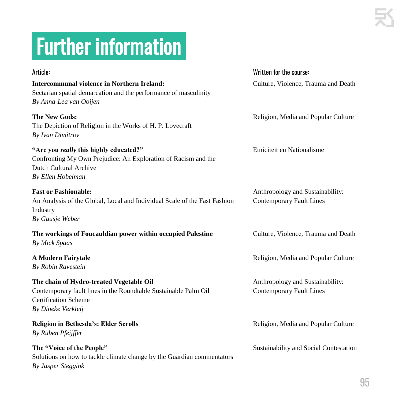## .Further information.

### Article: Written for the course: **Intercommunal violence in Northern Ireland:** Culture, Violence, Trauma and Death Sectarian spatial demarcation and the performance of masculinity *By Anna-Lea van Ooijen* **The New Gods:** Religion, Media and Popular Culture The Depiction of Religion in the Works of H. P. Lovecraft *By Ivan Dimitrov* **"Are you** *really* **this highly educated?"** Etniciteit en Nationalisme Confronting My Own Prejudice: An Exploration of Racism and the Dutch Cultural Archive *By Ellen Hobelman* **Fast or Fashionable:** Anthropology and Sustainability: An Analysis of the Global, Local and Individual Scale of the Fast Fashion Contemporary Fault Lines Industry *By Guusje Weber* **The workings of Foucauldian power within occupied Palestine Culture, Violence, Trauma and Death** *By Mick Spaas* **A Modern Fairytale Religion, Media and Popular Culture** Religion, Media and Popular Culture *By Robin Ravestein* **The chain of Hydro-treated Vegetable Oil** Anthropology and Sustainability: Contemporary fault lines in the Roundtable Sustainable Palm Oil Contemporary Fault Lines Certification Scheme *By Dineke Verkleij* **Religion in Bethesda's: Elder Scrolls** Religion, Media and Popular Culture *By Ruben Pfeijffer* **The "Voice of the People"** Sustainability and Social Contestation Solutions on how to tackle climate change by the Guardian commentators *By Jasper Steggink*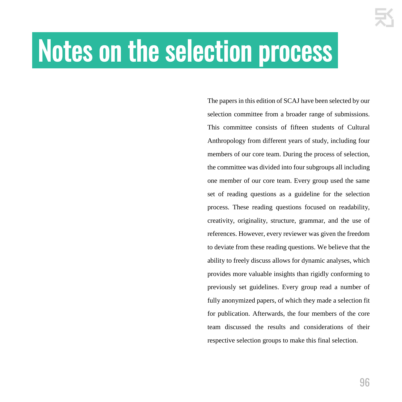# Notes on the selection process

The papers in this edition of SCAJ have been selected by our selection committee from a broader range of submissions. This committee consists of fifteen students of Cultural Anthropology from different years of study, including four members of our core team. During the process of selection, the committee was divided into four subgroups all including one member of our core team. Every group used the same set of reading questions as a guideline for the selection process. These reading questions focused on readability, creativity, originality, structure, grammar, and the use of references. However, every reviewer was given the freedom to deviate from these reading questions. We believe that the ability to freely discuss allows for dynamic analyses, which provides more valuable insights than rigidly conforming to previously set guidelines. Every group read a number of fully anonymized papers, of which they made a selection fit for publication. Afterwards, the four members of the core team discussed the results and considerations of their respective selection groups to make this final selection.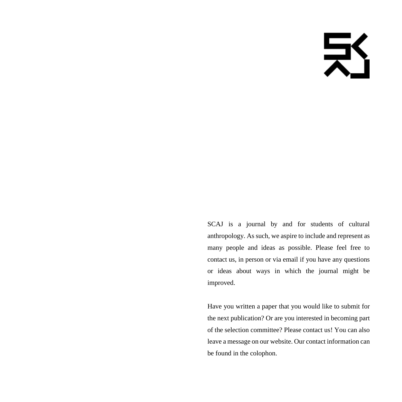# 乏

SCAJ is a journal by and for students of cultural anthropology. As such, we aspire to include and represent as many people and ideas as possible. Please feel free to contact us, in person or via email if you have any questions or ideas about ways in which the journal might be improved.

Have you written a paper that you would like to submit for the next publication? Or are you interested in becoming part of the selection committee? Please contact us! You can also leave a message on our website. Our contact information can be found in the colophon.